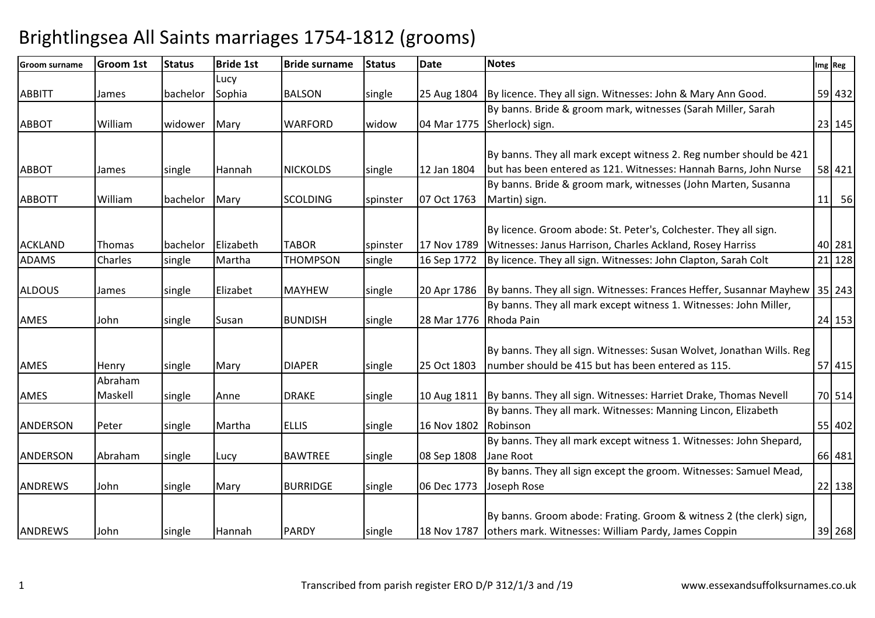| <b>Groom surname</b> | <b>Groom 1st</b> | <b>Status</b> | <b>Bride 1st</b> | <b>Bride surname</b> | <b>Status</b> | <b>Date</b> | <b>Notes</b>                                                                      | Img Reg |
|----------------------|------------------|---------------|------------------|----------------------|---------------|-------------|-----------------------------------------------------------------------------------|---------|
|                      |                  |               | Lucy             |                      |               |             |                                                                                   |         |
| <b>ABBITT</b>        | James            | bachelor      | Sophia           | <b>BALSON</b>        | single        |             | 25 Aug 1804   By licence. They all sign. Witnesses: John & Mary Ann Good.         | 59 432  |
|                      |                  |               |                  |                      |               |             | By banns. Bride & groom mark, witnesses (Sarah Miller, Sarah                      |         |
| <b>ABBOT</b>         | William          | widower       | Mary             | <b>WARFORD</b>       | widow         | 04 Mar 1775 | Sherlock) sign.                                                                   | 23 145  |
|                      |                  |               |                  |                      |               |             |                                                                                   |         |
|                      |                  |               |                  |                      |               |             | By banns. They all mark except witness 2. Reg number should be 421                |         |
| <b>ABBOT</b>         | James            | single        | Hannah           | <b>NICKOLDS</b>      | single        | 12 Jan 1804 | but has been entered as 121. Witnesses: Hannah Barns, John Nurse                  | 58 421  |
|                      |                  |               |                  |                      |               |             | By banns. Bride & groom mark, witnesses (John Marten, Susanna                     |         |
| <b>ABBOTT</b>        | William          | bachelor      | Mary             | <b>SCOLDING</b>      | spinster      | 07 Oct 1763 | Martin) sign.                                                                     | 11 56   |
|                      |                  |               |                  |                      |               |             |                                                                                   |         |
|                      |                  |               |                  |                      |               |             | By licence. Groom abode: St. Peter's, Colchester. They all sign.                  |         |
| <b>ACKLAND</b>       | Thomas           | bachelor      | Elizabeth        | <b>TABOR</b>         | spinster      | 17 Nov 1789 | Witnesses: Janus Harrison, Charles Ackland, Rosey Harriss                         | 40 281  |
| <b>ADAMS</b>         | Charles          | single        | Martha           | <b>THOMPSON</b>      | single        | 16 Sep 1772 | By licence. They all sign. Witnesses: John Clapton, Sarah Colt                    | 21 128  |
|                      |                  |               |                  |                      |               |             |                                                                                   |         |
| <b>ALDOUS</b>        | James            | single        | Elizabet         | <b>MAYHEW</b>        | single        |             | 20 Apr 1786   By banns. They all sign. Witnesses: Frances Heffer, Susannar Mayhew | 35 243  |
|                      |                  |               |                  |                      |               |             | By banns. They all mark except witness 1. Witnesses: John Miller,                 |         |
| AMES                 | John             | single        | Susan            | <b>BUNDISH</b>       | single        | 28 Mar 1776 | Rhoda Pain                                                                        | 24 153  |
|                      |                  |               |                  |                      |               |             |                                                                                   |         |
|                      |                  |               |                  |                      |               |             | By banns. They all sign. Witnesses: Susan Wolvet, Jonathan Wills. Reg             |         |
| AMES                 | Henry            | single        | Mary             | <b>DIAPER</b>        | single        | 25 Oct 1803 | number should be 415 but has been entered as 115.                                 | 57 415  |
|                      | Abraham          |               |                  |                      |               |             |                                                                                   |         |
| <b>AMES</b>          | Maskell          | single        | Anne             | <b>DRAKE</b>         | single        |             | 10 Aug 1811 By banns. They all sign. Witnesses: Harriet Drake, Thomas Nevell      | 70 514  |
|                      |                  |               |                  |                      |               |             | By banns. They all mark. Witnesses: Manning Lincon, Elizabeth                     |         |
| <b>ANDERSON</b>      | Peter            | single        | Martha           | <b>ELLIS</b>         | single        | 16 Nov 1802 | Robinson                                                                          | 55 402  |
|                      |                  |               |                  |                      |               |             | By banns. They all mark except witness 1. Witnesses: John Shepard,                |         |
| <b>ANDERSON</b>      | Abraham          | single        | Lucy             | <b>BAWTREE</b>       | single        | 08 Sep 1808 | Jane Root                                                                         | 66 481  |
|                      |                  |               |                  |                      |               |             | By banns. They all sign except the groom. Witnesses: Samuel Mead,                 |         |
| <b>ANDREWS</b>       | John             | single        | Mary             | <b>BURRIDGE</b>      | single        | 06 Dec 1773 | Joseph Rose                                                                       | 22 138  |
|                      |                  |               |                  |                      |               |             |                                                                                   |         |
|                      |                  |               |                  |                      |               |             | By banns. Groom abode: Frating. Groom & witness 2 (the clerk) sign,               |         |
| <b>ANDREWS</b>       | John             | single        | Hannah           | <b>PARDY</b>         | single        | 18 Nov 1787 | others mark. Witnesses: William Pardy, James Coppin                               | 39 268  |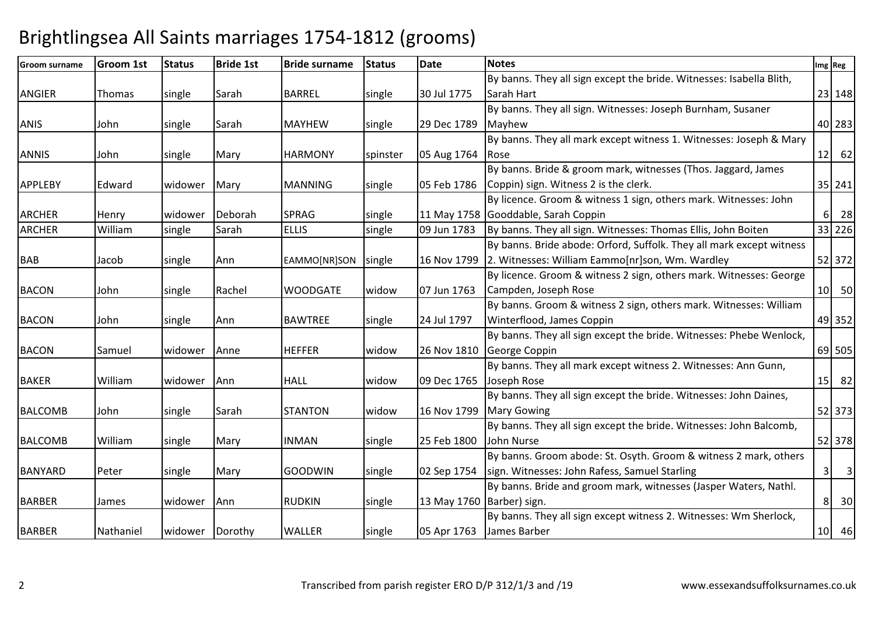| <b>Groom surname</b> | <b>Groom 1st</b> | <b>Status</b> | <b>Bride 1st</b> | <b>Bride surname</b> | <b>Status</b> | <b>Date</b>               | <b>Notes</b>                                                         |                | Img Reg                          |
|----------------------|------------------|---------------|------------------|----------------------|---------------|---------------------------|----------------------------------------------------------------------|----------------|----------------------------------|
|                      |                  |               |                  |                      |               |                           | By banns. They all sign except the bride. Witnesses: Isabella Blith, |                |                                  |
| <b>ANGIER</b>        | Thomas           | single        | Sarah            | <b>BARREL</b>        | single        | 30 Jul 1775               | Sarah Hart                                                           |                | 23 148                           |
|                      |                  |               |                  |                      |               |                           | By banns. They all sign. Witnesses: Joseph Burnham, Susaner          |                |                                  |
| <b>ANIS</b>          | John             | single        | Sarah            | <b>MAYHEW</b>        | single        | 29 Dec 1789               | Mayhew                                                               |                | 40 283                           |
|                      |                  |               |                  |                      |               |                           | By banns. They all mark except witness 1. Witnesses: Joseph & Mary   |                |                                  |
| <b>ANNIS</b>         | John             | single        | Mary             | <b>HARMONY</b>       | spinster      | 05 Aug 1764               | <b>IRose</b>                                                         |                | $12$ 62                          |
|                      |                  |               |                  |                      |               |                           | By banns. Bride & groom mark, witnesses (Thos. Jaggard, James        |                |                                  |
| <b>APPLEBY</b>       | Edward           | widower       | Mary             | <b>MANNING</b>       | single        | 05 Feb 1786               | Coppin) sign. Witness 2 is the clerk.                                |                | 35 241                           |
|                      |                  |               |                  |                      |               |                           | By licence. Groom & witness 1 sign, others mark. Witnesses: John     |                |                                  |
| <b>ARCHER</b>        | Henry            | widower       | Deborah          | <b>SPRAG</b>         | single        |                           | 11 May 1758 Gooddable, Sarah Coppin                                  |                | $6 \overline{\smash{\big)}\ 28}$ |
| <b>ARCHER</b>        | William          | single        | Sarah            | <b>ELLIS</b>         | single        | 09 Jun 1783               | By banns. They all sign. Witnesses: Thomas Ellis, John Boiten        |                | 33 226                           |
|                      |                  |               |                  |                      |               |                           | By banns. Bride abode: Orford, Suffolk. They all mark except witness |                |                                  |
| <b>BAB</b>           | Jacob            | single        | Ann              | EAMMO[NR]SON         | single        | 16 Nov 1799               | 2. Witnesses: William Eammo[nr]son, Wm. Wardley                      |                | 52 372                           |
|                      |                  |               |                  |                      |               |                           | By licence. Groom & witness 2 sign, others mark. Witnesses: George   |                |                                  |
| <b>BACON</b>         | John             | single        | Rachel           | <b>WOODGATE</b>      | widow         | 07 Jun 1763               | Campden, Joseph Rose                                                 |                | $10$ 50                          |
|                      |                  |               |                  |                      |               |                           | By banns. Groom & witness 2 sign, others mark. Witnesses: William    |                |                                  |
| <b>BACON</b>         | John             | single        | Ann              | <b>BAWTREE</b>       | single        | 24 Jul 1797               | Winterflood, James Coppin                                            |                | 49 352                           |
|                      |                  |               |                  |                      |               |                           | By banns. They all sign except the bride. Witnesses: Phebe Wenlock,  |                |                                  |
| <b>BACON</b>         | Samuel           | widower       | Anne             | <b>HEFFER</b>        | widow         | 26 Nov 1810               | George Coppin                                                        |                | 69 505                           |
|                      |                  |               |                  |                      |               |                           | By banns. They all mark except witness 2. Witnesses: Ann Gunn,       |                |                                  |
| <b>BAKER</b>         | William          | widower       | Ann              | <b>HALL</b>          | widow         | 09 Dec 1765               | Joseph Rose                                                          |                | $15$   82                        |
|                      |                  |               |                  |                      |               |                           | By banns. They all sign except the bride. Witnesses: John Daines,    |                |                                  |
| <b>BALCOMB</b>       | John             | single        | Sarah            | <b>STANTON</b>       | widow         | 16 Nov 1799               | <b>Mary Gowing</b>                                                   |                | 52 373                           |
|                      |                  |               |                  |                      |               |                           | By banns. They all sign except the bride. Witnesses: John Balcomb,   |                |                                  |
| <b>BALCOMB</b>       | William          | single        | Mary             | <b>INMAN</b>         | single        | 25 Feb 1800               | John Nurse                                                           |                | 52 378                           |
|                      |                  |               |                  |                      |               |                           | By banns. Groom abode: St. Osyth. Groom & witness 2 mark, others     |                |                                  |
| <b>BANYARD</b>       | Peter            | single        | Mary             | <b>GOODWIN</b>       | single        | 02 Sep 1754               | sign. Witnesses: John Rafess, Samuel Starling                        | 3 <sup>1</sup> | $\overline{\mathbf{3}}$          |
|                      |                  |               |                  |                      |               |                           | By banns. Bride and groom mark, witnesses (Jasper Waters, Nathl.     |                |                                  |
| <b>BARBER</b>        | James            | widower       | Ann              | <b>RUDKIN</b>        | single        | 13 May 1760 Barber) sign. |                                                                      | 8 <sup>1</sup> | 30                               |
|                      |                  |               |                  |                      |               |                           | By banns. They all sign except witness 2. Witnesses: Wm Sherlock,    |                |                                  |
| <b>BARBER</b>        | Nathaniel        | widower       | Dorothy          | <b>WALLER</b>        | single        | 05 Apr 1763               | James Barber                                                         |                | $10$ 46                          |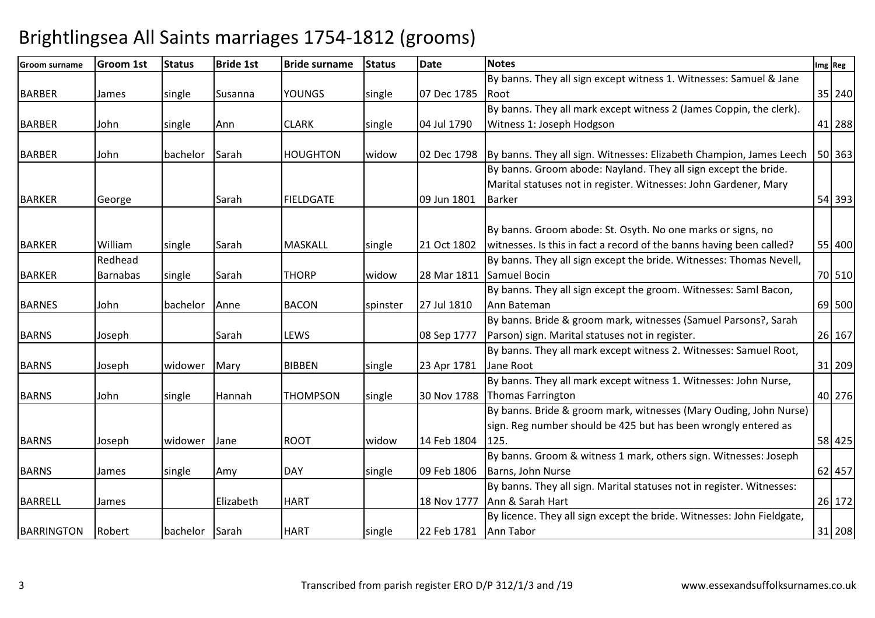| <b>Groom surname</b> | <b>Groom 1st</b> | <b>Status</b> | <b>Bride 1st</b> | <b>Bride surname</b> | <b>Status</b> | <b>Date</b>           | <b>Notes</b>                                                           | Img Reg |
|----------------------|------------------|---------------|------------------|----------------------|---------------|-----------------------|------------------------------------------------------------------------|---------|
|                      |                  |               |                  |                      |               |                       | By banns. They all sign except witness 1. Witnesses: Samuel & Jane     |         |
| <b>BARBER</b>        | James            | single        | Susanna          | <b>YOUNGS</b>        | single        | 07 Dec 1785           | l Root                                                                 | 35 240  |
|                      |                  |               |                  |                      |               |                       | By banns. They all mark except witness 2 (James Coppin, the clerk).    |         |
| <b>BARBER</b>        | John             | single        | Ann              | <b>CLARK</b>         | single        | 04 Jul 1790           | Witness 1: Joseph Hodgson                                              | 41 288  |
|                      |                  |               |                  |                      |               |                       |                                                                        |         |
| <b>BARBER</b>        | John             | bachelor      | Sarah            | <b>HOUGHTON</b>      | widow         | 02 Dec 1798           | By banns. They all sign. Witnesses: Elizabeth Champion, James Leech    | 50 363  |
|                      |                  |               |                  |                      |               |                       | By banns. Groom abode: Nayland. They all sign except the bride.        |         |
|                      |                  |               |                  |                      |               |                       | Marital statuses not in register. Witnesses: John Gardener, Mary       |         |
| <b>BARKER</b>        | George           |               | Sarah            | <b>FIELDGATE</b>     |               | 09 Jun 1801           | <b>Barker</b>                                                          | 54 393  |
|                      |                  |               |                  |                      |               |                       |                                                                        |         |
|                      |                  |               |                  |                      |               |                       | By banns. Groom abode: St. Osyth. No one marks or signs, no            |         |
| <b>BARKER</b>        | William          | single        | Sarah            | <b>MASKALL</b>       | single        | 21 Oct 1802           | witnesses. Is this in fact a record of the banns having been called?   | 55 400  |
|                      | Redhead          |               |                  |                      |               |                       | By banns. They all sign except the bride. Witnesses: Thomas Nevell,    |         |
| <b>BARKER</b>        | <b>Barnabas</b>  | single        | Sarah            | <b>THORP</b>         | widow         | 28 Mar 1811           | <b>Samuel Bocin</b>                                                    | 70 510  |
|                      |                  |               |                  |                      |               |                       | By banns. They all sign except the groom. Witnesses: Saml Bacon,       |         |
| <b>BARNES</b>        | John             | bachelor      | Anne             | <b>BACON</b>         | spinster      | 27 Jul 1810           | Ann Bateman                                                            | 69 500  |
|                      |                  |               |                  |                      |               |                       | By banns. Bride & groom mark, witnesses (Samuel Parsons?, Sarah        |         |
| <b>BARNS</b>         | Joseph           |               | Sarah            | <b>LEWS</b>          |               | 08 Sep 1777           | Parson) sign. Marital statuses not in register.                        | 26 167  |
|                      |                  |               |                  |                      |               |                       | By banns. They all mark except witness 2. Witnesses: Samuel Root,      |         |
| <b>BARNS</b>         | Joseph           | widower       | Mary             | <b>BIBBEN</b>        | single        | 23 Apr 1781           | Jane Root                                                              | 31 209  |
|                      |                  |               |                  |                      |               |                       | By banns. They all mark except witness 1. Witnesses: John Nurse,       |         |
| <b>BARNS</b>         | John             | single        | Hannah           | <b>THOMPSON</b>      | single        | 30 Nov 1788           | Thomas Farrington                                                      | 40 276  |
|                      |                  |               |                  |                      |               |                       | By banns. Bride & groom mark, witnesses (Mary Ouding, John Nurse)      |         |
|                      |                  |               |                  |                      |               |                       | sign. Reg number should be 425 but has been wrongly entered as         |         |
| <b>BARNS</b>         | Joseph           | widower       | Jane             | <b>ROOT</b>          | widow         | 14 Feb 1804           | 125.                                                                   | 58 425  |
|                      |                  |               |                  |                      |               |                       | By banns. Groom & witness 1 mark, others sign. Witnesses: Joseph       |         |
| <b>BARNS</b>         | James            | single        | Amy              | <b>DAY</b>           | single        | 09 Feb 1806           | Barns, John Nurse                                                      | 62 457  |
|                      |                  |               |                  |                      |               |                       | By banns. They all sign. Marital statuses not in register. Witnesses:  |         |
| <b>BARRELL</b>       | James            |               | Elizabeth        | <b>HART</b>          |               | 18 Nov 1777           | Ann & Sarah Hart                                                       | 26 172  |
|                      |                  |               |                  |                      |               |                       | By licence. They all sign except the bride. Witnesses: John Fieldgate, |         |
| <b>BARRINGTON</b>    | Robert           | bachelor      | Sarah            | <b>HART</b>          | single        | 22 Feb 1781 Ann Tabor |                                                                        | 31 208  |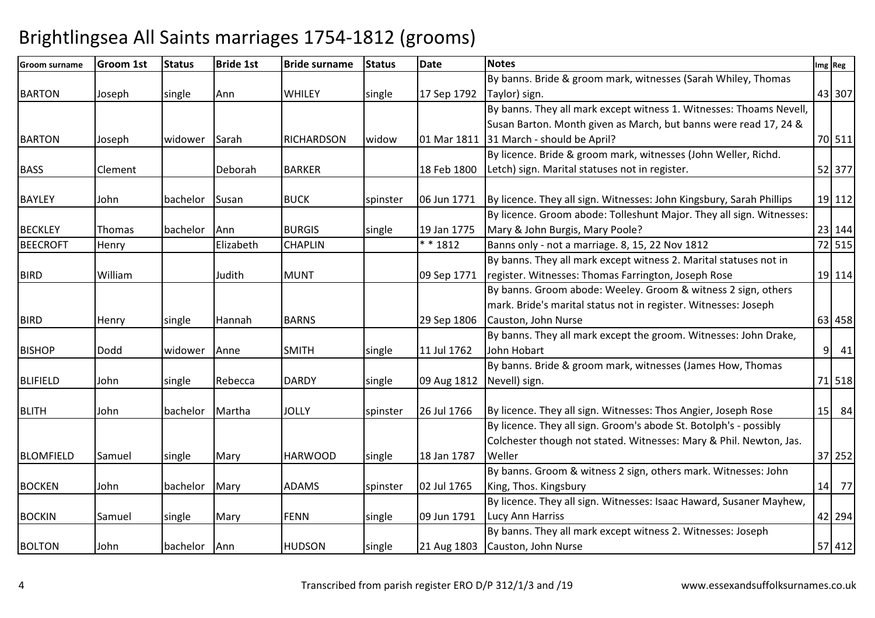| <b>Groom surname</b> | <b>Groom 1st</b> | <b>Status</b> | <b>Bride 1st</b> | <b>Bride surname</b> | <b>Status</b> | <b>Date</b> | <b>Notes</b>                                                         | Img Reg |
|----------------------|------------------|---------------|------------------|----------------------|---------------|-------------|----------------------------------------------------------------------|---------|
|                      |                  |               |                  |                      |               |             | By banns. Bride & groom mark, witnesses (Sarah Whiley, Thomas        |         |
| <b>BARTON</b>        | Joseph           | single        | Ann              | <b>WHILEY</b>        | single        | 17 Sep 1792 | Taylor) sign.                                                        | 43 307  |
|                      |                  |               |                  |                      |               |             | By banns. They all mark except witness 1. Witnesses: Thoams Nevell,  |         |
|                      |                  |               |                  |                      |               |             | Susan Barton. Month given as March, but banns were read 17, 24 &     |         |
| <b>BARTON</b>        | Joseph           | widower       | Sarah            | <b>RICHARDSON</b>    | widow         | 01 Mar 1811 | 31 March - should be April?                                          | 70 511  |
|                      |                  |               |                  |                      |               |             | By licence. Bride & groom mark, witnesses (John Weller, Richd.       |         |
| <b>BASS</b>          | Clement          |               | Deborah          | <b>BARKER</b>        |               | 18 Feb 1800 | Letch) sign. Marital statuses not in register.                       | 52 377  |
|                      |                  |               |                  |                      |               |             |                                                                      |         |
| <b>BAYLEY</b>        | John             | bachelor      | Susan            | <b>BUCK</b>          | spinster      | 06 Jun 1771 | By licence. They all sign. Witnesses: John Kingsbury, Sarah Phillips | 19 112  |
|                      |                  |               |                  |                      |               |             | By licence. Groom abode: Tolleshunt Major. They all sign. Witnesses: |         |
| <b>BECKLEY</b>       | Thomas           | bachelor      | Ann              | <b>BURGIS</b>        | single        | 19 Jan 1775 | Mary & John Burgis, Mary Poole?                                      | 23 144  |
| <b>BEECROFT</b>      | Henry            |               | Elizabeth        | <b>CHAPLIN</b>       |               | $* * 1812$  | Banns only - not a marriage. 8, 15, 22 Nov 1812                      | 72 515  |
|                      |                  |               |                  |                      |               |             | By banns. They all mark except witness 2. Marital statuses not in    |         |
| <b>BIRD</b>          | William          |               | Judith           | <b>MUNT</b>          |               | 09 Sep 1771 | register. Witnesses: Thomas Farrington, Joseph Rose                  | 19 114  |
|                      |                  |               |                  |                      |               |             | By banns. Groom abode: Weeley. Groom & witness 2 sign, others        |         |
|                      |                  |               |                  |                      |               |             | mark. Bride's marital status not in register. Witnesses: Joseph      |         |
| <b>BIRD</b>          | Henry            | single        | Hannah           | <b>BARNS</b>         |               | 29 Sep 1806 | Causton, John Nurse                                                  | 63 458  |
|                      |                  |               |                  |                      |               |             | By banns. They all mark except the groom. Witnesses: John Drake,     |         |
| <b>BISHOP</b>        | <b>Dodd</b>      | widower       | Anne             | <b>SMITH</b>         | single        | 11 Jul 1762 | John Hobart                                                          | 9 41    |
|                      |                  |               |                  |                      |               |             | By banns. Bride & groom mark, witnesses (James How, Thomas           |         |
| <b>BLIFIELD</b>      | John             | single        | Rebecca          | <b>DARDY</b>         | single        | 09 Aug 1812 | Nevell) sign.                                                        | 71 518  |
|                      |                  |               |                  |                      |               |             |                                                                      |         |
| <b>BLITH</b>         | John             | bachelor      | Martha           | <b>JOLLY</b>         | spinster      | 26 Jul 1766 | By licence. They all sign. Witnesses: Thos Angier, Joseph Rose       | 15 84   |
|                      |                  |               |                  |                      |               |             | By licence. They all sign. Groom's abode St. Botolph's - possibly    |         |
|                      |                  |               |                  |                      |               |             | Colchester though not stated. Witnesses: Mary & Phil. Newton, Jas.   |         |
| <b>BLOMFIELD</b>     | Samuel           | single        | Mary             | <b>HARWOOD</b>       | single        | 18 Jan 1787 | Weller                                                               | 37 252  |
|                      |                  |               |                  |                      |               |             | By banns. Groom & witness 2 sign, others mark. Witnesses: John       |         |
| <b>BOCKEN</b>        | John             | bachelor      | Mary             | <b>ADAMS</b>         | spinster      | 02 Jul 1765 | King, Thos. Kingsbury                                                | 14 77   |
|                      |                  |               |                  |                      |               |             | By licence. They all sign. Witnesses: Isaac Haward, Susaner Mayhew,  |         |
| <b>BOCKIN</b>        | Samuel           | single        | Mary             | <b>FENN</b>          | single        | 09 Jun 1791 | Lucy Ann Harriss                                                     | 42 294  |
|                      |                  |               |                  |                      |               |             | By banns. They all mark except witness 2. Witnesses: Joseph          |         |
| <b>BOLTON</b>        | John             | bachelor      | Ann              | <b>HUDSON</b>        | single        | 21 Aug 1803 | Causton, John Nurse                                                  | 57 412  |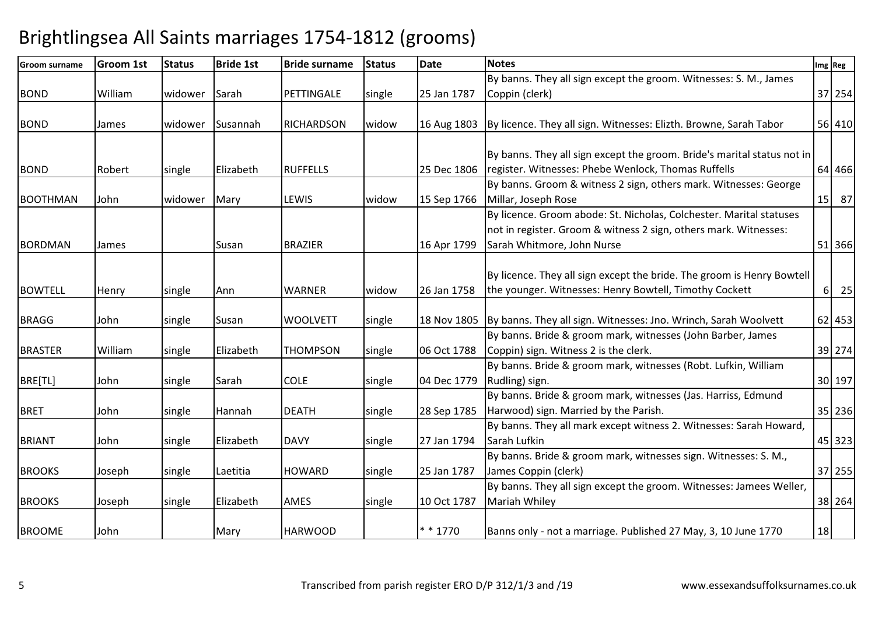| <b>Groom surname</b> | <b>Groom 1st</b> | <b>Status</b> | <b>Bride 1st</b> | <b>Bride surname</b> | <b>Status</b> | <b>Date</b> | <b>Notes</b>                                                                    |          | Img Reg |
|----------------------|------------------|---------------|------------------|----------------------|---------------|-------------|---------------------------------------------------------------------------------|----------|---------|
|                      |                  |               |                  |                      |               |             | By banns. They all sign except the groom. Witnesses: S. M., James               |          |         |
| <b>BOND</b>          | William          | widower       | Sarah            | PETTINGALE           | single        | 25 Jan 1787 | Coppin (clerk)                                                                  |          | 37 254  |
|                      |                  |               |                  |                      |               |             |                                                                                 |          |         |
| <b>BOND</b>          | James            | widower       | Susannah         | <b>RICHARDSON</b>    | widow         |             | 16 Aug 1803   By licence. They all sign. Witnesses: Elizth. Browne, Sarah Tabor |          | 56 410  |
|                      |                  |               |                  |                      |               |             |                                                                                 |          |         |
|                      |                  |               |                  |                      |               |             | By banns. They all sign except the groom. Bride's marital status not in         |          |         |
| <b>BOND</b>          | Robert           | single        | Elizabeth        | <b>RUFFELLS</b>      |               | 25 Dec 1806 | register. Witnesses: Phebe Wenlock, Thomas Ruffells                             |          | 64 466  |
|                      |                  |               |                  |                      |               |             | By banns. Groom & witness 2 sign, others mark. Witnesses: George                |          |         |
| <b>BOOTHMAN</b>      | John             | widower       | Mary             | LEWIS                | widow         | 15 Sep 1766 | Millar, Joseph Rose                                                             |          | 15 87   |
|                      |                  |               |                  |                      |               |             | By licence. Groom abode: St. Nicholas, Colchester. Marital statuses             |          |         |
|                      |                  |               |                  |                      |               |             | not in register. Groom & witness 2 sign, others mark. Witnesses:                |          |         |
| <b>BORDMAN</b>       | James            |               | Susan            | <b>BRAZIER</b>       |               | 16 Apr 1799 | Sarah Whitmore, John Nurse                                                      |          | 51 366  |
|                      |                  |               |                  |                      |               |             |                                                                                 |          |         |
|                      |                  |               |                  |                      |               |             | By licence. They all sign except the bride. The groom is Henry Bowtell          |          |         |
| <b>BOWTELL</b>       | Henry            | single        | Ann              | <b>WARNER</b>        | widow         | 26 Jan 1758 | the younger. Witnesses: Henry Bowtell, Timothy Cockett                          | $6\vert$ | 25      |
|                      |                  |               |                  |                      |               |             |                                                                                 |          |         |
| <b>BRAGG</b>         | John             | single        | Susan            | <b>WOOLVETT</b>      | single        | 18 Nov 1805 | By banns. They all sign. Witnesses: Jno. Wrinch, Sarah Woolvett                 |          | 62 453  |
|                      |                  |               |                  |                      |               |             | By banns. Bride & groom mark, witnesses (John Barber, James                     |          |         |
| <b>BRASTER</b>       | William          | single        | Elizabeth        | <b>THOMPSON</b>      | single        | 06 Oct 1788 | Coppin) sign. Witness 2 is the clerk.                                           |          | 39 274  |
|                      |                  |               |                  |                      |               |             | By banns. Bride & groom mark, witnesses (Robt. Lufkin, William                  |          |         |
| BRE[TL]              | John             | single        | Sarah            | <b>COLE</b>          | single        | 04 Dec 1779 | Rudling) sign.                                                                  |          | 30 197  |
|                      |                  |               |                  |                      |               |             | By banns. Bride & groom mark, witnesses (Jas. Harriss, Edmund                   |          |         |
| <b>BRET</b>          | John             | single        | Hannah           | <b>DEATH</b>         | single        | 28 Sep 1785 | Harwood) sign. Married by the Parish.                                           |          | 35 236  |
|                      |                  |               |                  |                      |               |             | By banns. They all mark except witness 2. Witnesses: Sarah Howard,              |          |         |
| <b>BRIANT</b>        | John             | single        | Elizabeth        | <b>DAVY</b>          | single        | 27 Jan 1794 | Sarah Lufkin                                                                    |          | 45 323  |
|                      |                  |               |                  |                      |               |             | By banns. Bride & groom mark, witnesses sign. Witnesses: S. M.,                 |          |         |
| <b>BROOKS</b>        | Joseph           | single        | Laetitia         | <b>HOWARD</b>        | single        | 25 Jan 1787 | James Coppin (clerk)                                                            |          | 37 255  |
|                      |                  |               |                  |                      |               |             | By banns. They all sign except the groom. Witnesses: Jamees Weller,             |          |         |
| <b>BROOKS</b>        | Joseph           | single        | Elizabeth        | AMES                 | single        | 10 Oct 1787 | Mariah Whiley                                                                   |          | 38 264  |
|                      |                  |               |                  |                      |               |             |                                                                                 |          |         |
| <b>BROOME</b>        | John             |               | Mary             | <b>HARWOOD</b>       |               | * * 1770    | Banns only - not a marriage. Published 27 May, 3, 10 June 1770                  | 18       |         |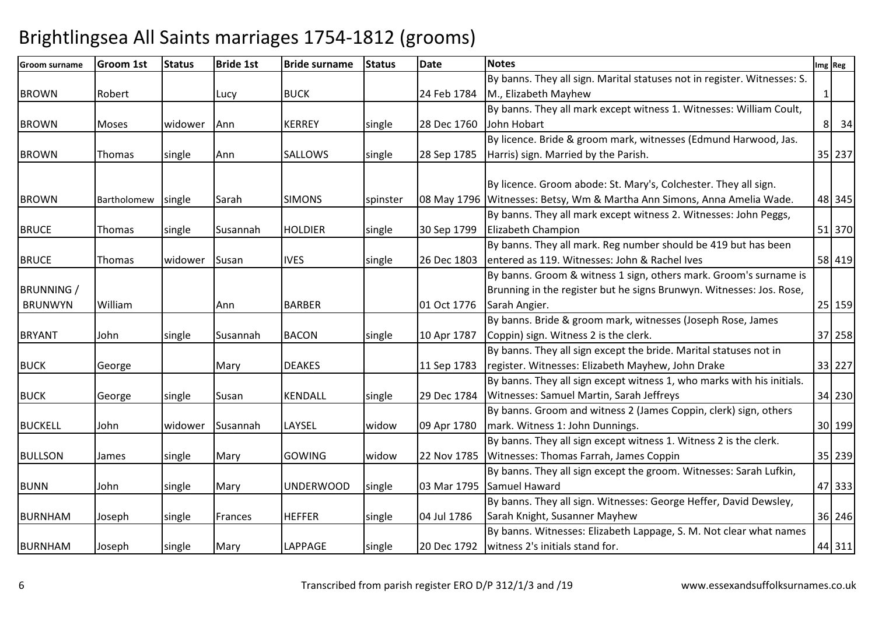| <b>Groom surname</b> | <b>Groom 1st</b> | <b>Status</b> | <b>Bride 1st</b> | <b>Bride surname</b> | <b>Status</b> | <b>Date</b> | <b>Notes</b>                                                             |   | Img Reg |
|----------------------|------------------|---------------|------------------|----------------------|---------------|-------------|--------------------------------------------------------------------------|---|---------|
|                      |                  |               |                  |                      |               |             | By banns. They all sign. Marital statuses not in register. Witnesses: S. |   |         |
| <b>BROWN</b>         | Robert           |               | Lucy             | <b>BUCK</b>          |               | 24 Feb 1784 | M., Elizabeth Mayhew                                                     | 1 |         |
|                      |                  |               |                  |                      |               |             | By banns. They all mark except witness 1. Witnesses: William Coult,      |   |         |
| <b>BROWN</b>         | <b>Moses</b>     | widower       | Ann              | <b>KERREY</b>        | single        | 28 Dec 1760 | John Hobart                                                              |   | 8 34    |
|                      |                  |               |                  |                      |               |             | By licence. Bride & groom mark, witnesses (Edmund Harwood, Jas.          |   |         |
| <b>BROWN</b>         | Thomas           | single        | Ann              | <b>SALLOWS</b>       | single        | 28 Sep 1785 | Harris) sign. Married by the Parish.                                     |   | 35 237  |
|                      |                  |               |                  |                      |               |             |                                                                          |   |         |
|                      |                  |               |                  |                      |               |             | By licence. Groom abode: St. Mary's, Colchester. They all sign.          |   |         |
| <b>BROWN</b>         | Bartholomew      | single        | Sarah            | <b>SIMONS</b>        | spinster      |             | 08 May 1796 Witnesses: Betsy, Wm & Martha Ann Simons, Anna Amelia Wade.  |   | 48 345  |
|                      |                  |               |                  |                      |               |             | By banns. They all mark except witness 2. Witnesses: John Peggs,         |   |         |
| <b>BRUCE</b>         | Thomas           | single        | Susannah         | <b>HOLDIER</b>       | single        | 30 Sep 1799 | Elizabeth Champion                                                       |   | 51 370  |
|                      |                  |               |                  |                      |               |             | By banns. They all mark. Reg number should be 419 but has been           |   |         |
| <b>BRUCE</b>         | Thomas           | widower       | Susan            | <b>IVES</b>          | single        | 26 Dec 1803 | entered as 119. Witnesses: John & Rachel Ives                            |   | 58 419  |
|                      |                  |               |                  |                      |               |             | By banns. Groom & witness 1 sign, others mark. Groom's surname is        |   |         |
| <b>BRUNNING</b> /    |                  |               |                  |                      |               |             | Brunning in the register but he signs Brunwyn. Witnesses: Jos. Rose,     |   |         |
| <b>BRUNWYN</b>       | William          |               | Ann              | <b>BARBER</b>        |               | 01 Oct 1776 | Sarah Angier.                                                            |   | 25 159  |
|                      |                  |               |                  |                      |               |             | By banns. Bride & groom mark, witnesses (Joseph Rose, James              |   |         |
| <b>BRYANT</b>        | John             | single        | Susannah         | <b>BACON</b>         | single        | 10 Apr 1787 | Coppin) sign. Witness 2 is the clerk.                                    |   | 37 258  |
|                      |                  |               |                  |                      |               |             | By banns. They all sign except the bride. Marital statuses not in        |   |         |
| <b>BUCK</b>          | George           |               | Mary             | <b>DEAKES</b>        |               | 11 Sep 1783 | register. Witnesses: Elizabeth Mayhew, John Drake                        |   | 33 227  |
|                      |                  |               |                  |                      |               |             | By banns. They all sign except witness 1, who marks with his initials.   |   |         |
| <b>BUCK</b>          | George           | single        | Susan            | KENDALL              | single        | 29 Dec 1784 | Witnesses: Samuel Martin, Sarah Jeffreys                                 |   | 34 230  |
|                      |                  |               |                  |                      |               |             | By banns. Groom and witness 2 (James Coppin, clerk) sign, others         |   |         |
| <b>BUCKELL</b>       | John             | widower       | Susannah         | LAYSEL               | widow         | 09 Apr 1780 | mark. Witness 1: John Dunnings.                                          |   | 30 199  |
|                      |                  |               |                  |                      |               |             | By banns. They all sign except witness 1. Witness 2 is the clerk.        |   |         |
| <b>BULLSON</b>       | James            | single        | Mary             | <b>GOWING</b>        | widow         | 22 Nov 1785 | Witnesses: Thomas Farrah, James Coppin                                   |   | 35 239  |
|                      |                  |               |                  |                      |               |             | By banns. They all sign except the groom. Witnesses: Sarah Lufkin,       |   |         |
| <b>BUNN</b>          | John             | single        | Mary             | <b>UNDERWOOD</b>     | single        | 03 Mar 1795 | Samuel Haward                                                            |   | 47 333  |
|                      |                  |               |                  |                      |               |             | By banns. They all sign. Witnesses: George Heffer, David Dewsley,        |   |         |
| <b>BURNHAM</b>       | Joseph           | single        | Frances          | <b>HEFFER</b>        | single        | 04 Jul 1786 | Sarah Knight, Susanner Mayhew                                            |   | 36 246  |
|                      |                  |               |                  |                      |               |             | By banns. Witnesses: Elizabeth Lappage, S. M. Not clear what names       |   |         |
| <b>BURNHAM</b>       | Joseph           | single        | Mary             | LAPPAGE              | single        | 20 Dec 1792 | witness 2's initials stand for.                                          |   | 44 311  |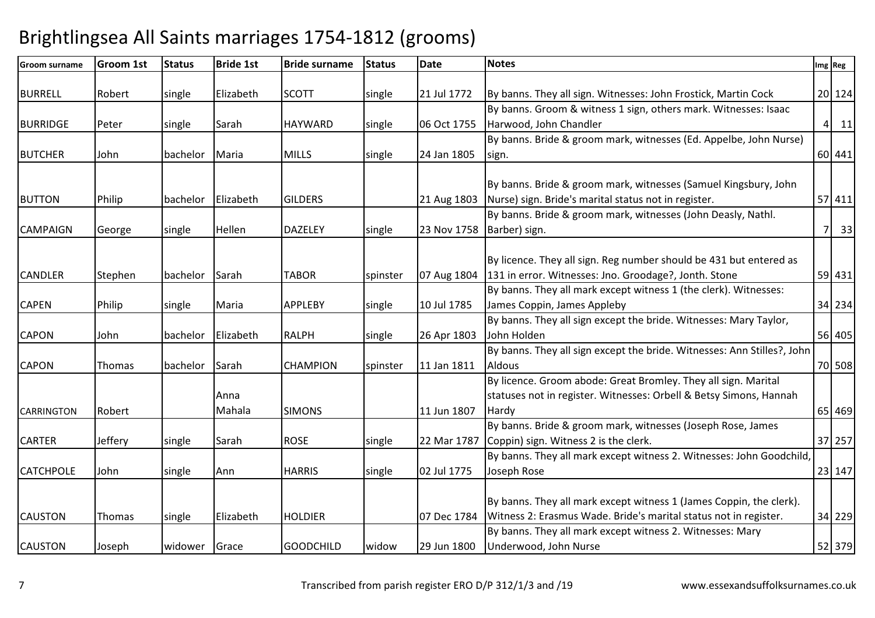| Groom surname     | <b>Groom 1st</b> | <b>Status</b> | <b>Bride 1st</b> | <b>Bride surname</b> | <b>Status</b> | <b>Date</b> | <b>Notes</b>                                                            | Img Reg |        |
|-------------------|------------------|---------------|------------------|----------------------|---------------|-------------|-------------------------------------------------------------------------|---------|--------|
|                   |                  |               |                  |                      |               |             |                                                                         |         |        |
| <b>BURRELL</b>    | Robert           | single        | Elizabeth        | <b>SCOTT</b>         | single        | 21 Jul 1772 | By banns. They all sign. Witnesses: John Frostick, Martin Cock          |         | 20 124 |
|                   |                  |               |                  |                      |               |             | By banns. Groom & witness 1 sign, others mark. Witnesses: Isaac         |         |        |
| <b>BURRIDGE</b>   | Peter            | single        | Sarah            | <b>HAYWARD</b>       | single        | 06 Oct 1755 | Harwood, John Chandler                                                  |         | 4 11   |
|                   |                  |               |                  |                      |               |             | By banns. Bride & groom mark, witnesses (Ed. Appelbe, John Nurse)       |         |        |
| <b>BUTCHER</b>    | John             | bachelor      | Maria            | <b>MILLS</b>         | single        | 24 Jan 1805 | sign.                                                                   |         | 60 441 |
|                   |                  |               |                  |                      |               |             |                                                                         |         |        |
|                   |                  |               |                  |                      |               |             | By banns. Bride & groom mark, witnesses (Samuel Kingsbury, John         |         |        |
| <b>BUTTON</b>     | Philip           | bachelor      | Elizabeth        | <b>GILDERS</b>       |               | 21 Aug 1803 | Nurse) sign. Bride's marital status not in register.                    |         | 57 411 |
|                   |                  |               |                  |                      |               |             | By banns. Bride & groom mark, witnesses (John Deasly, Nathl.            |         |        |
| <b>CAMPAIGN</b>   | George           | single        | Hellen           | <b>DAZELEY</b>       | single        | 23 Nov 1758 | Barber) sign.                                                           |         | 7 33   |
|                   |                  |               |                  |                      |               |             |                                                                         |         |        |
|                   |                  |               |                  |                      |               |             | By licence. They all sign. Reg number should be 431 but entered as      |         |        |
| <b>CANDLER</b>    | Stephen          | bachelor      | Sarah            | <b>TABOR</b>         | spinster      | 07 Aug 1804 | 131 in error. Witnesses: Jno. Groodage?, Jonth. Stone                   |         | 59 431 |
|                   |                  |               |                  |                      |               |             | By banns. They all mark except witness 1 (the clerk). Witnesses:        |         |        |
| <b>CAPEN</b>      | Philip           | single        | Maria            | <b>APPLEBY</b>       | single        | 10 Jul 1785 | James Coppin, James Appleby                                             |         | 34 234 |
|                   |                  |               |                  |                      |               |             | By banns. They all sign except the bride. Witnesses: Mary Taylor,       |         |        |
| <b>CAPON</b>      | John             | bachelor      | Elizabeth        | <b>RALPH</b>         | single        | 26 Apr 1803 | John Holden                                                             |         | 56 405 |
|                   |                  |               |                  |                      |               |             | By banns. They all sign except the bride. Witnesses: Ann Stilles?, John |         |        |
| <b>CAPON</b>      | Thomas           | bachelor      | Sarah            | <b>CHAMPION</b>      | spinster      | 11 Jan 1811 | <b>Aldous</b>                                                           |         | 70 508 |
|                   |                  |               |                  |                      |               |             | By licence. Groom abode: Great Bromley. They all sign. Marital          |         |        |
|                   |                  |               | Anna             |                      |               |             | statuses not in register. Witnesses: Orbell & Betsy Simons, Hannah      |         |        |
| <b>CARRINGTON</b> | Robert           |               | Mahala           | <b>SIMONS</b>        |               | 11 Jun 1807 | Hardy                                                                   |         | 65 469 |
|                   |                  |               |                  |                      |               |             | By banns. Bride & groom mark, witnesses (Joseph Rose, James             |         |        |
| <b>CARTER</b>     | Jeffery          | single        | Sarah            | <b>ROSE</b>          | single        | 22 Mar 1787 | Coppin) sign. Witness 2 is the clerk.                                   |         | 37 257 |
|                   |                  |               |                  |                      |               |             | By banns. They all mark except witness 2. Witnesses: John Goodchild,    |         |        |
| <b>CATCHPOLE</b>  | John             | single        | Ann              | <b>HARRIS</b>        | single        | 02 Jul 1775 | Joseph Rose                                                             |         | 23 147 |
|                   |                  |               |                  |                      |               |             |                                                                         |         |        |
|                   |                  |               |                  |                      |               |             | By banns. They all mark except witness 1 (James Coppin, the clerk).     |         |        |
| <b>CAUSTON</b>    | Thomas           | single        | Elizabeth        | <b>HOLDIER</b>       |               | 07 Dec 1784 | Witness 2: Erasmus Wade. Bride's marital status not in register.        |         | 34 229 |
|                   |                  |               |                  |                      |               |             | By banns. They all mark except witness 2. Witnesses: Mary               |         |        |
| <b>CAUSTON</b>    | Joseph           | widower       | Grace            | <b>GOODCHILD</b>     | widow         | 29 Jun 1800 | Underwood, John Nurse                                                   |         | 52 379 |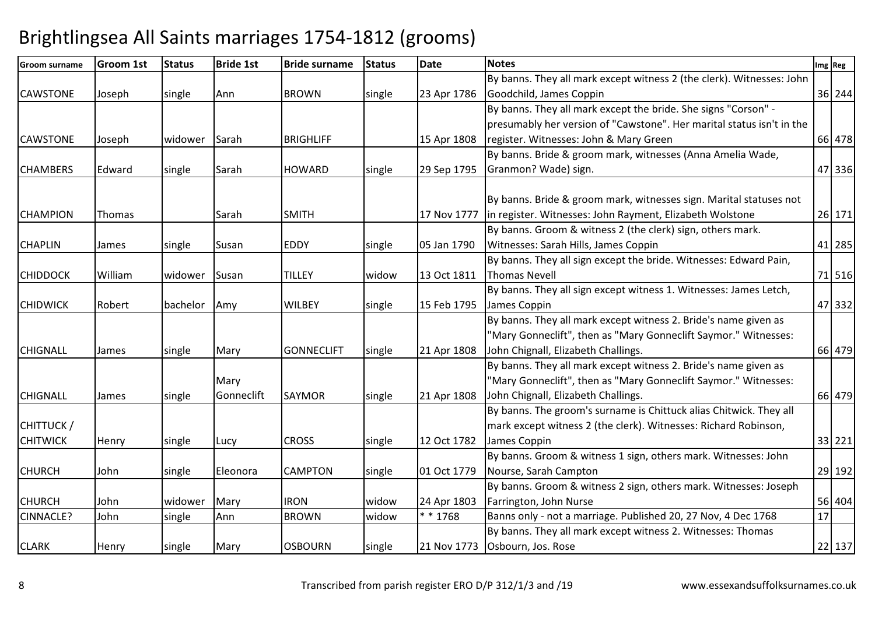| Groom surname    | <b>Groom 1st</b> | <b>Status</b> | <b>Bride 1st</b> | <b>Bride surname</b> | <b>Status</b> | <b>Date</b> | <b>Notes</b>                                                          |    | Img Reg |  |
|------------------|------------------|---------------|------------------|----------------------|---------------|-------------|-----------------------------------------------------------------------|----|---------|--|
|                  |                  |               |                  |                      |               |             | By banns. They all mark except witness 2 (the clerk). Witnesses: John |    |         |  |
| <b>CAWSTONE</b>  | Joseph           | single        | Ann              | <b>BROWN</b>         | single        | 23 Apr 1786 | Goodchild, James Coppin                                               |    | 36 244  |  |
|                  |                  |               |                  |                      |               |             | By banns. They all mark except the bride. She signs "Corson" -        |    |         |  |
|                  |                  |               |                  |                      |               |             | presumably her version of "Cawstone". Her marital status isn't in the |    |         |  |
| <b>CAWSTONE</b>  | Joseph           | widower       | Sarah            | <b>BRIGHLIFF</b>     |               | 15 Apr 1808 | register. Witnesses: John & Mary Green                                |    | 66 478  |  |
|                  |                  |               |                  |                      |               |             | By banns. Bride & groom mark, witnesses (Anna Amelia Wade,            |    |         |  |
| <b>CHAMBERS</b>  | Edward           | single        | Sarah            | <b>HOWARD</b>        | single        | 29 Sep 1795 | Granmon? Wade) sign.                                                  |    | 47 336  |  |
|                  |                  |               |                  |                      |               |             |                                                                       |    |         |  |
|                  |                  |               |                  |                      |               |             | By banns. Bride & groom mark, witnesses sign. Marital statuses not    |    |         |  |
| <b>CHAMPION</b>  | Thomas           |               | Sarah            | <b>SMITH</b>         |               | 17 Nov 1777 | in register. Witnesses: John Rayment, Elizabeth Wolstone              |    | 26 171  |  |
|                  |                  |               |                  |                      |               |             | By banns. Groom & witness 2 (the clerk) sign, others mark.            |    |         |  |
| <b>CHAPLIN</b>   | James            | single        | Susan            | <b>EDDY</b>          | single        | 05 Jan 1790 | Witnesses: Sarah Hills, James Coppin                                  |    | 41 285  |  |
|                  |                  |               |                  |                      |               |             | By banns. They all sign except the bride. Witnesses: Edward Pain,     |    |         |  |
| <b>CHIDDOCK</b>  | William          | widower       | Susan            | <b>TILLEY</b>        | widow         | 13 Oct 1811 | <b>Thomas Nevell</b>                                                  |    | 71 516  |  |
|                  |                  |               |                  |                      |               |             | By banns. They all sign except witness 1. Witnesses: James Letch,     |    |         |  |
| <b>CHIDWICK</b>  | Robert           | bachelor      | Amy              | <b>WILBEY</b>        | single        | 15 Feb 1795 | James Coppin                                                          |    | 47 332  |  |
|                  |                  |               |                  |                      |               |             | By banns. They all mark except witness 2. Bride's name given as       |    |         |  |
|                  |                  |               |                  |                      |               |             | "Mary Gonneclift", then as "Mary Gonneclift Saymor." Witnesses:       |    |         |  |
| <b>CHIGNALL</b>  | James            | single        | Mary             | <b>GONNECLIFT</b>    | single        | 21 Apr 1808 | John Chignall, Elizabeth Challings.                                   |    | 66 479  |  |
|                  |                  |               |                  |                      |               |             | By banns. They all mark except witness 2. Bride's name given as       |    |         |  |
|                  |                  |               | Mary             |                      |               |             | "Mary Gonneclift", then as "Mary Gonneclift Saymor." Witnesses:       |    |         |  |
| <b>CHIGNALL</b>  | James            | single        | Gonneclift       | <b>SAYMOR</b>        | single        | 21 Apr 1808 | John Chignall, Elizabeth Challings.                                   |    | 66 479  |  |
|                  |                  |               |                  |                      |               |             | By banns. The groom's surname is Chittuck alias Chitwick. They all    |    |         |  |
| CHITTUCK /       |                  |               |                  |                      |               |             | mark except witness 2 (the clerk). Witnesses: Richard Robinson,       |    |         |  |
| <b>CHITWICK</b>  | Henry            | single        | Lucy             | <b>CROSS</b>         | single        | 12 Oct 1782 | James Coppin                                                          |    | 33 221  |  |
|                  |                  |               |                  |                      |               |             | By banns. Groom & witness 1 sign, others mark. Witnesses: John        |    |         |  |
| <b>CHURCH</b>    | John             | single        | Eleonora         | <b>CAMPTON</b>       | single        | 01 Oct 1779 | Nourse, Sarah Campton                                                 |    | 29 192  |  |
|                  |                  |               |                  |                      |               |             | By banns. Groom & witness 2 sign, others mark. Witnesses: Joseph      |    |         |  |
| <b>CHURCH</b>    | John             | widower       | Mary             | <b>IRON</b>          | widow         | 24 Apr 1803 | Farrington, John Nurse                                                |    | 56 404  |  |
| <b>CINNACLE?</b> | John             | single        | Ann              | <b>BROWN</b>         | widow         | $* * 1768$  | Banns only - not a marriage. Published 20, 27 Nov, 4 Dec 1768         | 17 |         |  |
|                  |                  |               |                  |                      |               |             | By banns. They all mark except witness 2. Witnesses: Thomas           |    |         |  |
| <b>CLARK</b>     | Henry            | single        | Mary             | <b>OSBOURN</b>       | single        |             | 21 Nov 1773 Osbourn, Jos. Rose                                        |    | 22 137  |  |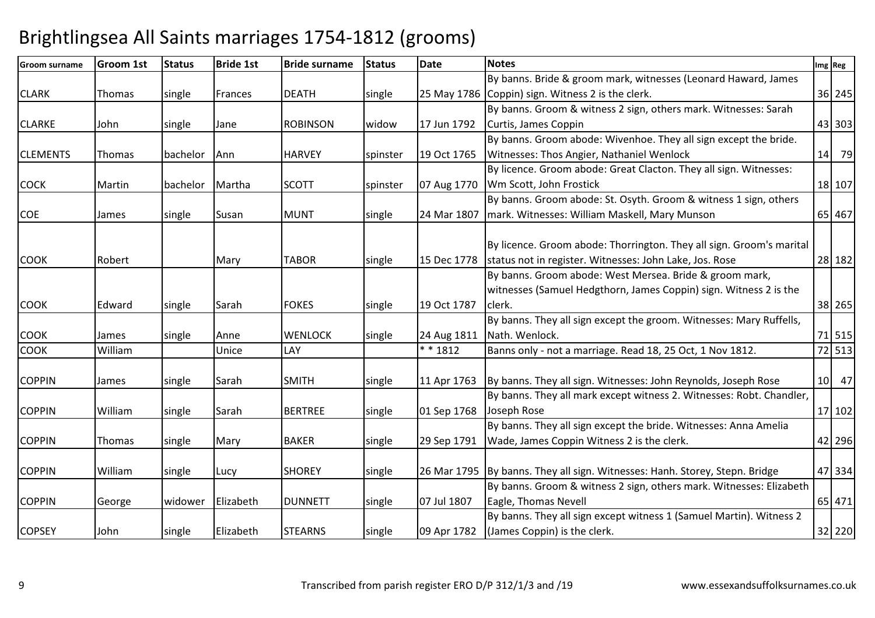| <b>Groom surname</b> | <b>Groom 1st</b> | <b>Status</b> | <b>Bride 1st</b> | <b>Bride surname</b> | <b>Status</b> | <b>Date</b> | <b>Notes</b>                                                                | Img Reg |
|----------------------|------------------|---------------|------------------|----------------------|---------------|-------------|-----------------------------------------------------------------------------|---------|
|                      |                  |               |                  |                      |               |             | By banns. Bride & groom mark, witnesses (Leonard Haward, James              |         |
| <b>CLARK</b>         | Thomas           | single        | Frances          | <b>DEATH</b>         | single        |             | 25 May 1786 Coppin) sign. Witness 2 is the clerk.                           | 36 245  |
|                      |                  |               |                  |                      |               |             | By banns. Groom & witness 2 sign, others mark. Witnesses: Sarah             |         |
| <b>CLARKE</b>        | John             | single        | Jane             | <b>ROBINSON</b>      | widow         | 17 Jun 1792 | Curtis, James Coppin                                                        | 43 303  |
|                      |                  |               |                  |                      |               |             | By banns. Groom abode: Wivenhoe. They all sign except the bride.            |         |
| <b>CLEMENTS</b>      | Thomas           | bachelor      | Ann              | <b>HARVEY</b>        | spinster      | 19 Oct 1765 | <b>Witnesses: Thos Angier, Nathaniel Wenlock</b>                            | 14 79   |
|                      |                  |               |                  |                      |               |             | By licence. Groom abode: Great Clacton. They all sign. Witnesses:           |         |
| <b>COCK</b>          | Martin           | bachelor      | Martha           | <b>SCOTT</b>         | spinster      | 07 Aug 1770 | Wm Scott, John Frostick                                                     | 18 107  |
|                      |                  |               |                  |                      |               |             | By banns. Groom abode: St. Osyth. Groom & witness 1 sign, others            |         |
| <b>COE</b>           | James            | single        | Susan            | <b>MUNT</b>          | single        | 24 Mar 1807 | mark. Witnesses: William Maskell, Mary Munson                               | 65 467  |
|                      |                  |               |                  |                      |               |             |                                                                             |         |
|                      |                  |               |                  |                      |               |             | By licence. Groom abode: Thorrington. They all sign. Groom's marital        |         |
| <b>COOK</b>          | Robert           |               | Mary             | <b>TABOR</b>         | single        | 15 Dec 1778 | status not in register. Witnesses: John Lake, Jos. Rose                     | 28 182  |
|                      |                  |               |                  |                      |               |             | By banns. Groom abode: West Mersea. Bride & groom mark,                     |         |
|                      |                  |               |                  |                      |               |             | witnesses (Samuel Hedgthorn, James Coppin) sign. Witness 2 is the           |         |
| <b>COOK</b>          | Edward           | single        | Sarah            | <b>FOKES</b>         | single        | 19 Oct 1787 | clerk.                                                                      | 38 265  |
|                      |                  |               |                  |                      |               |             | By banns. They all sign except the groom. Witnesses: Mary Ruffells,         |         |
| COOK                 | James            | single        | Anne             | <b>WENLOCK</b>       | single        | 24 Aug 1811 | Nath. Wenlock.                                                              | 71 515  |
| <b>COOK</b>          | William          |               | Unice            | LAY                  |               | * * 1812    | Banns only - not a marriage. Read 18, 25 Oct, 1 Nov 1812.                   | 72 513  |
|                      |                  |               |                  |                      |               |             |                                                                             |         |
| <b>COPPIN</b>        | James            | single        | Sarah            | <b>SMITH</b>         | single        | 11 Apr 1763 | By banns. They all sign. Witnesses: John Reynolds, Joseph Rose              | 10 47   |
|                      |                  |               |                  |                      |               |             | By banns. They all mark except witness 2. Witnesses: Robt. Chandler,        |         |
| <b>COPPIN</b>        | William          | single        | Sarah            | <b>BERTREE</b>       | single        | 01 Sep 1768 | Joseph Rose                                                                 | 17 102  |
|                      |                  |               |                  |                      |               |             | By banns. They all sign except the bride. Witnesses: Anna Amelia            |         |
| <b>COPPIN</b>        | Thomas           | single        | Mary             | <b>BAKER</b>         | single        | 29 Sep 1791 | Wade, James Coppin Witness 2 is the clerk.                                  | 42 296  |
|                      |                  |               |                  |                      |               |             |                                                                             |         |
| <b>COPPIN</b>        | William          | single        | Lucy             | <b>SHOREY</b>        | single        |             | 26 Mar 1795 By banns. They all sign. Witnesses: Hanh. Storey, Stepn. Bridge | 47 334  |
|                      |                  |               |                  |                      |               |             | By banns. Groom & witness 2 sign, others mark. Witnesses: Elizabeth         |         |
| <b>COPPIN</b>        | George           | widower       | Elizabeth        | <b>DUNNETT</b>       | single        | 07 Jul 1807 | Eagle, Thomas Nevell                                                        | 65 471  |
|                      |                  |               |                  |                      |               |             | By banns. They all sign except witness 1 (Samuel Martin). Witness 2         |         |
| <b>COPSEY</b>        | John             | single        | Elizabeth        | <b>STEARNS</b>       | single        | 09 Apr 1782 | (James Coppin) is the clerk.                                                | 32 220  |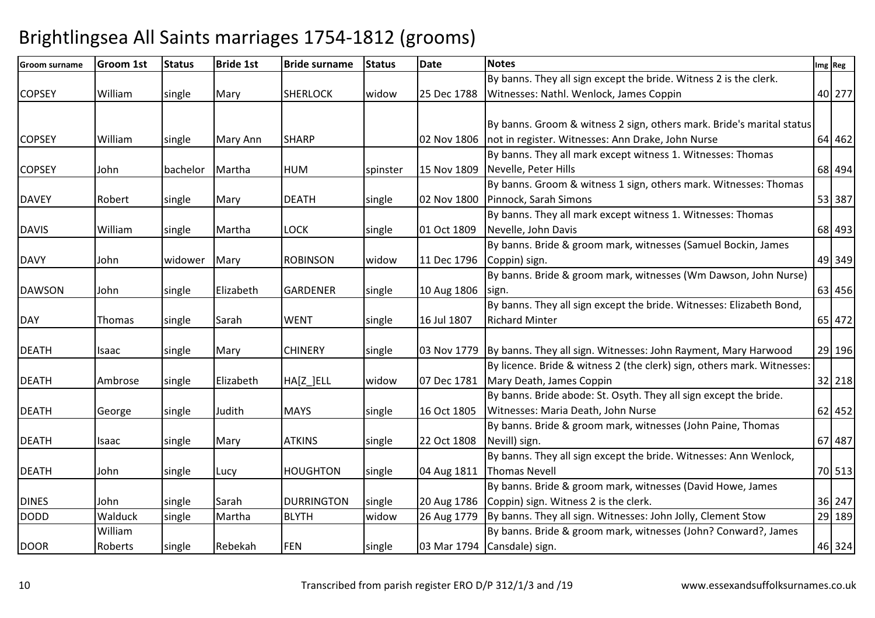| <b>Groom surname</b> | Groom 1st | <b>Status</b> | <b>Bride 1st</b> | <b>Bride surname</b> | <b>Status</b> | <b>Date</b> | <b>Notes</b>                                                               | Img Reg |
|----------------------|-----------|---------------|------------------|----------------------|---------------|-------------|----------------------------------------------------------------------------|---------|
|                      |           |               |                  |                      |               |             | By banns. They all sign except the bride. Witness 2 is the clerk.          |         |
| <b>COPSEY</b>        | William   | single        | Mary             | <b>SHERLOCK</b>      | widow         | 25 Dec 1788 | Witnesses: Nathl. Wenlock, James Coppin                                    | 40 277  |
|                      |           |               |                  |                      |               |             |                                                                            |         |
|                      |           |               |                  |                      |               |             | By banns. Groom & witness 2 sign, others mark. Bride's marital status      |         |
| <b>COPSEY</b>        | William   | single        | <b>Mary Ann</b>  | <b>SHARP</b>         |               | 02 Nov 1806 | not in register. Witnesses: Ann Drake, John Nurse                          | 64 462  |
|                      |           |               |                  |                      |               |             | By banns. They all mark except witness 1. Witnesses: Thomas                |         |
| <b>COPSEY</b>        | John      | bachelor      | Martha           | <b>HUM</b>           | spinster      | 15 Nov 1809 | Nevelle, Peter Hills                                                       | 68 494  |
|                      |           |               |                  |                      |               |             | By banns. Groom & witness 1 sign, others mark. Witnesses: Thomas           |         |
| <b>DAVEY</b>         | Robert    | single        | Mary             | <b>DEATH</b>         | single        | 02 Nov 1800 | Pinnock, Sarah Simons                                                      | 53 387  |
|                      |           |               |                  |                      |               |             | By banns. They all mark except witness 1. Witnesses: Thomas                |         |
| <b>DAVIS</b>         | William   | single        | Martha           | <b>LOCK</b>          | single        | 01 Oct 1809 | Nevelle, John Davis                                                        | 68 493  |
|                      |           |               |                  |                      |               |             | By banns. Bride & groom mark, witnesses (Samuel Bockin, James              |         |
| <b>DAVY</b>          | John      | widower       | Mary             | <b>ROBINSON</b>      | widow         | 11 Dec 1796 | Coppin) sign.                                                              | 49 349  |
|                      |           |               |                  |                      |               |             | By banns. Bride & groom mark, witnesses (Wm Dawson, John Nurse)            |         |
| <b>DAWSON</b>        | John      | single        | Elizabeth        | <b>GARDENER</b>      | single        | 10 Aug 1806 | sign.                                                                      | 63 456  |
|                      |           |               |                  |                      |               |             | By banns. They all sign except the bride. Witnesses: Elizabeth Bond,       |         |
| <b>DAY</b>           | Thomas    | single        | Sarah            | <b>WENT</b>          | single        | 16 Jul 1807 | <b>Richard Minter</b>                                                      | 65 472  |
|                      |           |               |                  |                      |               |             |                                                                            |         |
| <b>DEATH</b>         | Isaac     | single        | Mary             | <b>CHINERY</b>       | single        |             | 03 Nov 1779 By banns. They all sign. Witnesses: John Rayment, Mary Harwood | 29 196  |
|                      |           |               |                  |                      |               |             | By licence. Bride & witness 2 (the clerk) sign, others mark. Witnesses:    |         |
| <b>DEATH</b>         | Ambrose   | single        | Elizabeth        | HA[Z_]ELL            | widow         | 07 Dec 1781 | Mary Death, James Coppin                                                   | 32 218  |
|                      |           |               |                  |                      |               |             | By banns. Bride abode: St. Osyth. They all sign except the bride.          |         |
| <b>DEATH</b>         | George    | single        | Judith           | <b>MAYS</b>          | single        | 16 Oct 1805 | Witnesses: Maria Death, John Nurse                                         | 62 452  |
|                      |           |               |                  |                      |               |             | By banns. Bride & groom mark, witnesses (John Paine, Thomas                |         |
| <b>DEATH</b>         | Isaac     | single        | Mary             | <b>ATKINS</b>        | single        | 22 Oct 1808 | Nevill) sign.                                                              | 67 487  |
|                      |           |               |                  |                      |               |             | By banns. They all sign except the bride. Witnesses: Ann Wenlock,          |         |
| <b>DEATH</b>         | John      | single        | Lucy             | <b>HOUGHTON</b>      | single        | 04 Aug 1811 | <b>Thomas Nevell</b>                                                       | 70 513  |
|                      |           |               |                  |                      |               |             | By banns. Bride & groom mark, witnesses (David Howe, James                 |         |
| <b>DINES</b>         | John      | single        | Sarah            | <b>DURRINGTON</b>    | single        | 20 Aug 1786 | Coppin) sign. Witness 2 is the clerk.                                      | 36 247  |
| <b>DODD</b>          | Walduck   | single        | Martha           | <b>BLYTH</b>         | widow         | 26 Aug 1779 | By banns. They all sign. Witnesses: John Jolly, Clement Stow               | 29 189  |
|                      | William   |               |                  |                      |               |             | By banns. Bride & groom mark, witnesses (John? Conward?, James             |         |
| <b>DOOR</b>          | Roberts   | single        | Rebekah          | <b>FEN</b>           | single        |             | 03 Mar 1794 Cansdale) sign.                                                | 46 324  |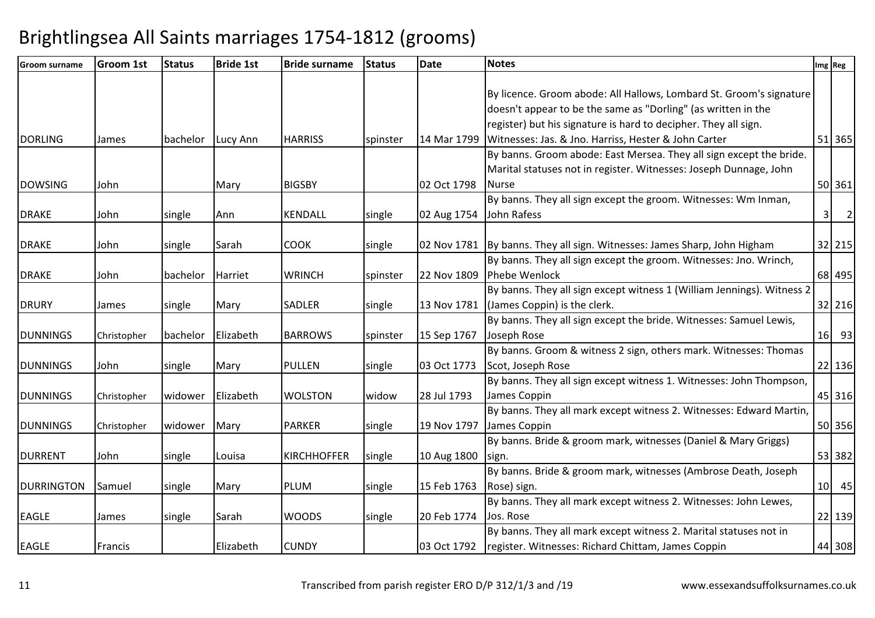| <b>Groom surname</b> | <b>Groom 1st</b> | <b>Status</b> | <b>Bride 1st</b> | <b>Bride surname</b> | <b>Status</b> | <b>Date</b> | <b>Notes</b>                                                               | Img Reg             |
|----------------------|------------------|---------------|------------------|----------------------|---------------|-------------|----------------------------------------------------------------------------|---------------------|
|                      |                  |               |                  |                      |               |             |                                                                            |                     |
|                      |                  |               |                  |                      |               |             | By licence. Groom abode: All Hallows, Lombard St. Groom's signature        |                     |
|                      |                  |               |                  |                      |               |             | doesn't appear to be the same as "Dorling" (as written in the              |                     |
|                      |                  |               |                  |                      |               |             | register) but his signature is hard to decipher. They all sign.            |                     |
| <b>DORLING</b>       | James            | bachelor      | Lucy Ann         | <b>HARRISS</b>       | spinster      | 14 Mar 1799 | Witnesses: Jas. & Jno. Harriss, Hester & John Carter                       | 51 365              |
|                      |                  |               |                  |                      |               |             | By banns. Groom abode: East Mersea. They all sign except the bride.        |                     |
|                      |                  |               |                  |                      |               |             | Marital statuses not in register. Witnesses: Joseph Dunnage, John          |                     |
| <b>DOWSING</b>       | John             |               | Mary             | <b>BIGSBY</b>        |               | 02 Oct 1798 | Nurse                                                                      | 50 361              |
|                      |                  |               |                  |                      |               |             | By banns. They all sign except the groom. Witnesses: Wm Inman,             |                     |
| <b>DRAKE</b>         | John             | single        | Ann              | KENDALL              | single        | 02 Aug 1754 | John Rafess                                                                | $\overline{2}$<br>3 |
|                      |                  |               |                  |                      |               |             |                                                                            |                     |
| <b>DRAKE</b>         | John             | single        | Sarah            | <b>COOK</b>          | single        |             | 02 Nov 1781   By banns. They all sign. Witnesses: James Sharp, John Higham | 32 215              |
|                      |                  |               |                  |                      |               |             | By banns. They all sign except the groom. Witnesses: Jno. Wrinch,          |                     |
| <b>DRAKE</b>         | John             | bachelor      | Harriet          | <b>WRINCH</b>        | spinster      | 22 Nov 1809 | Phebe Wenlock                                                              | 68 495              |
|                      |                  |               |                  |                      |               |             | By banns. They all sign except witness 1 (William Jennings). Witness 2     |                     |
| <b>DRURY</b>         | James            | single        | Mary             | SADLER               | single        | 13 Nov 1781 | (James Coppin) is the clerk.                                               | 32 216              |
|                      |                  |               |                  |                      |               |             | By banns. They all sign except the bride. Witnesses: Samuel Lewis,         |                     |
| <b>DUNNINGS</b>      | Christopher      | bachelor      | Elizabeth        | <b>BARROWS</b>       | spinster      | 15 Sep 1767 | Joseph Rose                                                                | $16$ 93             |
|                      |                  |               |                  |                      |               |             | By banns. Groom & witness 2 sign, others mark. Witnesses: Thomas           |                     |
| <b>DUNNINGS</b>      | John             | single        | Mary             | <b>PULLEN</b>        | single        | 03 Oct 1773 | Scot, Joseph Rose                                                          | 22 136              |
|                      |                  |               |                  |                      |               |             | By banns. They all sign except witness 1. Witnesses: John Thompson,        |                     |
| <b>DUNNINGS</b>      | Christopher      | widower       | Elizabeth        | <b>WOLSTON</b>       | widow         | 28 Jul 1793 | James Coppin                                                               | 45 316              |
|                      |                  |               |                  |                      |               |             | By banns. They all mark except witness 2. Witnesses: Edward Martin,        |                     |
| <b>DUNNINGS</b>      | Christopher      | widower       | Mary             | <b>PARKER</b>        | single        | 19 Nov 1797 | James Coppin                                                               | 50 356              |
|                      |                  |               |                  |                      |               |             | By banns. Bride & groom mark, witnesses (Daniel & Mary Griggs)             |                     |
| <b>DURRENT</b>       | John             | single        | Louisa           | <b>KIRCHHOFFER</b>   | single        | 10 Aug 1800 | sign.                                                                      | 53 382              |
|                      |                  |               |                  |                      |               |             | By banns. Bride & groom mark, witnesses (Ambrose Death, Joseph             |                     |
| <b>DURRINGTON</b>    | Samuel           | single        | Mary             | <b>PLUM</b>          | single        | 15 Feb 1763 | Rose) sign.                                                                | $10$ 45             |
|                      |                  |               |                  |                      |               |             | By banns. They all mark except witness 2. Witnesses: John Lewes,           |                     |
| <b>EAGLE</b>         | James            | single        | Sarah            | <b>WOODS</b>         | single        | 20 Feb 1774 | Jos. Rose                                                                  | 22 139              |
|                      |                  |               |                  |                      |               |             | By banns. They all mark except witness 2. Marital statuses not in          |                     |
| <b>EAGLE</b>         | Francis          |               | Elizabeth        | <b>CUNDY</b>         |               | 03 Oct 1792 | register. Witnesses: Richard Chittam, James Coppin                         | 44 308              |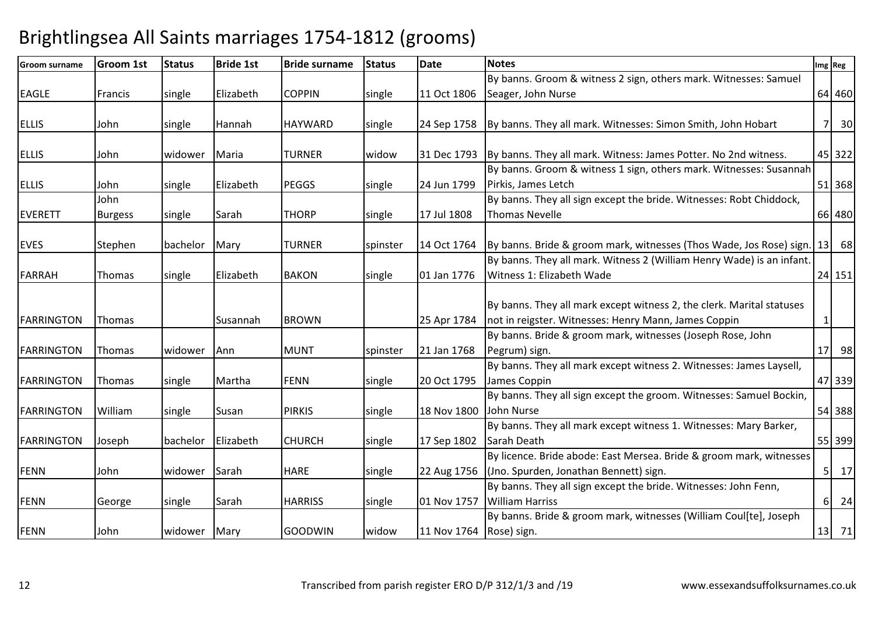| <b>Groom surname</b> | <b>Groom 1st</b> | <b>Status</b> | <b>Bride 1st</b> | <b>Bride surname</b> | <b>Status</b> | <b>Date</b>             | <b>Notes</b>                                                                         |                 | Img Reg |
|----------------------|------------------|---------------|------------------|----------------------|---------------|-------------------------|--------------------------------------------------------------------------------------|-----------------|---------|
|                      |                  |               |                  |                      |               |                         | By banns. Groom & witness 2 sign, others mark. Witnesses: Samuel                     |                 |         |
| <b>EAGLE</b>         | Francis          | single        | Elizabeth        | <b>COPPIN</b>        | single        | 11 Oct 1806             | Seager, John Nurse                                                                   |                 | 64 460  |
|                      |                  |               |                  |                      |               |                         |                                                                                      |                 |         |
| <b>ELLIS</b>         | John             | single        | Hannah           | <b>HAYWARD</b>       | single        | 24 Sep 1758             | By banns. They all mark. Witnesses: Simon Smith, John Hobart                         | 71              | 30      |
|                      |                  |               |                  |                      |               |                         |                                                                                      |                 |         |
| <b>ELLIS</b>         | John             | widower       | Maria            | TURNER               | widow         | 31 Dec 1793             | By banns. They all mark. Witness: James Potter. No 2nd witness.                      |                 | 45 322  |
|                      |                  |               |                  |                      |               |                         | By banns. Groom & witness 1 sign, others mark. Witnesses: Susannah                   |                 |         |
| <b>ELLIS</b>         | John             | single        | Elizabeth        | <b>PEGGS</b>         | single        | 24 Jun 1799             | Pirkis, James Letch                                                                  |                 | 51 368  |
|                      | John             |               |                  |                      |               |                         | By banns. They all sign except the bride. Witnesses: Robt Chiddock,                  |                 |         |
| <b>EVERETT</b>       | <b>Burgess</b>   | single        | Sarah            | <b>THORP</b>         | single        | 17 Jul 1808             | <b>Thomas Nevelle</b>                                                                |                 | 66 480  |
|                      |                  |               |                  |                      |               |                         |                                                                                      |                 |         |
| <b>EVES</b>          | Stephen          | bachelor      | Mary             | TURNER               | spinster      | 14 Oct 1764             | By banns. Bride & groom mark, witnesses (Thos Wade, Jos Rose) sign.                  | 13              | 68      |
|                      |                  |               |                  |                      |               |                         | By banns. They all mark. Witness 2 (William Henry Wade) is an infant.                |                 |         |
| <b>FARRAH</b>        | Thomas           | single        | Elizabeth        | <b>BAKON</b>         | single        | 01 Jan 1776             | Witness 1: Elizabeth Wade                                                            |                 | 24 151  |
|                      |                  |               |                  |                      |               |                         |                                                                                      |                 |         |
|                      |                  |               |                  |                      |               |                         | By banns. They all mark except witness 2, the clerk. Marital statuses                |                 |         |
| <b>FARRINGTON</b>    | Thomas           |               | Susannah         | <b>BROWN</b>         |               | 25 Apr 1784             | not in reigster. Witnesses: Henry Mann, James Coppin                                 | 1               |         |
|                      |                  |               |                  |                      |               |                         | By banns. Bride & groom mark, witnesses (Joseph Rose, John                           | 17 <sup>1</sup> | 98      |
| <b>FARRINGTON</b>    | Thomas           | widower       | Ann              | <b>MUNT</b>          | spinster      | 21 Jan 1768             | Pegrum) sign.<br>By banns. They all mark except witness 2. Witnesses: James Laysell, |                 |         |
| <b>FARRINGTON</b>    | <b>Thomas</b>    |               | Martha           | <b>FENN</b>          |               | 20 Oct 1795             | James Coppin                                                                         |                 | 47 339  |
|                      |                  | single        |                  |                      | single        |                         | By banns. They all sign except the groom. Witnesses: Samuel Bockin,                  |                 |         |
| <b>FARRINGTON</b>    | William          | single        | Susan            | <b>PIRKIS</b>        | single        | 18 Nov 1800             | John Nurse                                                                           |                 | 54 388  |
|                      |                  |               |                  |                      |               |                         | By banns. They all mark except witness 1. Witnesses: Mary Barker,                    |                 |         |
| <b>FARRINGTON</b>    | Joseph           | bachelor      | Elizabeth        | <b>CHURCH</b>        | single        | 17 Sep 1802             | Sarah Death                                                                          |                 | 55 399  |
|                      |                  |               |                  |                      |               |                         | By licence. Bride abode: East Mersea. Bride & groom mark, witnesses                  |                 |         |
| <b>FENN</b>          | John             | widower       | Sarah            | <b>HARE</b>          | single        | 22 Aug 1756             | (Jno. Spurden, Jonathan Bennett) sign.                                               | 5 <sup>1</sup>  | 17      |
|                      |                  |               |                  |                      |               |                         | By banns. They all sign except the bride. Witnesses: John Fenn,                      |                 |         |
| <b>FENN</b>          | George           | single        | Sarah            | <b>HARRISS</b>       | single        | 01 Nov 1757             | <b>William Harriss</b>                                                               | $6 \mid$        | 24      |
|                      |                  |               |                  |                      |               |                         | By banns. Bride & groom mark, witnesses (William Coul[te], Joseph                    |                 |         |
| <b>FENN</b>          | John             | widower       | Mary             | <b>GOODWIN</b>       | widow         | 11 Nov 1764 Rose) sign. |                                                                                      |                 | 13 71   |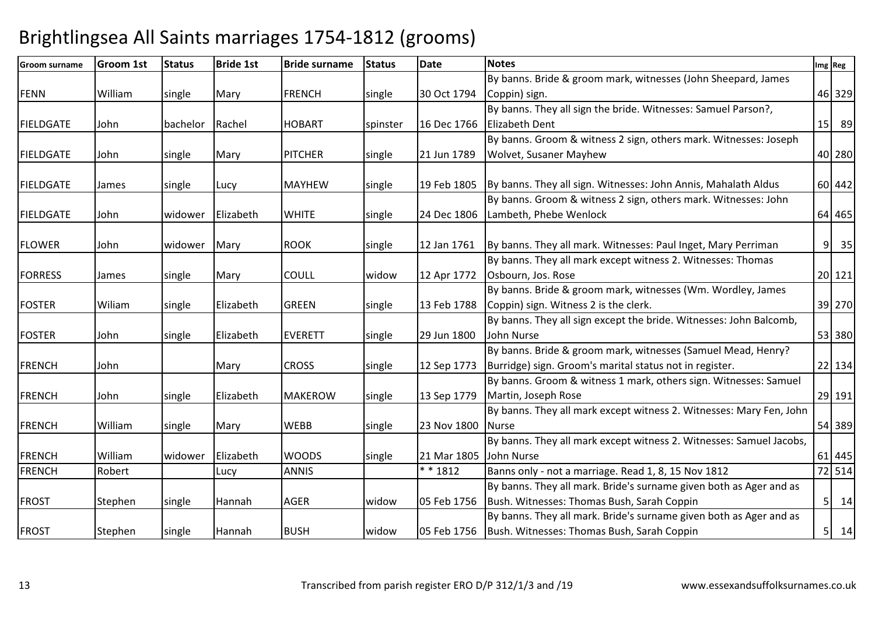| <b>Groom surname</b> | <b>Groom 1st</b> | <b>Status</b> | <b>Bride 1st</b> | <b>Bride surname</b> | <b>Status</b> | <b>Date</b> | <b>Notes</b>                                                        |   | Img Reg |
|----------------------|------------------|---------------|------------------|----------------------|---------------|-------------|---------------------------------------------------------------------|---|---------|
|                      |                  |               |                  |                      |               |             | By banns. Bride & groom mark, witnesses (John Sheepard, James       |   |         |
| <b>FENN</b>          | William          | single        | Mary             | <b>FRENCH</b>        | single        | 30 Oct 1794 | Coppin) sign.                                                       |   | 46 329  |
|                      |                  |               |                  |                      |               |             | By banns. They all sign the bride. Witnesses: Samuel Parson?,       |   |         |
| <b>FIELDGATE</b>     | John             | bachelor      | Rachel           | <b>HOBART</b>        | spinster      | 16 Dec 1766 | <b>Elizabeth Dent</b>                                               |   | 15 89   |
|                      |                  |               |                  |                      |               |             | By banns. Groom & witness 2 sign, others mark. Witnesses: Joseph    |   |         |
| <b>FIELDGATE</b>     | John             | single        | Mary             | <b>PITCHER</b>       | single        | 21 Jun 1789 | <b>Wolvet, Susaner Mayhew</b>                                       |   | 40 280  |
|                      |                  |               |                  |                      |               |             |                                                                     |   |         |
| <b>FIELDGATE</b>     | James            | single        | Lucy             | <b>MAYHEW</b>        | single        | 19 Feb 1805 | By banns. They all sign. Witnesses: John Annis, Mahalath Aldus      |   | 60 442  |
|                      |                  |               |                  |                      |               |             | By banns. Groom & witness 2 sign, others mark. Witnesses: John      |   |         |
| <b>FIELDGATE</b>     | John.            | widower       | Elizabeth        | <b>WHITE</b>         | single        | 24 Dec 1806 | Lambeth, Phebe Wenlock                                              |   | 64 465  |
| <b>FLOWER</b>        | John             | widower       | Mary             | <b>ROOK</b>          | single        | 12 Jan 1761 | By banns. They all mark. Witnesses: Paul Inget, Mary Perriman       | 9 | 35      |
|                      |                  |               |                  |                      |               |             | By banns. They all mark except witness 2. Witnesses: Thomas         |   |         |
| <b>FORRESS</b>       | James            | single        | Mary             | <b>COULL</b>         | widow         | 12 Apr 1772 | Osbourn, Jos. Rose                                                  |   | 20 121  |
|                      |                  |               |                  |                      |               |             | By banns. Bride & groom mark, witnesses (Wm. Wordley, James         |   |         |
| <b>FOSTER</b>        | Wiliam           | single        | Elizabeth        | <b>GREEN</b>         | single        | 13 Feb 1788 | Coppin) sign. Witness 2 is the clerk.                               |   | 39 270  |
|                      |                  |               |                  |                      |               |             | By banns. They all sign except the bride. Witnesses: John Balcomb,  |   |         |
| <b>FOSTER</b>        | John             | single        | Elizabeth        | <b>EVERETT</b>       | single        | 29 Jun 1800 | John Nurse                                                          |   | 53 380  |
|                      |                  |               |                  |                      |               |             | By banns. Bride & groom mark, witnesses (Samuel Mead, Henry?        |   |         |
| <b>FRENCH</b>        | John             |               | Mary             | <b>CROSS</b>         | single        | 12 Sep 1773 | Burridge) sign. Groom's marital status not in register.             |   | 22 134  |
|                      |                  |               |                  |                      |               |             | By banns. Groom & witness 1 mark, others sign. Witnesses: Samuel    |   |         |
| <b>FRENCH</b>        | John             | single        | Elizabeth        | <b>MAKEROW</b>       | single        | 13 Sep 1779 | Martin, Joseph Rose                                                 |   | 29 191  |
|                      |                  |               |                  |                      |               |             | By banns. They all mark except witness 2. Witnesses: Mary Fen, John |   |         |
| <b>FRENCH</b>        | William          | single        | Mary             | <b>WEBB</b>          | single        | 23 Nov 1800 | <b>INurse</b>                                                       |   | 54 389  |
|                      |                  |               |                  |                      |               |             | By banns. They all mark except witness 2. Witnesses: Samuel Jacobs, |   |         |
| <b>FRENCH</b>        | William          | widower       | Elizabeth        | <b>WOODS</b>         | single        | 21 Mar 1805 | John Nurse                                                          |   | 61 445  |
| <b>FRENCH</b>        | Robert           |               | Lucy             | <b>ANNIS</b>         |               | $* * 1812$  | Banns only - not a marriage. Read 1, 8, 15 Nov 1812                 |   | 72 514  |
|                      |                  |               |                  |                      |               |             | By banns. They all mark. Bride's surname given both as Ager and as  |   |         |
| <b>FROST</b>         | Stephen          | single        | Hannah           | <b>AGER</b>          | widow         | 05 Feb 1756 | Bush. Witnesses: Thomas Bush, Sarah Coppin                          |   | $5$ 14  |
|                      |                  |               |                  |                      |               |             | By banns. They all mark. Bride's surname given both as Ager and as  |   |         |
| <b>FROST</b>         | Stephen          | single        | Hannah           | <b>BUSH</b>          | widow         | 05 Feb 1756 | Bush. Witnesses: Thomas Bush, Sarah Coppin                          |   | $5$ 14  |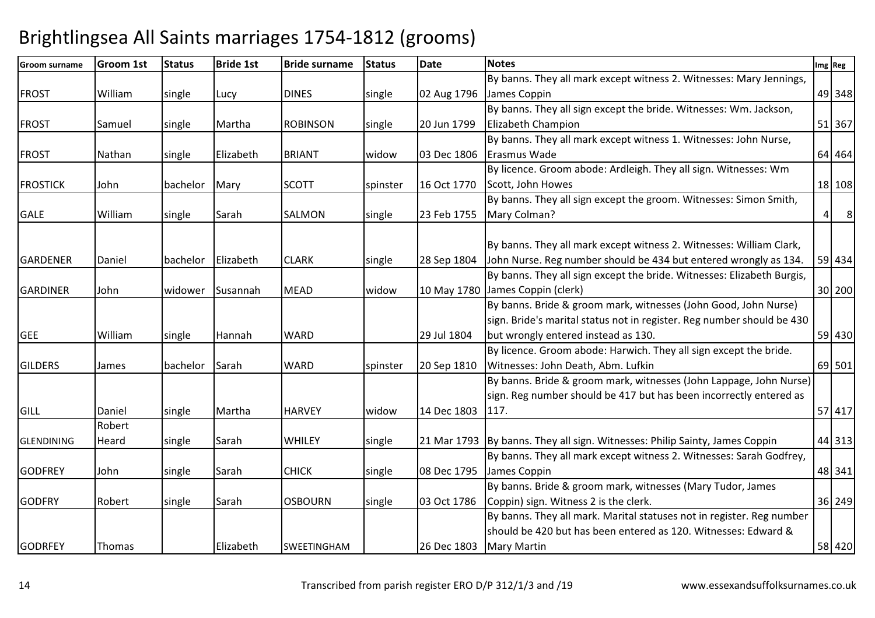| <b>Groom surname</b> | <b>Groom 1st</b> | <b>Status</b> | <b>Bride 1st</b> | <b>Bride surname</b> | <b>Status</b> | <b>Date</b> | <b>Notes</b>                                                                  | Img Reg                           |
|----------------------|------------------|---------------|------------------|----------------------|---------------|-------------|-------------------------------------------------------------------------------|-----------------------------------|
|                      |                  |               |                  |                      |               |             | By banns. They all mark except witness 2. Witnesses: Mary Jennings,           |                                   |
| <b>FROST</b>         | William          | single        | Lucy             | <b>DINES</b>         | single        | 02 Aug 1796 | James Coppin                                                                  | 49 348                            |
|                      |                  |               |                  |                      |               |             | By banns. They all sign except the bride. Witnesses: Wm. Jackson,             |                                   |
| <b>FROST</b>         | Samuel           | single        | Martha           | <b>ROBINSON</b>      | single        | 20 Jun 1799 | Elizabeth Champion                                                            | 51 367                            |
|                      |                  |               |                  |                      |               |             | By banns. They all mark except witness 1. Witnesses: John Nurse,              |                                   |
| <b>FROST</b>         | Nathan           | single        | Elizabeth        | <b>BRIANT</b>        | widow         | 03 Dec 1806 | Erasmus Wade                                                                  | 64 464                            |
|                      |                  |               |                  |                      |               |             | By licence. Groom abode: Ardleigh. They all sign. Witnesses: Wm               |                                   |
| <b>FROSTICK</b>      | John             | bachelor      | Mary             | <b>SCOTT</b>         | spinster      | 16 Oct 1770 | Scott, John Howes                                                             | 18 108                            |
|                      |                  |               |                  |                      |               |             | By banns. They all sign except the groom. Witnesses: Simon Smith,             |                                   |
| <b>GALE</b>          | William          | single        | Sarah            | SALMON               | single        | 23 Feb 1755 | Mary Colman?                                                                  | 8 <sup>8</sup><br>$\vert 4 \vert$ |
|                      |                  |               |                  |                      |               |             |                                                                               |                                   |
|                      |                  |               |                  |                      |               |             | By banns. They all mark except witness 2. Witnesses: William Clark,           |                                   |
| <b>GARDENER</b>      | Daniel           | bachelor      | Elizabeth        | <b>CLARK</b>         | single        | 28 Sep 1804 | John Nurse. Reg number should be 434 but entered wrongly as 134.              | 59 434                            |
|                      |                  |               |                  |                      |               |             | By banns. They all sign except the bride. Witnesses: Elizabeth Burgis,        |                                   |
| <b>GARDINER</b>      | John             | widower       | Susannah         | <b>MEAD</b>          | widow         |             | 10 May 1780 James Coppin (clerk)                                              | 30 200                            |
|                      |                  |               |                  |                      |               |             | By banns. Bride & groom mark, witnesses (John Good, John Nurse)               |                                   |
|                      |                  |               |                  |                      |               |             | sign. Bride's marital status not in register. Reg number should be 430        |                                   |
| <b>GEE</b>           | William          | single        | Hannah           | <b>WARD</b>          |               | 29 Jul 1804 | but wrongly entered instead as 130.                                           | 59 430                            |
|                      |                  |               |                  |                      |               |             | By licence. Groom abode: Harwich. They all sign except the bride.             |                                   |
| <b>GILDERS</b>       | James            | bachelor      | Sarah            | <b>WARD</b>          | spinster      | 20 Sep 1810 | Witnesses: John Death, Abm. Lufkin                                            | 69 501                            |
|                      |                  |               |                  |                      |               |             | By banns. Bride & groom mark, witnesses (John Lappage, John Nurse)            |                                   |
|                      |                  |               |                  |                      |               |             | sign. Reg number should be 417 but has been incorrectly entered as            |                                   |
| <b>GILL</b>          | Daniel           | single        | Martha           | <b>HARVEY</b>        | widow         | 14 Dec 1803 | 117.                                                                          | 57 417                            |
|                      | Robert           |               |                  |                      |               |             |                                                                               |                                   |
| <b>GLENDINING</b>    | Heard            | single        | Sarah            | <b>WHILEY</b>        | single        |             | 21 Mar 1793   By banns. They all sign. Witnesses: Philip Sainty, James Coppin | 44 313                            |
|                      |                  |               |                  |                      |               |             | By banns. They all mark except witness 2. Witnesses: Sarah Godfrey,           |                                   |
| <b>GODFREY</b>       | John             | single        | Sarah            | <b>CHICK</b>         | single        | 08 Dec 1795 | James Coppin                                                                  | 48 341                            |
|                      |                  |               |                  |                      |               |             | By banns. Bride & groom mark, witnesses (Mary Tudor, James                    |                                   |
| <b>GODFRY</b>        | Robert           | single        | Sarah            | <b>OSBOURN</b>       | single        | 03 Oct 1786 | Coppin) sign. Witness 2 is the clerk.                                         | 36 249                            |
|                      |                  |               |                  |                      |               |             | By banns. They all mark. Marital statuses not in register. Reg number         |                                   |
|                      |                  |               |                  |                      |               |             | should be 420 but has been entered as 120. Witnesses: Edward &                |                                   |
| <b>GODRFEY</b>       | Thomas           |               | Elizabeth        | SWEETINGHAM          |               | 26 Dec 1803 | <b>Mary Martin</b>                                                            | 58 420                            |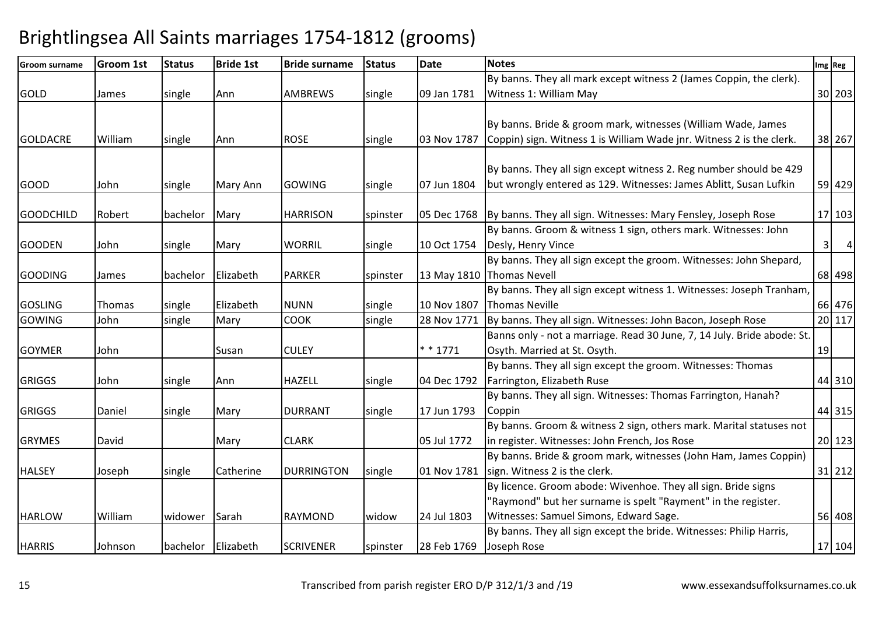| Groom surname    | <b>Groom 1st</b> | <b>Status</b>      | <b>Bride 1st</b> | <b>Bride surname</b> | <b>Status</b> | <b>Date</b> | <b>Notes</b>                                                              |    | Img Reg |                |
|------------------|------------------|--------------------|------------------|----------------------|---------------|-------------|---------------------------------------------------------------------------|----|---------|----------------|
|                  |                  |                    |                  |                      |               |             | By banns. They all mark except witness 2 (James Coppin, the clerk).       |    |         |                |
| <b>GOLD</b>      | James            | single             | Ann              | <b>AMBREWS</b>       | single        | 09 Jan 1781 | Witness 1: William May                                                    |    | 30 203  |                |
|                  |                  |                    |                  |                      |               |             |                                                                           |    |         |                |
|                  |                  |                    |                  |                      |               |             | By banns. Bride & groom mark, witnesses (William Wade, James              |    |         |                |
| <b>GOLDACRE</b>  | William          | single             | Ann              | <b>ROSE</b>          | single        | 03 Nov 1787 | Coppin) sign. Witness 1 is William Wade jnr. Witness 2 is the clerk.      |    | 38 267  |                |
|                  |                  |                    |                  |                      |               |             |                                                                           |    |         |                |
|                  |                  |                    |                  |                      |               |             | By banns. They all sign except witness 2. Reg number should be 429        |    |         |                |
| <b>GOOD</b>      | John             | single             | Mary Ann         | <b>GOWING</b>        | single        | 07 Jun 1804 | but wrongly entered as 129. Witnesses: James Ablitt, Susan Lufkin         |    | 59 429  |                |
|                  |                  |                    |                  |                      |               |             |                                                                           |    |         |                |
| <b>GOODCHILD</b> | Robert           | bachelor           | Mary             | <b>HARRISON</b>      | spinster      |             | 05 Dec 1768 By banns. They all sign. Witnesses: Mary Fensley, Joseph Rose |    | 17 103  |                |
|                  |                  |                    |                  |                      |               |             | By banns. Groom & witness 1 sign, others mark. Witnesses: John            |    |         |                |
| <b>GOODEN</b>    | John             | single             | Mary             | <b>WORRIL</b>        | single        | 10 Oct 1754 | Desly, Henry Vince                                                        |    | 3       | $\overline{4}$ |
|                  |                  |                    |                  |                      |               |             | By banns. They all sign except the groom. Witnesses: John Shepard,        |    |         |                |
| <b>GOODING</b>   | James            | bachelor           | Elizabeth        | <b>PARKER</b>        | spinster      |             | 13 May 1810 Thomas Nevell                                                 |    | 68 498  |                |
|                  |                  |                    |                  |                      |               |             | By banns. They all sign except witness 1. Witnesses: Joseph Tranham,      |    |         |                |
| <b>GOSLING</b>   | Thomas           | single             | Elizabeth        | <b>NUNN</b>          | single        | 10 Nov 1807 | Thomas Neville                                                            |    | 66 476  |                |
| <b>GOWING</b>    | John             | single             | Mary             | <b>COOK</b>          | single        | 28 Nov 1771 | By banns. They all sign. Witnesses: John Bacon, Joseph Rose               |    | 20 117  |                |
|                  |                  |                    |                  |                      |               |             | Banns only - not a marriage. Read 30 June, 7, 14 July. Bride abode: St.   |    |         |                |
| <b>GOYMER</b>    | John             |                    | Susan            | <b>CULEY</b>         |               | $* * 1771$  | Osyth. Married at St. Osyth.                                              | 19 |         |                |
|                  |                  |                    |                  |                      |               |             | By banns. They all sign except the groom. Witnesses: Thomas               |    |         |                |
| <b>GRIGGS</b>    | John             | single             | Ann              | <b>HAZELL</b>        | single        | 04 Dec 1792 | Farrington, Elizabeth Ruse                                                |    | 44 310  |                |
|                  |                  |                    |                  |                      |               |             | By banns. They all sign. Witnesses: Thomas Farrington, Hanah?             |    |         |                |
| <b>GRIGGS</b>    | Daniel           | single             | Mary             | <b>DURRANT</b>       | single        | 17 Jun 1793 | Coppin                                                                    |    | 44 315  |                |
|                  |                  |                    |                  |                      |               |             | By banns. Groom & witness 2 sign, others mark. Marital statuses not       |    |         |                |
| <b>GRYMES</b>    | David            |                    | Mary             | <b>CLARK</b>         |               | 05 Jul 1772 | in register. Witnesses: John French, Jos Rose                             |    | 20 123  |                |
|                  |                  |                    |                  |                      |               |             | By banns. Bride & groom mark, witnesses (John Ham, James Coppin)          |    |         |                |
| <b>HALSEY</b>    | Joseph           | single             | Catherine        | <b>DURRINGTON</b>    | single        | 01 Nov 1781 | sign. Witness 2 is the clerk.                                             |    | 31 212  |                |
|                  |                  |                    |                  |                      |               |             | By licence. Groom abode: Wivenhoe. They all sign. Bride signs             |    |         |                |
|                  |                  |                    |                  |                      |               |             | 'Raymond" but her surname is spelt "Rayment" in the register.             |    |         |                |
| <b>HARLOW</b>    | William          | widower            | Sarah            | <b>RAYMOND</b>       | widow         | 24 Jul 1803 | Witnesses: Samuel Simons, Edward Sage.                                    |    | 56 408  |                |
|                  |                  |                    |                  |                      |               |             | By banns. They all sign except the bride. Witnesses: Philip Harris,       |    |         |                |
| <b>HARRIS</b>    | Johnson          | bachelor Elizabeth |                  | <b>SCRIVENER</b>     | spinster      | 28 Feb 1769 | Joseph Rose                                                               |    | 17 104  |                |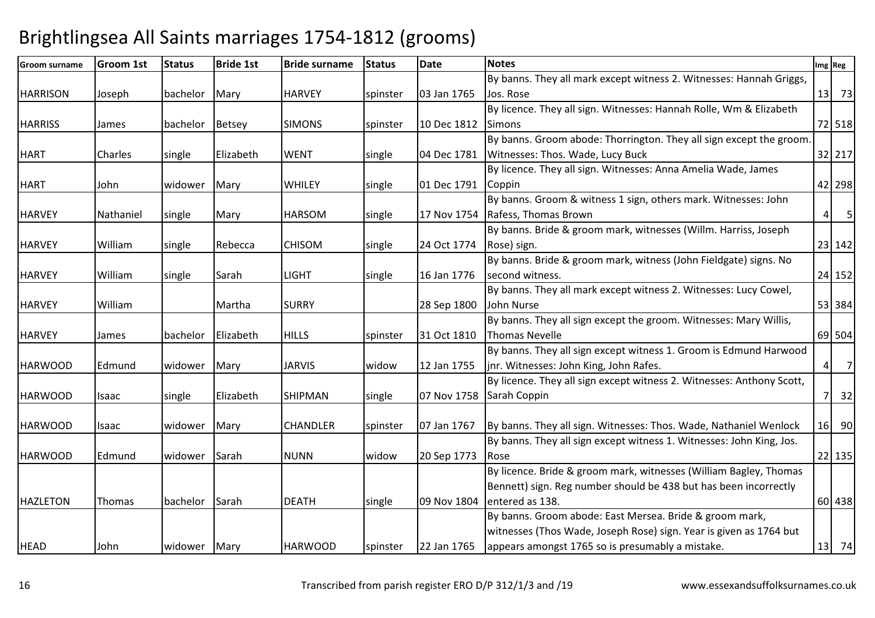| <b>Groom surname</b> | <b>Groom 1st</b> | <b>Status</b> | <b>Bride 1st</b> | <b>Bride surname</b> | <b>Status</b> | <b>Date</b> | <b>Notes</b>                                                          |                  | Img Reg              |
|----------------------|------------------|---------------|------------------|----------------------|---------------|-------------|-----------------------------------------------------------------------|------------------|----------------------|
|                      |                  |               |                  |                      |               |             | By banns. They all mark except witness 2. Witnesses: Hannah Griggs,   |                  |                      |
| <b>HARRISON</b>      | Joseph           | bachelor      | Mary             | <b>HARVEY</b>        | spinster      | 03 Jan 1765 | Jos. Rose                                                             |                  | $13$ 73              |
|                      |                  |               |                  |                      |               |             | By licence. They all sign. Witnesses: Hannah Rolle, Wm & Elizabeth    |                  |                      |
| <b>HARRISS</b>       | James            | bachelor      | Betsey           | <b>SIMONS</b>        | spinster      | 10 Dec 1812 | Simons                                                                |                  | 72 518               |
|                      |                  |               |                  |                      |               |             | By banns. Groom abode: Thorrington. They all sign except the groom.   |                  |                      |
| <b>HART</b>          | <b>Charles</b>   | single        | Elizabeth        | <b>WENT</b>          | single        | 04 Dec 1781 | Witnesses: Thos. Wade, Lucy Buck                                      |                  | 32 217               |
|                      |                  |               |                  |                      |               |             | By licence. They all sign. Witnesses: Anna Amelia Wade, James         |                  |                      |
| <b>HART</b>          | John             | widower       | Mary             | <b>WHILEY</b>        | single        | 01 Dec 1791 | Coppin                                                                |                  | 42 298               |
|                      |                  |               |                  |                      |               |             | By banns. Groom & witness 1 sign, others mark. Witnesses: John        |                  |                      |
| <b>HARVEY</b>        | Nathaniel        | single        | Mary             | <b>HARSOM</b>        | single        | 17 Nov 1754 | Rafess, Thomas Brown                                                  |                  | $5\overline{)}$<br>4 |
|                      |                  |               |                  |                      |               |             | By banns. Bride & groom mark, witnesses (Willm. Harriss, Joseph       |                  |                      |
| <b>HARVEY</b>        | William          | single        | Rebecca          | <b>CHISOM</b>        | single        | 24 Oct 1774 | Rose) sign.                                                           |                  | 23 142               |
|                      |                  |               |                  |                      |               |             | By banns. Bride & groom mark, witness (John Fieldgate) signs. No      |                  |                      |
| <b>HARVEY</b>        | William          | single        | Sarah            | <b>LIGHT</b>         | single        | 16 Jan 1776 | second witness.                                                       |                  | 24 152               |
|                      |                  |               |                  |                      |               |             | By banns. They all mark except witness 2. Witnesses: Lucy Cowel,      |                  |                      |
| <b>HARVEY</b>        | William          |               | Martha           | <b>SURRY</b>         |               | 28 Sep 1800 | John Nurse                                                            |                  | 53 384               |
|                      |                  |               |                  |                      |               |             | By banns. They all sign except the groom. Witnesses: Mary Willis,     |                  |                      |
| <b>HARVEY</b>        | James            | bachelor      | Elizabeth        | <b>HILLS</b>         | spinster      | 31 Oct 1810 | <b>Thomas Nevelle</b>                                                 |                  | 69 504               |
|                      |                  |               |                  |                      |               |             | By banns. They all sign except witness 1. Groom is Edmund Harwood     |                  |                      |
| <b>HARWOOD</b>       | Edmund           | widower       | Mary             | <b>JARVIS</b>        | widow         | 12 Jan 1755 | jnr. Witnesses: John King, John Rafes.                                | $\left 4\right $ | $\overline{7}$       |
|                      |                  |               |                  |                      |               |             | By licence. They all sign except witness 2. Witnesses: Anthony Scott, |                  |                      |
| <b>HARWOOD</b>       | Isaac            | single        | Elizabeth        | <b>SHIPMAN</b>       | single        | 07 Nov 1758 | Sarah Coppin                                                          |                  | 32<br><b>7</b>       |
|                      |                  |               |                  |                      |               |             |                                                                       |                  |                      |
| <b>HARWOOD</b>       | Isaac            | widower       | Mary             | <b>CHANDLER</b>      | spinster      | 07 Jan 1767 | By banns. They all sign. Witnesses: Thos. Wade, Nathaniel Wenlock     |                  | 16 90                |
|                      |                  |               |                  |                      |               |             | By banns. They all sign except witness 1. Witnesses: John King, Jos.  |                  |                      |
| <b>HARWOOD</b>       | Edmund           | widower       | Sarah            | <b>NUNN</b>          | widow         | 20 Sep 1773 | l Rose                                                                |                  | 22 135               |
|                      |                  |               |                  |                      |               |             | By licence. Bride & groom mark, witnesses (William Bagley, Thomas     |                  |                      |
|                      |                  |               |                  |                      |               |             | Bennett) sign. Reg number should be 438 but has been incorrectly      |                  |                      |
| <b>HAZLETON</b>      | Thomas           | bachelor      | Sarah            | <b>DEATH</b>         | single        | 09 Nov 1804 | entered as 138.                                                       |                  | 60 438               |
|                      |                  |               |                  |                      |               |             | By banns. Groom abode: East Mersea. Bride & groom mark,               |                  |                      |
|                      |                  |               |                  |                      |               |             | witnesses (Thos Wade, Joseph Rose) sign. Year is given as 1764 but    |                  |                      |
| <b>HEAD</b>          | John             | widower Mary  |                  | <b>HARWOOD</b>       | spinster      | 22 Jan 1765 | appears amongst 1765 so is presumably a mistake.                      |                  | $13$ 74              |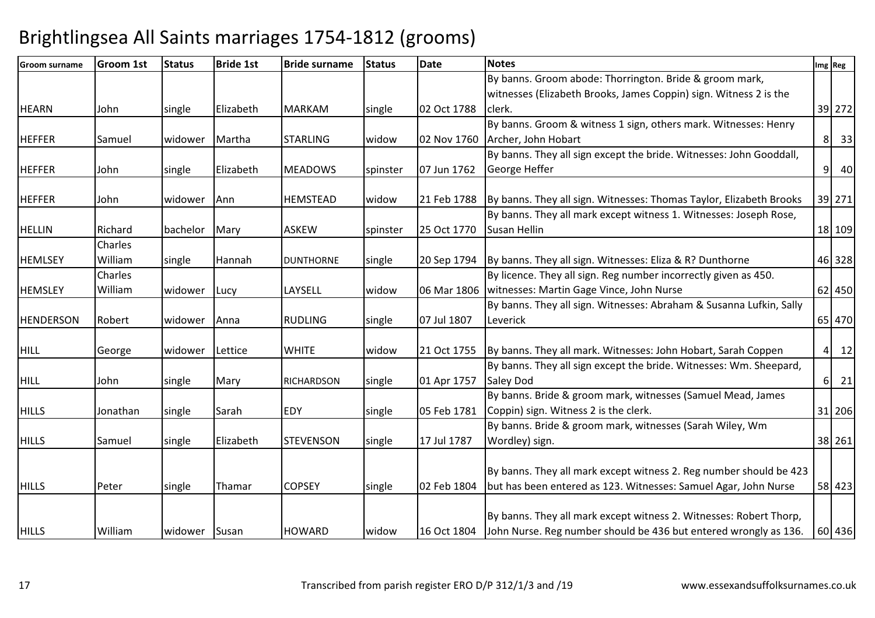| <b>Groom surname</b> | <b>Groom 1st</b> | <b>Status</b> | <b>Bride 1st</b> | <b>Bride surname</b> | <b>Status</b> | <b>Date</b> | <b>Notes</b>                                                        |                | Img Reg              |
|----------------------|------------------|---------------|------------------|----------------------|---------------|-------------|---------------------------------------------------------------------|----------------|----------------------|
|                      |                  |               |                  |                      |               |             | By banns. Groom abode: Thorrington. Bride & groom mark,             |                |                      |
|                      |                  |               |                  |                      |               |             | witnesses (Elizabeth Brooks, James Coppin) sign. Witness 2 is the   |                |                      |
| <b>HEARN</b>         | John             | single        | Elizabeth        | <b>MARKAM</b>        | single        | 02 Oct 1788 | clerk.                                                              |                | 39 272               |
|                      |                  |               |                  |                      |               |             | By banns. Groom & witness 1 sign, others mark. Witnesses: Henry     |                |                      |
| <b>HEFFER</b>        | Samuel           | widower       | Martha           | <b>STARLING</b>      | widow         | 02 Nov 1760 | Archer, John Hobart                                                 |                | 33<br>8 <sup>1</sup> |
|                      |                  |               |                  |                      |               |             | By banns. They all sign except the bride. Witnesses: John Gooddall, |                |                      |
| <b>HEFFER</b>        | John             | single        | Elizabeth        | <b>MEADOWS</b>       | spinster      | 07 Jun 1762 | George Heffer                                                       | 9 <sup>1</sup> | 40                   |
|                      |                  |               |                  |                      |               |             |                                                                     |                |                      |
| <b>HEFFER</b>        | John             | widower       | Ann              | <b>HEMSTEAD</b>      | widow         | 21 Feb 1788 | By banns. They all sign. Witnesses: Thomas Taylor, Elizabeth Brooks |                | 39 271               |
|                      |                  |               |                  |                      |               |             | By banns. They all mark except witness 1. Witnesses: Joseph Rose,   |                |                      |
| <b>HELLIN</b>        | Richard          | bachelor      | Mary             | <b>ASKEW</b>         | spinster      | 25 Oct 1770 | <b>Susan Hellin</b>                                                 |                | 18 109               |
|                      | Charles          |               |                  |                      |               |             |                                                                     |                |                      |
| <b>HEMLSEY</b>       | William          | single        | Hannah           | <b>DUNTHORNE</b>     | single        | 20 Sep 1794 | By banns. They all sign. Witnesses: Eliza & R? Dunthorne            |                | 46 328               |
|                      | Charles          |               |                  |                      |               |             | By licence. They all sign. Reg number incorrectly given as 450.     |                |                      |
| <b>HEMSLEY</b>       | William          | widower       | Lucy             | LAYSELL              | widow         | 06 Mar 1806 | witnesses: Martin Gage Vince, John Nurse                            |                | 62 450               |
|                      |                  |               |                  |                      |               |             | By banns. They all sign. Witnesses: Abraham & Susanna Lufkin, Sally |                |                      |
| <b>HENDERSON</b>     | Robert           | widower       | Anna             | <b>RUDLING</b>       | single        | 07 Jul 1807 | Leverick                                                            |                | 65 470               |
|                      |                  |               |                  |                      |               |             |                                                                     |                |                      |
| <b>HILL</b>          | George           | widower       | Lettice          | <b>WHITE</b>         | widow         | 21 Oct 1755 | By banns. They all mark. Witnesses: John Hobart, Sarah Coppen       | $\overline{4}$ | 12                   |
|                      |                  |               |                  |                      |               |             | By banns. They all sign except the bride. Witnesses: Wm. Sheepard,  |                |                      |
| <b>HILL</b>          | John             | single        | Mary             | <b>RICHARDSON</b>    | single        | 01 Apr 1757 | <b>Saley Dod</b>                                                    | $6 \mid$       | 21                   |
|                      |                  |               |                  |                      |               |             | By banns. Bride & groom mark, witnesses (Samuel Mead, James         |                |                      |
| <b>HILLS</b>         | Jonathan         | single        | Sarah            | <b>EDY</b>           | single        | 05 Feb 1781 | Coppin) sign. Witness 2 is the clerk.                               |                | 31 206               |
|                      |                  |               |                  |                      |               |             | By banns. Bride & groom mark, witnesses (Sarah Wiley, Wm            |                |                      |
| <b>HILLS</b>         | Samuel           | single        | Elizabeth        | <b>STEVENSON</b>     | single        | 17 Jul 1787 | Wordley) sign.                                                      |                | 38 261               |
|                      |                  |               |                  |                      |               |             |                                                                     |                |                      |
|                      |                  |               |                  |                      |               |             | By banns. They all mark except witness 2. Reg number should be 423  |                |                      |
| <b>HILLS</b>         | Peter            | single        | Thamar           | <b>COPSEY</b>        | single        | 02 Feb 1804 | but has been entered as 123. Witnesses: Samuel Agar, John Nurse     |                | 58 423               |
|                      |                  |               |                  |                      |               |             |                                                                     |                |                      |
|                      |                  |               |                  |                      |               |             | By banns. They all mark except witness 2. Witnesses: Robert Thorp,  |                |                      |
| <b>HILLS</b>         | William          | widower Susan |                  | <b>HOWARD</b>        | widow         | 16 Oct 1804 | John Nurse. Reg number should be 436 but entered wrongly as 136.    |                | 60 436               |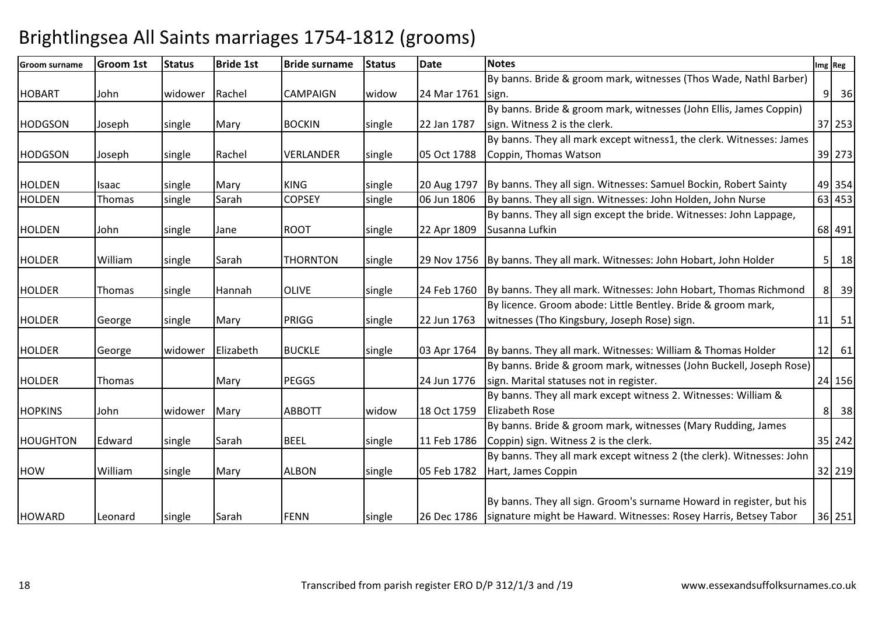| <b>Groom surname</b> | <b>Groom 1st</b> | <b>Status</b> | <b>Bride 1st</b> | <b>Bride surname</b> | <b>Status</b> | <b>Date</b> | <b>Notes</b>                                                                 | Img Reg |         |                                  |
|----------------------|------------------|---------------|------------------|----------------------|---------------|-------------|------------------------------------------------------------------------------|---------|---------|----------------------------------|
|                      |                  |               |                  |                      |               |             | By banns. Bride & groom mark, witnesses (Thos Wade, Nathl Barber)            |         |         |                                  |
| <b>HOBART</b>        | John             | widower       | Rachel           | <b>CAMPAIGN</b>      | widow         | 24 Mar 1761 | sign.                                                                        |         |         | $9 \overline{\smash{\big)}\ 36}$ |
|                      |                  |               |                  |                      |               |             | By banns. Bride & groom mark, witnesses (John Ellis, James Coppin)           |         |         |                                  |
| <b>HODGSON</b>       | Joseph           | single        | Mary             | <b>BOCKIN</b>        | single        | 22 Jan 1787 | sign. Witness 2 is the clerk.                                                |         |         | 37 253                           |
|                      |                  |               |                  |                      |               |             | By banns. They all mark except witness1, the clerk. Witnesses: James         |         |         |                                  |
| <b>HODGSON</b>       | Joseph           | single        | Rachel           | VERLANDER            | single        | 05 Oct 1788 | Coppin, Thomas Watson                                                        |         |         | 39 273                           |
| <b>HOLDEN</b>        | Isaac            | single        | Mary             | <b>KING</b>          | single        | 20 Aug 1797 | By banns. They all sign. Witnesses: Samuel Bockin, Robert Sainty             |         |         | 49 354                           |
| <b>HOLDEN</b>        | Thomas           | single        | Sarah            | <b>COPSEY</b>        | single        | 06 Jun 1806 | By banns. They all sign. Witnesses: John Holden, John Nurse                  |         |         | 63 453                           |
|                      |                  |               |                  |                      |               |             | By banns. They all sign except the bride. Witnesses: John Lappage,           |         |         |                                  |
| <b>HOLDEN</b>        | John             | single        | Jane             | <b>ROOT</b>          | single        | 22 Apr 1809 | Susanna Lufkin                                                               |         | 68 491  |                                  |
|                      |                  |               |                  |                      |               |             |                                                                              |         |         |                                  |
| <b>HOLDER</b>        | William          | single        | Sarah            | <b>THORNTON</b>      | single        |             | 29 Nov 1756   By banns. They all mark. Witnesses: John Hobart, John Holder   |         |         | $5 \mid 18$                      |
|                      |                  |               |                  |                      |               |             |                                                                              |         |         |                                  |
| <b>HOLDER</b>        | Thomas           | single        | Hannah           | <b>OLIVE</b>         | single        | 24 Feb 1760 | By banns. They all mark. Witnesses: John Hobart, Thomas Richmond             |         |         | 8 39                             |
|                      |                  |               |                  |                      |               |             | By licence. Groom abode: Little Bentley. Bride & groom mark,                 |         |         |                                  |
| <b>HOLDER</b>        | George           | single        | Mary             | PRIGG                | single        | 22 Jun 1763 | witnesses (Tho Kingsbury, Joseph Rose) sign.                                 |         |         | $11$ 51                          |
| <b>HOLDER</b>        | George           | widower       | Elizabeth        | <b>BUCKLE</b>        | single        | 03 Apr 1764 | By banns. They all mark. Witnesses: William & Thomas Holder                  |         | $12$ 61 |                                  |
|                      |                  |               |                  |                      |               |             | By banns. Bride & groom mark, witnesses (John Buckell, Joseph Rose)          |         |         |                                  |
| <b>HOLDER</b>        | Thomas           |               | Mary             | <b>PEGGS</b>         |               | 24 Jun 1776 | sign. Marital statuses not in register.                                      |         |         | 24 156                           |
|                      |                  |               |                  |                      |               |             | By banns. They all mark except witness 2. Witnesses: William &               |         |         |                                  |
| <b>HOPKINS</b>       | John             | widower       | Mary             | <b>ABBOTT</b>        | widow         | 18 Oct 1759 | <b>Elizabeth Rose</b>                                                        |         |         | 8 38                             |
|                      |                  |               |                  |                      |               |             | By banns. Bride & groom mark, witnesses (Mary Rudding, James                 |         |         |                                  |
| <b>HOUGHTON</b>      | Edward           | single        | Sarah            | <b>BEEL</b>          | single        | 11 Feb 1786 | Coppin) sign. Witness 2 is the clerk.                                        |         |         | 35 242                           |
|                      |                  |               |                  |                      |               |             | By banns. They all mark except witness 2 (the clerk). Witnesses: John        |         |         |                                  |
| <b>HOW</b>           | William          | single        | Mary             | <b>ALBON</b>         | single        | 05 Feb 1782 | Hart, James Coppin                                                           |         |         | 32 219                           |
|                      |                  |               |                  |                      |               |             |                                                                              |         |         |                                  |
|                      |                  |               |                  |                      |               |             | By banns. They all sign. Groom's surname Howard in register, but his         |         |         |                                  |
| <b>HOWARD</b>        | Leonard          | single        | Sarah            | <b>FENN</b>          | single        |             | 26 Dec 1786 signature might be Haward. Witnesses: Rosey Harris, Betsey Tabor |         |         | 36 251                           |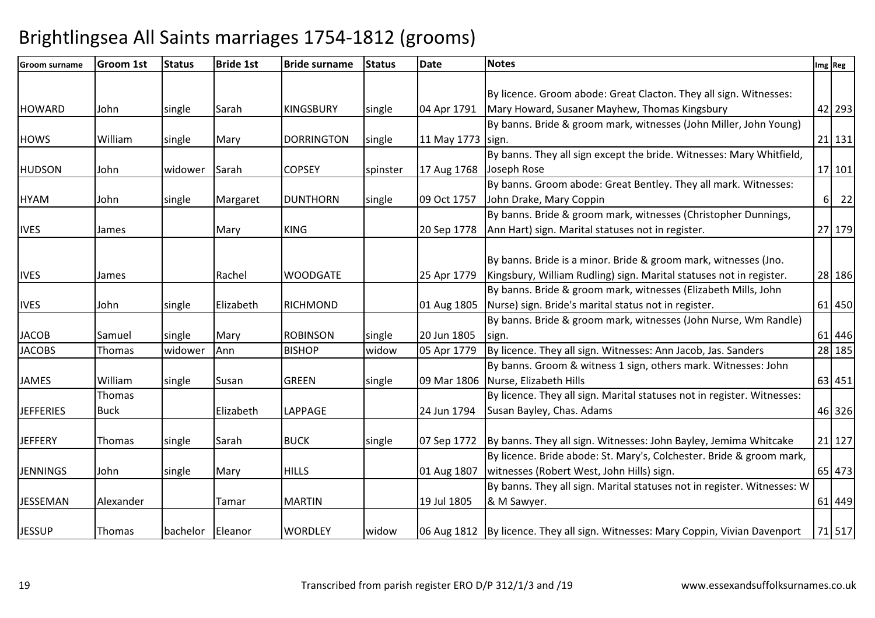| <b>Groom surname</b> | <b>Groom 1st</b> | <b>Status</b> | <b>Bride 1st</b> | <b>Bride surname</b> | <b>Status</b> | <b>Date</b> | <b>Notes</b>                                                                      |          | Img Reg |
|----------------------|------------------|---------------|------------------|----------------------|---------------|-------------|-----------------------------------------------------------------------------------|----------|---------|
|                      |                  |               |                  |                      |               |             |                                                                                   |          |         |
|                      |                  |               |                  |                      |               |             | By licence. Groom abode: Great Clacton. They all sign. Witnesses:                 |          |         |
| <b>HOWARD</b>        | John             | single        | Sarah            | <b>KINGSBURY</b>     | single        | 04 Apr 1791 | Mary Howard, Susaner Mayhew, Thomas Kingsbury                                     |          | 42 293  |
|                      |                  |               |                  |                      |               |             | By banns. Bride & groom mark, witnesses (John Miller, John Young)                 |          |         |
| <b>HOWS</b>          | William          | single        | Mary             | <b>DORRINGTON</b>    | single        | 11 May 1773 | sign.                                                                             |          | 21 131  |
|                      |                  |               |                  |                      |               |             | By banns. They all sign except the bride. Witnesses: Mary Whitfield,              |          |         |
| <b>HUDSON</b>        | John             | widower       | Sarah            | <b>COPSEY</b>        | spinster      | 17 Aug 1768 | Joseph Rose                                                                       |          | 17 101  |
|                      |                  |               |                  |                      |               |             | By banns. Groom abode: Great Bentley. They all mark. Witnesses:                   |          |         |
| <b>HYAM</b>          | John             | single        | Margaret         | <b>DUNTHORN</b>      | single        | 09 Oct 1757 | John Drake, Mary Coppin                                                           | $6 \mid$ | 22      |
|                      |                  |               |                  |                      |               |             | By banns. Bride & groom mark, witnesses (Christopher Dunnings,                    |          |         |
| <b>IVES</b>          | James            |               | Mary             | <b>KING</b>          |               | 20 Sep 1778 | Ann Hart) sign. Marital statuses not in register.                                 |          | 27 179  |
|                      |                  |               |                  |                      |               |             |                                                                                   |          |         |
|                      |                  |               |                  |                      |               |             | By banns. Bride is a minor. Bride & groom mark, witnesses (Jno.                   |          |         |
| <b>IVES</b>          | James            |               | Rachel           | <b>WOODGATE</b>      |               | 25 Apr 1779 | Kingsbury, William Rudling) sign. Marital statuses not in register.               |          | 28 186  |
|                      |                  |               |                  |                      |               |             | By banns. Bride & groom mark, witnesses (Elizabeth Mills, John                    |          |         |
| <b>IVES</b>          | John             | single        | Elizabeth        | <b>RICHMOND</b>      |               | 01 Aug 1805 | Nurse) sign. Bride's marital status not in register.                              |          | 61 450  |
|                      |                  |               |                  |                      |               |             | By banns. Bride & groom mark, witnesses (John Nurse, Wm Randle)                   |          |         |
| <b>JACOB</b>         | Samuel           | single        | Mary             | <b>ROBINSON</b>      | single        | 20 Jun 1805 | sign.                                                                             |          | 61 446  |
| <b>JACOBS</b>        | Thomas           | widower       | Ann              | <b>BISHOP</b>        | widow         | 05 Apr 1779 | By licence. They all sign. Witnesses: Ann Jacob, Jas. Sanders                     |          | 28 185  |
|                      |                  |               |                  |                      |               |             | By banns. Groom & witness 1 sign, others mark. Witnesses: John                    |          |         |
| <b>JAMES</b>         | William          | single        | Susan            | <b>GREEN</b>         | single        |             | 09 Mar 1806 Nurse, Elizabeth Hills                                                |          | 63 451  |
|                      | Thomas           |               |                  |                      |               |             | By licence. They all sign. Marital statuses not in register. Witnesses:           |          |         |
| <b>JEFFERIES</b>     | <b>Buck</b>      |               | Elizabeth        | LAPPAGE              |               | 24 Jun 1794 | Susan Bayley, Chas. Adams                                                         |          | 46 326  |
|                      |                  |               |                  |                      |               |             |                                                                                   |          |         |
| <b>JEFFERY</b>       | Thomas           | single        | Sarah            | <b>BUCK</b>          | single        | 07 Sep 1772 | By banns. They all sign. Witnesses: John Bayley, Jemima Whitcake                  |          | 21 127  |
|                      |                  |               |                  |                      |               |             | By licence. Bride abode: St. Mary's, Colchester. Bride & groom mark,              |          |         |
| <b>JENNINGS</b>      | John             | single        | Mary             | <b>HILLS</b>         |               | 01 Aug 1807 | witnesses (Robert West, John Hills) sign.                                         |          | 65 473  |
|                      |                  |               |                  |                      |               |             | By banns. They all sign. Marital statuses not in register. Witnesses: W           |          |         |
| <b>JESSEMAN</b>      | Alexander        |               | Tamar            | <b>MARTIN</b>        |               | 19 Jul 1805 | & M Sawyer.                                                                       |          | 61 449  |
|                      |                  |               |                  |                      |               |             |                                                                                   |          |         |
| <b>JESSUP</b>        | Thomas           | bachelor      | Eleanor          | <b>WORDLEY</b>       | widow         |             | 06 Aug 1812   By licence. They all sign. Witnesses: Mary Coppin, Vivian Davenport |          | 71 517  |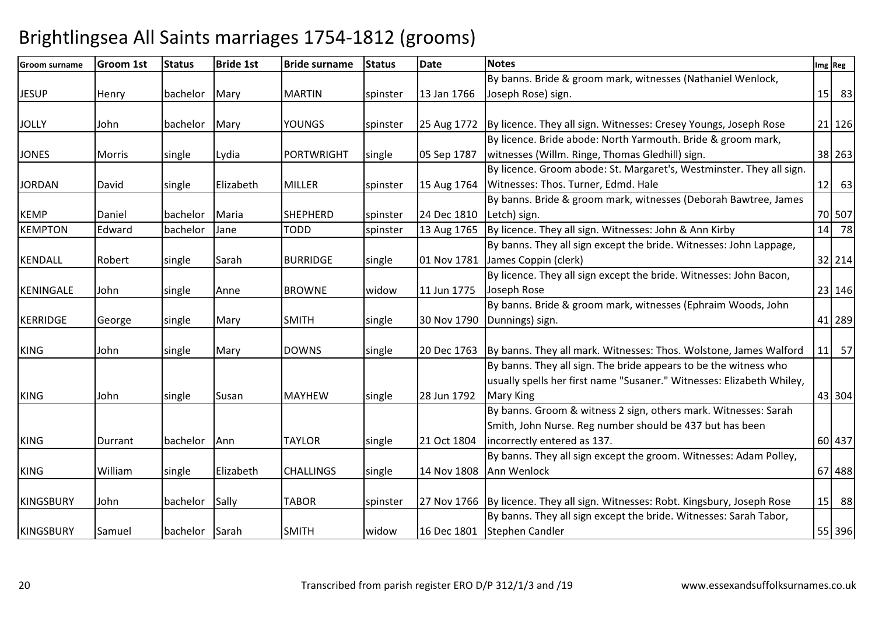| <b>Groom surname</b> | <b>Groom 1st</b> | <b>Status</b>  | <b>Bride 1st</b> | <b>Bride surname</b> | <b>Status</b> | <b>Date</b> | <b>Notes</b>                                                                    |    | Img Reg |
|----------------------|------------------|----------------|------------------|----------------------|---------------|-------------|---------------------------------------------------------------------------------|----|---------|
|                      |                  |                |                  |                      |               |             | By banns. Bride & groom mark, witnesses (Nathaniel Wenlock,                     |    |         |
| <b>JESUP</b>         | Henry            | bachelor       | Mary             | <b>MARTIN</b>        | spinster      | 13 Jan 1766 | Joseph Rose) sign.                                                              |    | 15 83   |
|                      |                  |                |                  |                      |               |             |                                                                                 |    |         |
| <b>JOLLY</b>         | John             | bachelor       | Mary             | <b>YOUNGS</b>        | spinster      | 25 Aug 1772 | By licence. They all sign. Witnesses: Cresey Youngs, Joseph Rose                |    | 21 126  |
|                      |                  |                |                  |                      |               |             | By licence. Bride abode: North Yarmouth. Bride & groom mark,                    |    |         |
| <b>JONES</b>         | <b>Morris</b>    | single         | Lydia            | <b>PORTWRIGHT</b>    | single        | 05 Sep 1787 | witnesses (Willm. Ringe, Thomas Gledhill) sign.                                 |    | 38 263  |
|                      |                  |                |                  |                      |               |             | By licence. Groom abode: St. Margaret's, Westminster. They all sign.            |    |         |
| <b>JORDAN</b>        | David            | single         | Elizabeth        | <b>MILLER</b>        | spinster      | 15 Aug 1764 | Witnesses: Thos. Turner, Edmd. Hale                                             |    | $12$ 63 |
|                      |                  |                |                  |                      |               |             | By banns. Bride & groom mark, witnesses (Deborah Bawtree, James                 |    |         |
| <b>KEMP</b>          | Daniel           | bachelor       | Maria            | <b>SHEPHERD</b>      | spinster      | 24 Dec 1810 | Letch) sign.                                                                    |    | 70 507  |
| <b>KEMPTON</b>       | Edward           | bachelor       | Jane             | <b>TODD</b>          | spinster      | 13 Aug 1765 | By licence. They all sign. Witnesses: John & Ann Kirby                          | 14 | 78      |
|                      |                  |                |                  |                      |               |             | By banns. They all sign except the bride. Witnesses: John Lappage,              |    |         |
| <b>KENDALL</b>       | Robert           | single         | Sarah            | <b>BURRIDGE</b>      | single        | 01 Nov 1781 | James Coppin (clerk)                                                            |    | 32 214  |
|                      |                  |                |                  |                      |               |             | By licence. They all sign except the bride. Witnesses: John Bacon,              |    |         |
| <b>KENINGALE</b>     | John             | single         | Anne             | <b>BROWNE</b>        | widow         | 11 Jun 1775 | Joseph Rose                                                                     |    | 23 146  |
|                      |                  |                |                  |                      |               |             | By banns. Bride & groom mark, witnesses (Ephraim Woods, John                    |    |         |
| <b>KERRIDGE</b>      | George           | single         | Mary             | <b>SMITH</b>         | single        | 30 Nov 1790 | Dunnings) sign.                                                                 |    | 41 289  |
|                      |                  |                |                  |                      |               |             |                                                                                 |    |         |
| <b>KING</b>          | John             | single         | Mary             | <b>DOWNS</b>         | single        |             | 20 Dec 1763   By banns. They all mark. Witnesses: Thos. Wolstone, James Walford |    | 11 57   |
|                      |                  |                |                  |                      |               |             | By banns. They all sign. The bride appears to be the witness who                |    |         |
|                      |                  |                |                  |                      |               |             | usually spells her first name "Susaner." Witnesses: Elizabeth Whiley,           |    |         |
| <b>KING</b>          | John             | single         | Susan            | <b>MAYHEW</b>        | single        | 28 Jun 1792 | Mary King                                                                       |    | 43 304  |
|                      |                  |                |                  |                      |               |             | By banns. Groom & witness 2 sign, others mark. Witnesses: Sarah                 |    |         |
|                      |                  |                |                  |                      |               |             | Smith, John Nurse. Reg number should be 437 but has been                        |    |         |
| <b>KING</b>          | Durrant          | bachelor       | Ann              | <b>TAYLOR</b>        | single        | 21 Oct 1804 | incorrectly entered as 137.                                                     |    | 60 437  |
|                      |                  |                |                  |                      |               |             | By banns. They all sign except the groom. Witnesses: Adam Polley,               |    |         |
| <b>KING</b>          | William          | single         | Elizabeth        | <b>CHALLINGS</b>     | single        | 14 Nov 1808 | Ann Wenlock                                                                     |    | 67 488  |
|                      |                  |                |                  |                      |               |             |                                                                                 |    |         |
| <b>KINGSBURY</b>     | John             | bachelor       | Sally            | <b>TABOR</b>         | spinster      |             | 27 Nov 1766 By licence. They all sign. Witnesses: Robt. Kingsbury, Joseph Rose  | 15 | 88      |
|                      |                  |                |                  |                      |               |             | By banns. They all sign except the bride. Witnesses: Sarah Tabor,               |    |         |
| <b>KINGSBURY</b>     | Samuel           | bachelor Sarah |                  | <b>SMITH</b>         | widow         |             | 16 Dec 1801 Stephen Candler                                                     |    | 55 396  |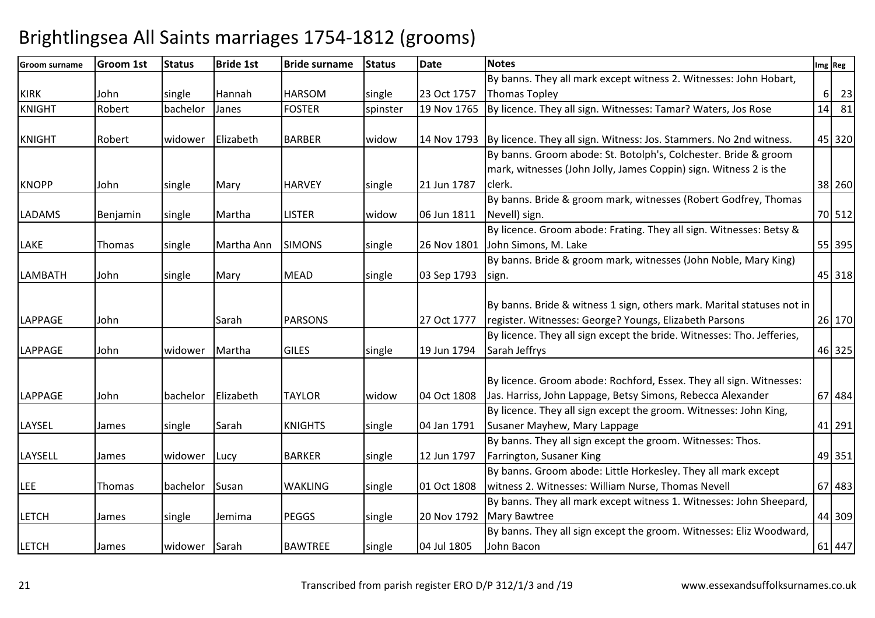| <b>Groom surname</b> | <b>Groom 1st</b> | <b>Status</b> | <b>Bride 1st</b> | <b>Bride surname</b> | <b>Status</b> | <b>Date</b> | <b>Notes</b>                                                                                                                       |          | Img Reg |
|----------------------|------------------|---------------|------------------|----------------------|---------------|-------------|------------------------------------------------------------------------------------------------------------------------------------|----------|---------|
|                      |                  |               |                  |                      |               |             | By banns. They all mark except witness 2. Witnesses: John Hobart,                                                                  |          |         |
| <b>KIRK</b>          | John             | single        | Hannah           | <b>HARSOM</b>        | single        | 23 Oct 1757 | Thomas Topley                                                                                                                      | $6\vert$ | 23      |
| <b>KNIGHT</b>        | Robert           | bachelor      | Janes            | <b>FOSTER</b>        | spinster      | 19 Nov 1765 | By licence. They all sign. Witnesses: Tamar? Waters, Jos Rose                                                                      |          | $14$ 81 |
| <b>KNIGHT</b>        | Robert           | widower       | Elizabeth        | <b>BARBER</b>        | widow         |             | 14 Nov 1793 By licence. They all sign. Witness: Jos. Stammers. No 2nd witness.                                                     |          | 45 320  |
|                      |                  |               |                  |                      |               |             | By banns. Groom abode: St. Botolph's, Colchester. Bride & groom                                                                    |          |         |
|                      |                  |               |                  |                      |               |             | mark, witnesses (John Jolly, James Coppin) sign. Witness 2 is the                                                                  |          |         |
| <b>KNOPP</b>         | John             | single        | Mary             | <b>HARVEY</b>        | single        | 21 Jun 1787 | clerk.                                                                                                                             |          | 38 260  |
|                      |                  |               |                  |                      |               |             | By banns. Bride & groom mark, witnesses (Robert Godfrey, Thomas                                                                    |          |         |
| <b>LADAMS</b>        | Benjamin         | single        | Martha           | <b>LISTER</b>        | widow         | 06 Jun 1811 | Nevell) sign.                                                                                                                      |          | 70 512  |
|                      |                  |               |                  |                      |               |             | By licence. Groom abode: Frating. They all sign. Witnesses: Betsy &                                                                |          |         |
| LAKE                 | Thomas           | single        | Martha Ann       | <b>SIMONS</b>        | single        | 26 Nov 1801 | John Simons, M. Lake                                                                                                               |          | 55 395  |
|                      |                  |               |                  |                      |               |             | By banns. Bride & groom mark, witnesses (John Noble, Mary King)                                                                    |          |         |
| LAMBATH              | John             | single        | Mary             | <b>MEAD</b>          | single        | 03 Sep 1793 | sign.                                                                                                                              |          | 45 318  |
| <b>LAPPAGE</b>       | John             |               | Sarah            | <b>PARSONS</b>       |               | 27 Oct 1777 | By banns. Bride & witness 1 sign, others mark. Marital statuses not in<br>register. Witnesses: George? Youngs, Elizabeth Parsons   |          | 26 170  |
|                      |                  |               |                  |                      |               |             | By licence. They all sign except the bride. Witnesses: Tho. Jefferies,                                                             |          |         |
| <b>LAPPAGE</b>       | John             | widower       | Martha           | <b>GILES</b>         | single        | 19 Jun 1794 | Sarah Jeffrys                                                                                                                      |          | 46 325  |
| <b>LAPPAGE</b>       | John             | bachelor      | Elizabeth        | <b>TAYLOR</b>        | widow         | 04 Oct 1808 | By licence. Groom abode: Rochford, Essex. They all sign. Witnesses:<br>Jas. Harriss, John Lappage, Betsy Simons, Rebecca Alexander |          | 67 484  |
|                      |                  |               |                  |                      |               |             | By licence. They all sign except the groom. Witnesses: John King,                                                                  |          |         |
| LAYSEL               | James            | single        | Sarah            | <b>KNIGHTS</b>       | single        | 04 Jan 1791 | Susaner Mayhew, Mary Lappage                                                                                                       |          | 41 291  |
|                      |                  |               |                  |                      |               |             | By banns. They all sign except the groom. Witnesses: Thos.                                                                         |          |         |
| LAYSELL              | James            | widower       | Lucy             | <b>BARKER</b>        | single        | 12 Jun 1797 | Farrington, Susaner King                                                                                                           |          | 49 351  |
|                      |                  |               |                  |                      |               |             | By banns. Groom abode: Little Horkesley. They all mark except                                                                      |          |         |
| <b>LEE</b>           | Thomas           | bachelor      | Susan            | <b>WAKLING</b>       | single        | 01 Oct 1808 | witness 2. Witnesses: William Nurse, Thomas Nevell                                                                                 |          | 67 483  |
|                      |                  |               |                  |                      |               |             | By banns. They all mark except witness 1. Witnesses: John Sheepard,                                                                |          |         |
| <b>LETCH</b>         | James            | single        | Jemima           | <b>PEGGS</b>         | single        | 20 Nov 1792 | <b>Mary Bawtree</b>                                                                                                                |          | 44 309  |
| <b>LETCH</b>         | James            | widower       | Sarah            | <b>BAWTREE</b>       | single        | 04 Jul 1805 | By banns. They all sign except the groom. Witnesses: Eliz Woodward,<br>John Bacon                                                  |          | 61 447  |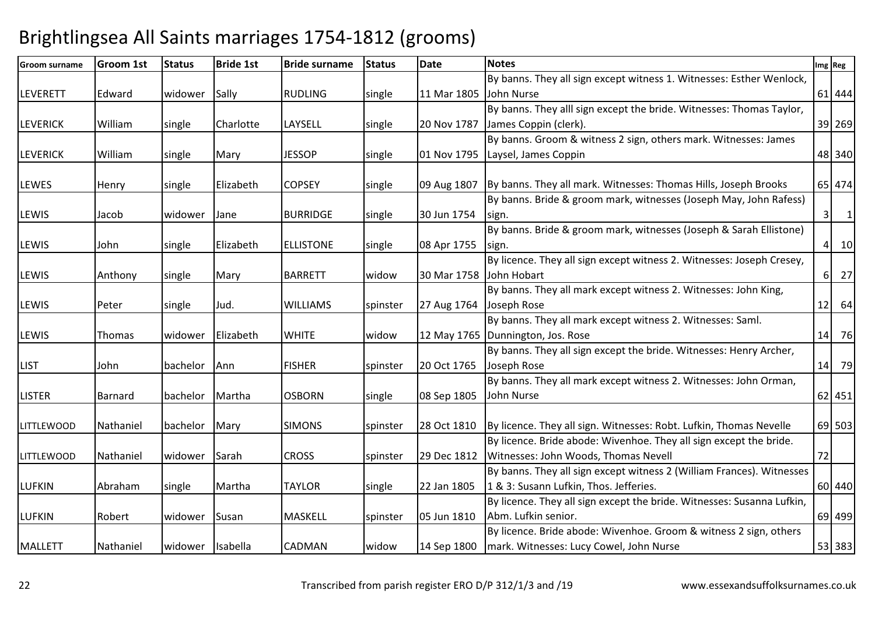| <b>Groom surname</b> | <b>Groom 1st</b> | <b>Status</b> | <b>Bride 1st</b> | <b>Bride surname</b> | <b>Status</b> | <b>Date</b> | <b>Notes</b>                                                           |    | Img Reg                          |
|----------------------|------------------|---------------|------------------|----------------------|---------------|-------------|------------------------------------------------------------------------|----|----------------------------------|
|                      |                  |               |                  |                      |               |             | By banns. They all sign except witness 1. Witnesses: Esther Wenlock,   |    |                                  |
| <b>LEVERETT</b>      | Edward           | widower       | Sally            | <b>RUDLING</b>       | single        | 11 Mar 1805 | John Nurse                                                             |    | 61 444                           |
|                      |                  |               |                  |                      |               |             | By banns. They alll sign except the bride. Witnesses: Thomas Taylor,   |    |                                  |
| <b>LEVERICK</b>      | William          | single        | Charlotte        | LAYSELL              | single        | 20 Nov 1787 | James Coppin (clerk).                                                  |    | 39 269                           |
|                      |                  |               |                  |                      |               |             | By banns. Groom & witness 2 sign, others mark. Witnesses: James        |    |                                  |
| <b>LEVERICK</b>      | William          | single        | Mary             | <b>JESSOP</b>        | single        | 01 Nov 1795 | Laysel, James Coppin                                                   |    | 48 340                           |
|                      |                  |               |                  |                      |               |             |                                                                        |    |                                  |
| <b>LEWES</b>         | Henry            | single        | Elizabeth        | <b>COPSEY</b>        | single        | 09 Aug 1807 | By banns. They all mark. Witnesses: Thomas Hills, Joseph Brooks        |    | 65 474                           |
|                      |                  |               |                  |                      |               |             | By banns. Bride & groom mark, witnesses (Joseph May, John Rafess)      |    |                                  |
| LEWIS                | Jacob            | widower       | Jane             | <b>BURRIDGE</b>      | single        | 30 Jun 1754 | sign.                                                                  |    | 3 <sup>1</sup><br>$\overline{1}$ |
|                      |                  |               |                  |                      |               |             | By banns. Bride & groom mark, witnesses (Joseph & Sarah Ellistone)     |    |                                  |
| LEWIS                | John             | single        | Elizabeth        | <b>ELLISTONE</b>     | single        | 08 Apr 1755 | sign.                                                                  |    | 10<br> 4                         |
|                      |                  |               |                  |                      |               |             | By licence. They all sign except witness 2. Witnesses: Joseph Cresey,  |    |                                  |
| LEWIS                | Anthony          | single        | Mary             | <b>BARRETT</b>       | widow         | 30 Mar 1758 | John Hobart                                                            |    | 27<br>$6 \mid$                   |
|                      |                  |               |                  |                      |               |             | By banns. They all mark except witness 2. Witnesses: John King,        |    |                                  |
| LEWIS                | Peter            | single        | Jud.             | <b>WILLIAMS</b>      | spinster      | 27 Aug 1764 | Joseph Rose                                                            |    | $12$ 64                          |
|                      |                  |               |                  |                      |               |             | By banns. They all mark except witness 2. Witnesses: Saml.             |    |                                  |
| LEWIS                | Thomas           | widower       | Elizabeth        | <b>WHITE</b>         | widow         |             | 12 May 1765   Dunnington, Jos. Rose                                    | 14 | 76                               |
|                      |                  |               |                  |                      |               |             | By banns. They all sign except the bride. Witnesses: Henry Archer,     |    |                                  |
| <b>LIST</b>          | John             | bachelor      | Ann              | <b>FISHER</b>        | spinster      | 20 Oct 1765 | Joseph Rose                                                            |    | 14 79                            |
|                      |                  |               |                  |                      |               |             | By banns. They all mark except witness 2. Witnesses: John Orman,       |    |                                  |
| <b>LISTER</b>        | Barnard          | bachelor      | Martha           | <b>OSBORN</b>        | single        | 08 Sep 1805 | John Nurse                                                             |    | 62 451                           |
|                      |                  |               |                  |                      |               |             |                                                                        |    |                                  |
| <b>LITTLEWOOD</b>    | Nathaniel        | bachelor      | Mary             | <b>SIMONS</b>        | spinster      | 28 Oct 1810 | By licence. They all sign. Witnesses: Robt. Lufkin, Thomas Nevelle     |    | 69 503                           |
|                      |                  |               |                  |                      |               |             | By licence. Bride abode: Wivenhoe. They all sign except the bride.     |    |                                  |
| <b>LITTLEWOOD</b>    | Nathaniel        | widower       | Sarah            | <b>CROSS</b>         | spinster      | 29 Dec 1812 | Witnesses: John Woods, Thomas Nevell                                   | 72 |                                  |
|                      |                  |               |                  |                      |               |             | By banns. They all sign except witness 2 (William Frances). Witnesses  |    |                                  |
| <b>LUFKIN</b>        | Abraham          | single        | Martha           | <b>TAYLOR</b>        | single        | 22 Jan 1805 | 1 & 3: Susann Lufkin, Thos. Jefferies.                                 |    | 60 440                           |
|                      |                  |               |                  |                      |               |             | By licence. They all sign except the bride. Witnesses: Susanna Lufkin, |    |                                  |
| <b>LUFKIN</b>        | Robert           | widower       | Susan            | MASKELL              | spinster      | 05 Jun 1810 | Abm. Lufkin senior.                                                    |    | 69 499                           |
|                      |                  |               |                  |                      |               |             | By licence. Bride abode: Wivenhoe. Groom & witness 2 sign, others      |    |                                  |
| <b>MALLETT</b>       | Nathaniel        | widower       | Isabella         | <b>CADMAN</b>        | widow         | 14 Sep 1800 | mark. Witnesses: Lucy Cowel, John Nurse                                |    | 53 383                           |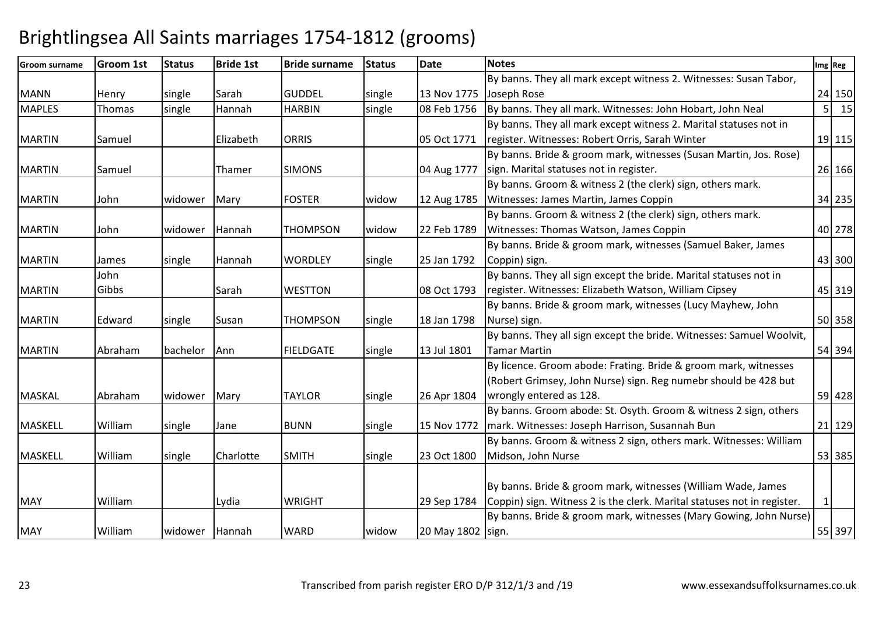| <b>Groom surname</b> | <b>Groom 1st</b> | <b>Status</b> | <b>Bride 1st</b> | <b>Bride surname</b> | <b>Status</b> | <b>Date</b>       | <b>Notes</b>                                                            |                | Img Reg |
|----------------------|------------------|---------------|------------------|----------------------|---------------|-------------------|-------------------------------------------------------------------------|----------------|---------|
|                      |                  |               |                  |                      |               |                   | By banns. They all mark except witness 2. Witnesses: Susan Tabor,       |                |         |
| <b>MANN</b>          | Henry            | single        | Sarah            | <b>GUDDEL</b>        | single        | 13 Nov 1775       | Joseph Rose                                                             |                | 24 150  |
| <b>MAPLES</b>        | Thomas           | single        | Hannah           | <b>HARBIN</b>        | single        | 08 Feb 1756       | By banns. They all mark. Witnesses: John Hobart, John Neal              | 5 <sup>1</sup> | 15      |
|                      |                  |               |                  |                      |               |                   | By banns. They all mark except witness 2. Marital statuses not in       |                |         |
| <b>MARTIN</b>        | Samuel           |               | Elizabeth        | <b>ORRIS</b>         |               | 05 Oct 1771       | register. Witnesses: Robert Orris, Sarah Winter                         |                | 19 115  |
|                      |                  |               |                  |                      |               |                   | By banns. Bride & groom mark, witnesses (Susan Martin, Jos. Rose)       |                |         |
| <b>MARTIN</b>        | Samuel           |               | Thamer           | <b>SIMONS</b>        |               | 04 Aug 1777       | sign. Marital statuses not in register.                                 |                | 26 166  |
|                      |                  |               |                  |                      |               |                   | By banns. Groom & witness 2 (the clerk) sign, others mark.              |                |         |
| <b>MARTIN</b>        | John             | widower       | Mary             | <b>FOSTER</b>        | widow         | 12 Aug 1785       | Witnesses: James Martin, James Coppin                                   |                | 34 235  |
|                      |                  |               |                  |                      |               |                   | By banns. Groom & witness 2 (the clerk) sign, others mark.              |                |         |
| <b>MARTIN</b>        | John             | widower       | Hannah           | <b>THOMPSON</b>      | widow         | 22 Feb 1789       | Witnesses: Thomas Watson, James Coppin                                  |                | 40 278  |
|                      |                  |               |                  |                      |               |                   | By banns. Bride & groom mark, witnesses (Samuel Baker, James            |                |         |
| <b>MARTIN</b>        | James            | single        | Hannah           | <b>WORDLEY</b>       | single        | 25 Jan 1792       | Coppin) sign.                                                           |                | 43 300  |
|                      | John             |               |                  |                      |               |                   | By banns. They all sign except the bride. Marital statuses not in       |                |         |
| <b>MARTIN</b>        | Gibbs            |               | Sarah            | <b>WESTTON</b>       |               | 08 Oct 1793       | register. Witnesses: Elizabeth Watson, William Cipsey                   |                | 45 319  |
|                      |                  |               |                  |                      |               |                   | By banns. Bride & groom mark, witnesses (Lucy Mayhew, John              |                |         |
| <b>MARTIN</b>        | Edward           | single        | Susan            | <b>THOMPSON</b>      | single        | 18 Jan 1798       | Nurse) sign.                                                            |                | 50 358  |
|                      |                  |               |                  |                      |               |                   | By banns. They all sign except the bride. Witnesses: Samuel Woolvit,    |                |         |
| <b>MARTIN</b>        | Abraham          | bachelor      | Ann              | <b>FIELDGATE</b>     | single        | 13 Jul 1801       | Tamar Martin                                                            |                | 54 394  |
|                      |                  |               |                  |                      |               |                   | By licence. Groom abode: Frating. Bride & groom mark, witnesses         |                |         |
|                      |                  |               |                  |                      |               |                   | (Robert Grimsey, John Nurse) sign. Reg numebr should be 428 but         |                |         |
| <b>MASKAL</b>        | Abraham          | widower       | Mary             | <b>TAYLOR</b>        | single        | 26 Apr 1804       | wrongly entered as 128.                                                 |                | 59 428  |
|                      |                  |               |                  |                      |               |                   | By banns. Groom abode: St. Osyth. Groom & witness 2 sign, others        |                |         |
| <b>MASKELL</b>       | William          | single        | Jane             | <b>BUNN</b>          | single        | 15 Nov 1772       | mark. Witnesses: Joseph Harrison, Susannah Bun                          |                | 21 129  |
|                      |                  |               |                  |                      |               |                   | By banns. Groom & witness 2 sign, others mark. Witnesses: William       |                |         |
| <b>MASKELL</b>       | William          | single        | Charlotte        | <b>SMITH</b>         | single        | 23 Oct 1800       | Midson, John Nurse                                                      |                | 53 385  |
|                      |                  |               |                  |                      |               |                   |                                                                         |                |         |
|                      |                  |               |                  |                      |               |                   | By banns. Bride & groom mark, witnesses (William Wade, James            |                |         |
| <b>MAY</b>           | William          |               | Lydia            | <b>WRIGHT</b>        |               | 29 Sep 1784       | Coppin) sign. Witness 2 is the clerk. Marital statuses not in register. | 1              |         |
|                      |                  |               |                  |                      |               |                   | By banns. Bride & groom mark, witnesses (Mary Gowing, John Nurse)       |                |         |
| <b>MAY</b>           | William          | widower       | Hannah           | <b>WARD</b>          | widow         | 20 May 1802 sign. |                                                                         |                | 55 397  |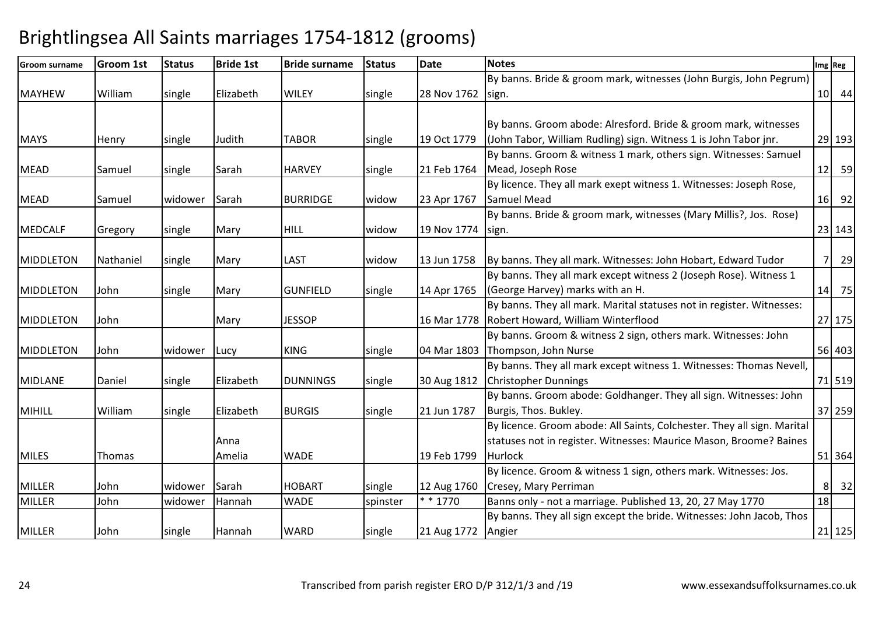| <b>Groom surname</b> | <b>Groom 1st</b> | <b>Status</b> | <b>Bride 1st</b> | <b>Bride surname</b> | <b>Status</b> | <b>Date</b>        | <b>Notes</b>                                                            |           | Img Reg |
|----------------------|------------------|---------------|------------------|----------------------|---------------|--------------------|-------------------------------------------------------------------------|-----------|---------|
|                      |                  |               |                  |                      |               |                    | By banns. Bride & groom mark, witnesses (John Burgis, John Pegrum)      |           |         |
| <b>MAYHEW</b>        | William          | single        | Elizabeth        | <b>WILEY</b>         | single        | 28 Nov 1762        | sign.                                                                   |           | $10$ 44 |
|                      |                  |               |                  |                      |               |                    |                                                                         |           |         |
|                      |                  |               |                  |                      |               |                    | By banns. Groom abode: Alresford. Bride & groom mark, witnesses         |           |         |
| <b>MAYS</b>          | Henry            | single        | Judith           | <b>TABOR</b>         | single        | 19 Oct 1779        | (John Tabor, William Rudling) sign. Witness 1 is John Tabor jnr.        |           | 29 193  |
|                      |                  |               |                  |                      |               |                    | By banns. Groom & witness 1 mark, others sign. Witnesses: Samuel        |           |         |
| <b>MEAD</b>          | Samuel           | single        | Sarah            | <b>HARVEY</b>        | single        | 21 Feb 1764        | Mead, Joseph Rose                                                       |           | $12$ 59 |
|                      |                  |               |                  |                      |               |                    | By licence. They all mark exept witness 1. Witnesses: Joseph Rose,      |           |         |
| <b>MEAD</b>          | Samuel           | widower       | Sarah            | <b>BURRIDGE</b>      | widow         | 23 Apr 1767        | <b>Samuel Mead</b>                                                      |           | 16 92   |
|                      |                  |               |                  |                      |               |                    | By banns. Bride & groom mark, witnesses (Mary Millis?, Jos. Rose)       |           |         |
| MEDCALF              | Gregory          | single        | Mary             | <b>HILL</b>          | widow         | 19 Nov 1774        | sign.                                                                   |           | 23 143  |
|                      |                  |               |                  |                      |               |                    |                                                                         |           |         |
| <b>MIDDLETON</b>     | Nathaniel        | single        | Mary             | <b>LAST</b>          | widow         | 13 Jun 1758        | By banns. They all mark. Witnesses: John Hobart, Edward Tudor           | <b>71</b> | 29      |
|                      |                  |               |                  |                      |               |                    | By banns. They all mark except witness 2 (Joseph Rose). Witness 1       |           |         |
| MIDDLETON            | John             | single        | Mary             | <b>GUNFIELD</b>      | single        | 14 Apr 1765        | (George Harvey) marks with an H.                                        |           | 14 75   |
|                      |                  |               |                  |                      |               |                    | By banns. They all mark. Marital statuses not in register. Witnesses:   |           |         |
| <b>MIDDLETON</b>     | John             |               | Mary             | <b>JESSOP</b>        |               |                    | 16 Mar 1778 Robert Howard, William Winterflood                          |           | 27 175  |
|                      |                  |               |                  |                      |               |                    | By banns. Groom & witness 2 sign, others mark. Witnesses: John          |           |         |
| <b>MIDDLETON</b>     | John             | widower       | Lucy             | <b>KING</b>          | single        |                    | 04 Mar 1803 Thompson, John Nurse                                        |           | 56 403  |
|                      |                  |               |                  |                      |               |                    | By banns. They all mark except witness 1. Witnesses: Thomas Nevell,     |           |         |
| <b>MIDLANE</b>       | Daniel           | single        | Elizabeth        | <b>DUNNINGS</b>      | single        | 30 Aug 1812        | <b>Christopher Dunnings</b>                                             |           | 71 519  |
|                      |                  |               |                  |                      |               |                    | By banns. Groom abode: Goldhanger. They all sign. Witnesses: John       |           |         |
| <b>MIHILL</b>        | William          | single        | Elizabeth        | <b>BURGIS</b>        | single        | 21 Jun 1787        | Burgis, Thos. Bukley.                                                   |           | 37 259  |
|                      |                  |               |                  |                      |               |                    | By licence. Groom abode: All Saints, Colchester. They all sign. Marital |           |         |
|                      |                  |               | Anna             |                      |               |                    | statuses not in register. Witnesses: Maurice Mason, Broome? Baines      |           |         |
| <b>MILES</b>         | Thomas           |               | Amelia           | <b>WADE</b>          |               | 19 Feb 1799        | Hurlock                                                                 |           | 51 364  |
|                      |                  |               |                  |                      |               |                    | By licence. Groom & witness 1 sign, others mark. Witnesses: Jos.        |           |         |
| <b>MILLER</b>        | John             | widower       | Sarah            | <b>HOBART</b>        | single        | 12 Aug 1760        | Cresey, Mary Perriman                                                   | 81        | 32      |
| <b>MILLER</b>        | John             | widower       | Hannah           | <b>WADE</b>          | spinster      | $* * 1770$         | Banns only - not a marriage. Published 13, 20, 27 May 1770              | 18        |         |
|                      |                  |               |                  |                      |               |                    | By banns. They all sign except the bride. Witnesses: John Jacob, Thos   |           |         |
| <b>MILLER</b>        | John             | single        | Hannah           | <b>WARD</b>          | single        | 21 Aug 1772 Angier |                                                                         |           | 21 125  |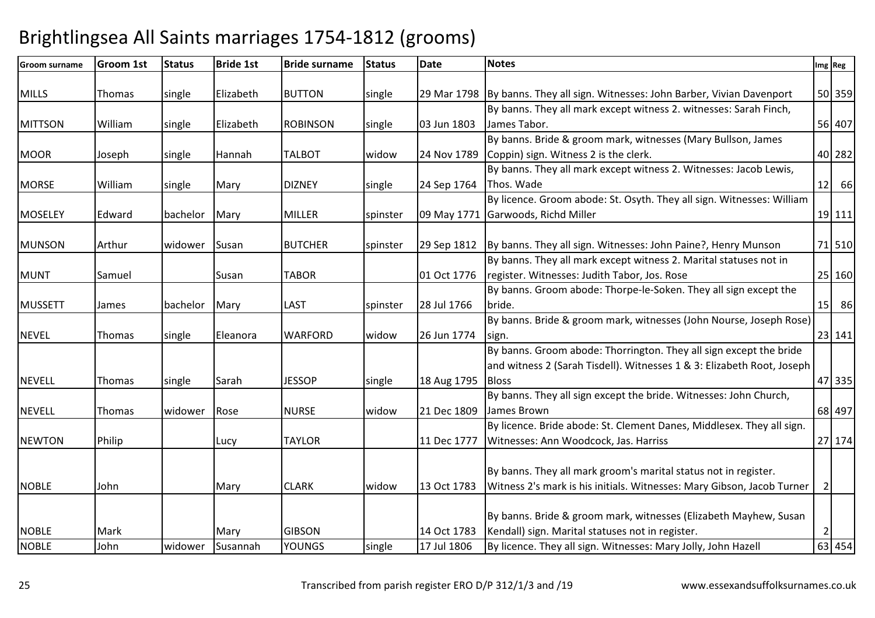| <b>Groom surname</b> | <b>Groom 1st</b> | <b>Status</b> | <b>Bride 1st</b> | <b>Bride surname</b> | <b>Status</b> | <b>Date</b> | <b>Notes</b>                                                                  |                | Img Reg |
|----------------------|------------------|---------------|------------------|----------------------|---------------|-------------|-------------------------------------------------------------------------------|----------------|---------|
| <b>MILLS</b>         |                  |               | Elizabeth        | <b>BUTTON</b>        |               |             |                                                                               |                | 50 359  |
|                      | Thomas           | single        |                  |                      | single        |             | 29 Mar 1798 By banns. They all sign. Witnesses: John Barber, Vivian Davenport |                |         |
|                      |                  |               |                  |                      |               |             | By banns. They all mark except witness 2. witnesses: Sarah Finch,             |                |         |
| <b>MITTSON</b>       | William          | single        | Elizabeth        | <b>ROBINSON</b>      | single        | 03 Jun 1803 | James Tabor.                                                                  |                | 56 407  |
|                      |                  |               |                  |                      |               |             | By banns. Bride & groom mark, witnesses (Mary Bullson, James                  |                |         |
| <b>MOOR</b>          | Joseph           | single        | Hannah           | <b>TALBOT</b>        | widow         | 24 Nov 1789 | Coppin) sign. Witness 2 is the clerk.                                         |                | 40 282  |
|                      |                  |               |                  |                      |               |             | By banns. They all mark except witness 2. Witnesses: Jacob Lewis,             |                |         |
| <b>MORSE</b>         | William          | single        | Mary             | <b>DIZNEY</b>        | single        | 24 Sep 1764 | Thos. Wade                                                                    | 12             | 66      |
|                      |                  |               |                  |                      |               |             | By licence. Groom abode: St. Osyth. They all sign. Witnesses: William         |                |         |
| <b>MOSELEY</b>       | Edward           | bachelor      | Mary             | <b>MILLER</b>        | spinster      | 09 May 1771 | Garwoods, Richd Miller                                                        |                | 19 111  |
|                      |                  |               |                  |                      |               |             |                                                                               |                |         |
| <b>MUNSON</b>        | Arthur           | widower       | Susan            | <b>BUTCHER</b>       | spinster      |             | 29 Sep 1812   By banns. They all sign. Witnesses: John Paine?, Henry Munson   |                | 71 510  |
|                      |                  |               |                  |                      |               |             | By banns. They all mark except witness 2. Marital statuses not in             |                |         |
| <b>MUNT</b>          | Samuel           |               | Susan            | <b>TABOR</b>         |               | 01 Oct 1776 | register. Witnesses: Judith Tabor, Jos. Rose                                  |                | 25 160  |
|                      |                  |               |                  |                      |               |             | By banns. Groom abode: Thorpe-le-Soken. They all sign except the              |                |         |
| <b>MUSSETT</b>       | James            | bachelor      | Mary             | <b>LAST</b>          | spinster      | 28 Jul 1766 | bride.                                                                        | 15             | 86      |
|                      |                  |               |                  |                      |               |             | By banns. Bride & groom mark, witnesses (John Nourse, Joseph Rose)            |                |         |
| <b>NEVEL</b>         | Thomas           | single        | Eleanora         | <b>WARFORD</b>       | widow         | 26 Jun 1774 | sign.                                                                         |                | 23 141  |
|                      |                  |               |                  |                      |               |             | By banns. Groom abode: Thorrington. They all sign except the bride            |                |         |
|                      |                  |               |                  |                      |               |             | and witness 2 (Sarah Tisdell). Witnesses 1 & 3: Elizabeth Root, Joseph        |                |         |
| <b>NEVELL</b>        | Thomas           | single        | Sarah            | <b>JESSOP</b>        | single        | 18 Aug 1795 | <b>Bloss</b>                                                                  |                | 47 335  |
|                      |                  |               |                  |                      |               |             | By banns. They all sign except the bride. Witnesses: John Church,             |                |         |
| <b>NEVELL</b>        | Thomas           | widower       | Rose             | <b>NURSE</b>         | widow         | 21 Dec 1809 | James Brown                                                                   |                | 68 497  |
|                      |                  |               |                  |                      |               |             | By licence. Bride abode: St. Clement Danes, Middlesex. They all sign.         |                |         |
| <b>NEWTON</b>        | Philip           |               | Lucy             | <b>TAYLOR</b>        |               | 11 Dec 1777 | Witnesses: Ann Woodcock, Jas. Harriss                                         |                | 27 174  |
|                      |                  |               |                  |                      |               |             |                                                                               |                |         |
|                      |                  |               |                  |                      |               |             | By banns. They all mark groom's marital status not in register.               |                |         |
|                      |                  |               |                  |                      |               |             |                                                                               |                |         |
| <b>NOBLE</b>         | John             |               | Mary             | <b>CLARK</b>         | widow         | 13 Oct 1783 | Witness 2's mark is his initials. Witnesses: Mary Gibson, Jacob Turner        | $\overline{2}$ |         |
|                      |                  |               |                  |                      |               |             |                                                                               |                |         |
|                      |                  |               |                  |                      |               |             | By banns. Bride & groom mark, witnesses (Elizabeth Mayhew, Susan              |                |         |
| <b>NOBLE</b>         | Mark             |               | Mary             | <b>GIBSON</b>        |               | 14 Oct 1783 | Kendall) sign. Marital statuses not in register.                              | 2              |         |
| <b>NOBLE</b>         | John             | widower       | Susannah         | <b>YOUNGS</b>        | single        | 17 Jul 1806 | By licence. They all sign. Witnesses: Mary Jolly, John Hazell                 |                | 63 454  |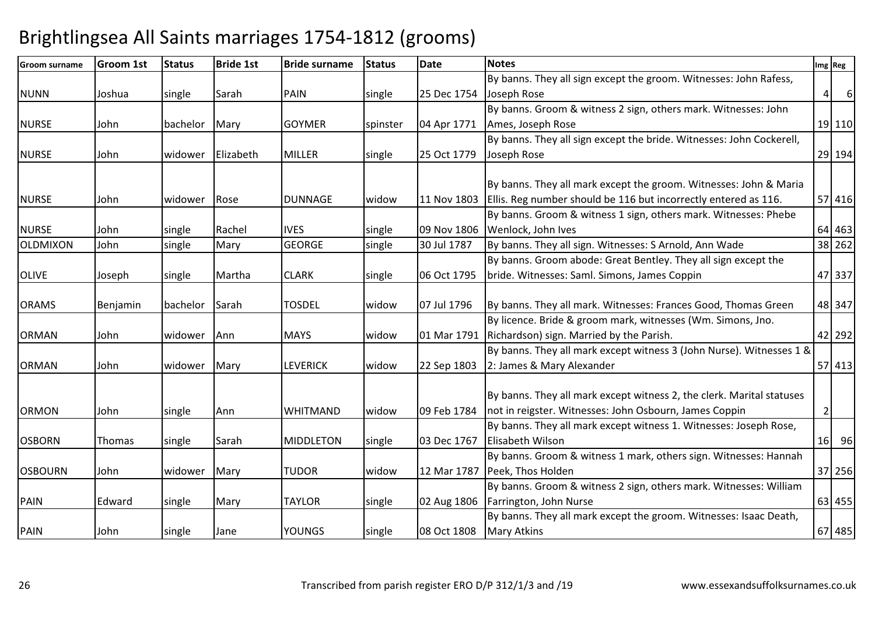| <b>Groom surname</b> | <b>Groom 1st</b> | <b>Status</b>  | <b>Bride 1st</b> | <b>Bride surname</b> | <b>Status</b> | <b>Date</b> | <b>Notes</b>                                                          |                 | Img Reg |
|----------------------|------------------|----------------|------------------|----------------------|---------------|-------------|-----------------------------------------------------------------------|-----------------|---------|
|                      |                  |                |                  |                      |               |             | By banns. They all sign except the groom. Witnesses: John Rafess,     |                 |         |
| <b>NUNN</b>          | Joshua           | single         | Sarah            | <b>PAIN</b>          | single        | 25 Dec 1754 | Joseph Rose                                                           | $\vert 4 \vert$ | 6       |
|                      |                  |                |                  |                      |               |             | By banns. Groom & witness 2 sign, others mark. Witnesses: John        |                 |         |
| <b>NURSE</b>         | John             | bachelor       | Mary             | <b>GOYMER</b>        | spinster      | 04 Apr 1771 | Ames, Joseph Rose                                                     |                 | 19 110  |
|                      |                  |                |                  |                      |               |             | By banns. They all sign except the bride. Witnesses: John Cockerell,  |                 |         |
| <b>NURSE</b>         | John             | widower        | Elizabeth        | <b>MILLER</b>        | single        | 25 Oct 1779 | Joseph Rose                                                           |                 | 29 194  |
|                      |                  |                |                  |                      |               |             |                                                                       |                 |         |
|                      |                  |                |                  |                      |               |             | By banns. They all mark except the groom. Witnesses: John & Maria     |                 |         |
| <b>NURSE</b>         | John             | <b>widower</b> | Rose             | <b>DUNNAGE</b>       | widow         | 11 Nov 1803 | Ellis. Reg number should be 116 but incorrectly entered as 116.       |                 | 57 416  |
|                      |                  |                |                  |                      |               |             | By banns. Groom & witness 1 sign, others mark. Witnesses: Phebe       |                 |         |
| <b>NURSE</b>         | John             | single         | Rachel           | <b>IVES</b>          | single        | 09 Nov 1806 | Wenlock, John Ives                                                    |                 | 64 463  |
| OLDMIXON             | John             | single         | Mary             | <b>GEORGE</b>        | single        | 30 Jul 1787 | By banns. They all sign. Witnesses: S Arnold, Ann Wade                |                 | 38 262  |
|                      |                  |                |                  |                      |               |             | By banns. Groom abode: Great Bentley. They all sign except the        |                 |         |
| <b>OLIVE</b>         | Joseph           | single         | Martha           | <b>CLARK</b>         | single        | 06 Oct 1795 | bride. Witnesses: Saml. Simons, James Coppin                          |                 | 47 337  |
|                      |                  |                |                  |                      |               |             |                                                                       |                 |         |
| <b>ORAMS</b>         | Benjamin         | bachelor       | Sarah            | <b>TOSDEL</b>        | widow         | 07 Jul 1796 | By banns. They all mark. Witnesses: Frances Good, Thomas Green        |                 | 48 347  |
|                      |                  |                |                  |                      |               |             | By licence. Bride & groom mark, witnesses (Wm. Simons, Jno.           |                 |         |
| <b>ORMAN</b>         | John             | widower        | Ann              | <b>MAYS</b>          | widow         | 01 Mar 1791 | Richardson) sign. Married by the Parish.                              |                 | 42 292  |
|                      |                  |                |                  |                      |               |             | By banns. They all mark except witness 3 (John Nurse). Witnesses 1 &  |                 |         |
| <b>ORMAN</b>         | John             | widower        | Mary             | <b>LEVERICK</b>      | widow         | 22 Sep 1803 | 2: James & Mary Alexander                                             |                 | 57 413  |
|                      |                  |                |                  |                      |               |             |                                                                       |                 |         |
|                      |                  |                |                  |                      |               |             | By banns. They all mark except witness 2, the clerk. Marital statuses |                 |         |
| <b>ORMON</b>         | John             | single         | Ann              | <b>WHITMAND</b>      | widow         | 09 Feb 1784 | not in reigster. Witnesses: John Osbourn, James Coppin                | $\overline{2}$  |         |
|                      |                  |                |                  |                      |               |             | By banns. They all mark except witness 1. Witnesses: Joseph Rose,     |                 |         |
| <b>OSBORN</b>        | Thomas           | single         | Sarah            | <b>MIDDLETON</b>     | single        | 03 Dec 1767 | <b>Elisabeth Wilson</b>                                               |                 | 16 96   |
|                      |                  |                |                  |                      |               |             | By banns. Groom & witness 1 mark, others sign. Witnesses: Hannah      |                 |         |
| <b>OSBOURN</b>       | John             | widower        | Mary             | <b>TUDOR</b>         | widow         | 12 Mar 1787 | Peek, Thos Holden                                                     |                 | 37 256  |
|                      |                  |                |                  |                      |               |             | By banns. Groom & witness 2 sign, others mark. Witnesses: William     |                 |         |
| <b>PAIN</b>          | Edward           | single         | Mary             | <b>TAYLOR</b>        | single        | 02 Aug 1806 | Farrington, John Nurse                                                |                 | 63 455  |
|                      |                  |                |                  |                      |               |             | By banns. They all mark except the groom. Witnesses: Isaac Death,     |                 |         |
| <b>PAIN</b>          | John             | single         | Jane             | <b>YOUNGS</b>        | single        | 08 Oct 1808 | <b>Mary Atkins</b>                                                    |                 | 67 485  |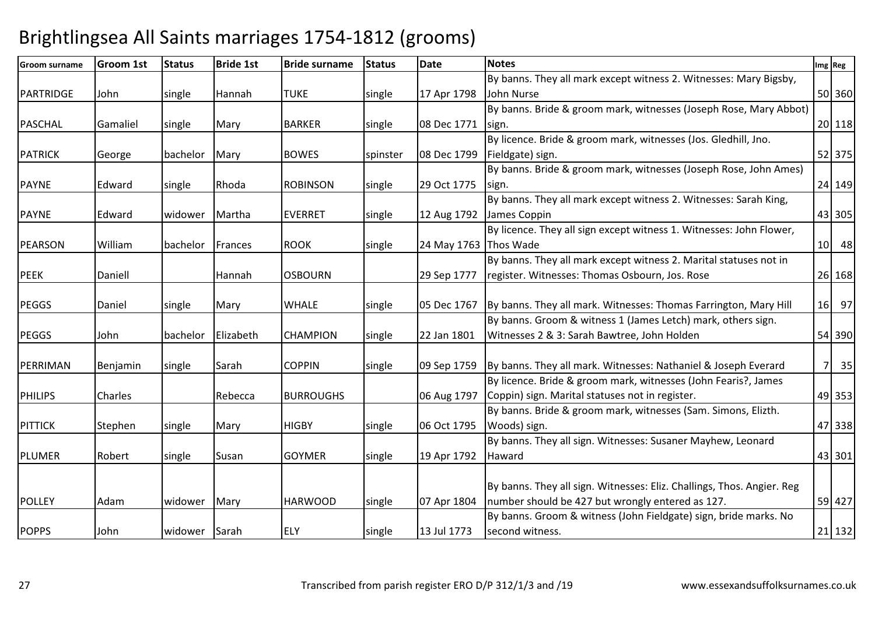| <b>Groom surname</b> | <b>Groom 1st</b> | <b>Status</b> | <b>Bride 1st</b> | <b>Bride surname</b> | <b>Status</b> | <b>Date</b>           | <b>Notes</b>                                                           |    | Img Reg |
|----------------------|------------------|---------------|------------------|----------------------|---------------|-----------------------|------------------------------------------------------------------------|----|---------|
|                      |                  |               |                  |                      |               |                       | By banns. They all mark except witness 2. Witnesses: Mary Bigsby,      |    |         |
| PARTRIDGE            | John             | single        | Hannah           | <b>TUKE</b>          | single        | 17 Apr 1798           | John Nurse                                                             |    | 50 360  |
|                      |                  |               |                  |                      |               |                       | By banns. Bride & groom mark, witnesses (Joseph Rose, Mary Abbot)      |    |         |
| <b>PASCHAL</b>       | Gamaliel         | single        | Mary             | <b>BARKER</b>        | single        | 08 Dec 1771           | sign.                                                                  |    | 20 118  |
|                      |                  |               |                  |                      |               |                       | By licence. Bride & groom mark, witnesses (Jos. Gledhill, Jno.         |    |         |
| <b>PATRICK</b>       | George           | bachelor      | Mary             | <b>BOWES</b>         | spinster      | 08 Dec 1799           | Fieldgate) sign.                                                       |    | 52 375  |
|                      |                  |               |                  |                      |               |                       | By banns. Bride & groom mark, witnesses (Joseph Rose, John Ames)       |    |         |
| <b>PAYNE</b>         | Edward           | single        | Rhoda            | <b>ROBINSON</b>      | single        | 29 Oct 1775           | sign.                                                                  |    | 24 149  |
|                      |                  |               |                  |                      |               |                       | By banns. They all mark except witness 2. Witnesses: Sarah King,       |    |         |
| <b>PAYNE</b>         | Edward           | lwidower      | Martha           | <b>EVERRET</b>       | single        | 12 Aug 1792           | James Coppin                                                           |    | 43 305  |
|                      |                  |               |                  |                      |               |                       | By licence. They all sign except witness 1. Witnesses: John Flower,    |    |         |
| <b>PEARSON</b>       | William          | bachelor      | Frances          | <b>ROOK</b>          | single        | 24 May 1763 Thos Wade |                                                                        |    | 10 48   |
|                      |                  |               |                  |                      |               |                       | By banns. They all mark except witness 2. Marital statuses not in      |    |         |
| <b>PEEK</b>          | Daniell          |               | Hannah           | <b>OSBOURN</b>       |               | 29 Sep 1777           | register. Witnesses: Thomas Osbourn, Jos. Rose                         |    | 26 168  |
|                      |                  |               |                  |                      |               |                       |                                                                        |    |         |
| <b>PEGGS</b>         | Daniel           | single        | Mary             | <b>WHALE</b>         | single        | 05 Dec 1767           | By banns. They all mark. Witnesses: Thomas Farrington, Mary Hill       |    | 16 97   |
|                      |                  |               |                  |                      |               |                       | By banns. Groom & witness 1 (James Letch) mark, others sign.           |    |         |
| <b>PEGGS</b>         | John             | bachelor      | Elizabeth        | <b>CHAMPION</b>      | single        | 22 Jan 1801           | Witnesses 2 & 3: Sarah Bawtree, John Holden                            |    | 54 390  |
|                      |                  |               |                  |                      |               |                       |                                                                        |    |         |
| PERRIMAN             | Benjamin         | single        | Sarah            | <b>COPPIN</b>        | single        | 09 Sep 1759           | By banns. They all mark. Witnesses: Nathaniel & Joseph Everard         | 71 | 35      |
|                      |                  |               |                  |                      |               |                       | By licence. Bride & groom mark, witnesses (John Fearis?, James         |    |         |
| <b>PHILIPS</b>       | Charles          |               | Rebecca          | <b>BURROUGHS</b>     |               | 06 Aug 1797           | Coppin) sign. Marital statuses not in register.                        |    | 49 353  |
|                      |                  |               |                  |                      |               |                       | By banns. Bride & groom mark, witnesses (Sam. Simons, Elizth.          |    |         |
| <b>PITTICK</b>       | Stephen          | single        | Mary             | <b>HIGBY</b>         | single        | 06 Oct 1795           | Woods) sign.                                                           |    | 47 338  |
|                      |                  |               |                  |                      |               |                       | By banns. They all sign. Witnesses: Susaner Mayhew, Leonard            |    |         |
| <b>PLUMER</b>        | Robert           | single        | Susan            | <b>GOYMER</b>        | single        | 19 Apr 1792           | Haward                                                                 |    | 43 301  |
|                      |                  |               |                  |                      |               |                       |                                                                        |    |         |
|                      |                  |               |                  |                      |               |                       | By banns. They all sign. Witnesses: Eliz. Challings, Thos. Angier. Reg |    |         |
| <b>POLLEY</b>        | Adam             | widower       | Mary             | <b>HARWOOD</b>       | single        | 07 Apr 1804           | number should be 427 but wrongly entered as 127.                       |    | 59 427  |
|                      |                  |               |                  |                      |               |                       | By banns. Groom & witness (John Fieldgate) sign, bride marks. No       |    |         |
| <b>POPPS</b>         | John             | widower Sarah |                  | <b>ELY</b>           | single        | 13 Jul 1773           | second witness.                                                        |    | 21 132  |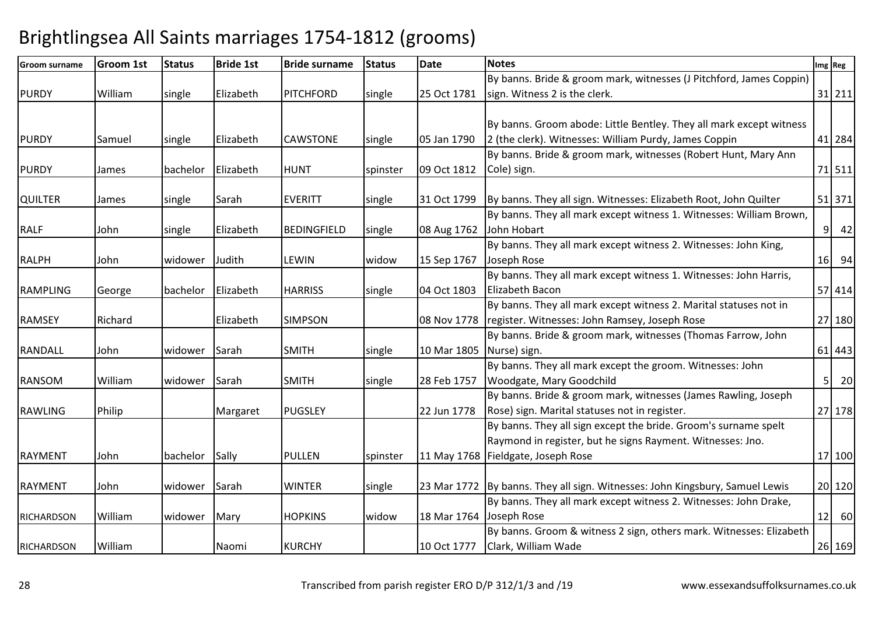| <b>Groom surname</b> | <b>Groom 1st</b> | <b>Status</b>   | <b>Bride 1st</b> | <b>Bride surname</b> | Status   | <b>Date</b>             | <b>Notes</b>                                                                 |                | Img Reg |
|----------------------|------------------|-----------------|------------------|----------------------|----------|-------------------------|------------------------------------------------------------------------------|----------------|---------|
|                      |                  |                 |                  |                      |          |                         | By banns. Bride & groom mark, witnesses (J Pitchford, James Coppin)          |                |         |
| <b>PURDY</b>         | William          | single          | Elizabeth        | <b>PITCHFORD</b>     | single   | 25 Oct 1781             | sign. Witness 2 is the clerk.                                                |                | 31 211  |
|                      |                  |                 |                  |                      |          |                         |                                                                              |                |         |
|                      |                  |                 |                  |                      |          |                         | By banns. Groom abode: Little Bentley. They all mark except witness          |                |         |
| <b>PURDY</b>         | Samuel           | single          | Elizabeth        | <b>CAWSTONE</b>      | single   | 05 Jan 1790             | 2 (the clerk). Witnesses: William Purdy, James Coppin                        |                | 41 284  |
|                      |                  |                 |                  |                      |          |                         | By banns. Bride & groom mark, witnesses (Robert Hunt, Mary Ann               |                |         |
| <b>PURDY</b>         | James            | <b>bachelor</b> | Elizabeth        | <b>HUNT</b>          | spinster | 09 Oct 1812             | Cole) sign.                                                                  |                | 71 511  |
|                      |                  |                 |                  |                      |          |                         |                                                                              |                |         |
| <b>QUILTER</b>       | James            | single          | Sarah            | <b>EVERITT</b>       | single   | 31 Oct 1799             | By banns. They all sign. Witnesses: Elizabeth Root, John Quilter             |                | 51 371  |
|                      |                  |                 |                  |                      |          |                         | By banns. They all mark except witness 1. Witnesses: William Brown,          |                |         |
| <b>RALF</b>          | John             | single          | Elizabeth        | <b>BEDINGFIELD</b>   | single   | 08 Aug 1762             | John Hobart                                                                  |                | $9$ 42  |
|                      |                  |                 |                  |                      |          |                         | By banns. They all mark except witness 2. Witnesses: John King,              |                |         |
| <b>RALPH</b>         | John             | widower         | Judith           | <b>LEWIN</b>         | widow    | 15 Sep 1767             | Joseph Rose                                                                  |                | 16 94   |
|                      |                  |                 |                  |                      |          |                         | By banns. They all mark except witness 1. Witnesses: John Harris,            |                |         |
| <b>RAMPLING</b>      | George           | bachelor        | Elizabeth        | <b>HARRISS</b>       | single   | 04 Oct 1803             | Elizabeth Bacon                                                              |                | 57 414  |
|                      |                  |                 |                  |                      |          |                         | By banns. They all mark except witness 2. Marital statuses not in            |                |         |
| <b>RAMSEY</b>        | Richard          |                 | Elizabeth        | <b>SIMPSON</b>       |          | 08 Nov 1778             | register. Witnesses: John Ramsey, Joseph Rose                                |                | 27 180  |
|                      |                  |                 |                  |                      |          |                         | By banns. Bride & groom mark, witnesses (Thomas Farrow, John                 |                |         |
| <b>RANDALL</b>       | John             | widower         | Sarah            | <b>SMITH</b>         | single   | 10 Mar 1805             | Nurse) sign.                                                                 |                | 61 443  |
|                      |                  |                 |                  |                      |          |                         | By banns. They all mark except the groom. Witnesses: John                    |                |         |
| <b>RANSOM</b>        | William          | widower         | Sarah            | <b>SMITH</b>         | single   | 28 Feb 1757             | Woodgate, Mary Goodchild                                                     | 5 <sup>1</sup> | 20      |
|                      |                  |                 |                  |                      |          |                         | By banns. Bride & groom mark, witnesses (James Rawling, Joseph               |                |         |
| <b>RAWLING</b>       | Philip           |                 | Margaret         | <b>PUGSLEY</b>       |          | 22 Jun 1778             | Rose) sign. Marital statuses not in register.                                |                | 27 178  |
|                      |                  |                 |                  |                      |          |                         | By banns. They all sign except the bride. Groom's surname spelt              |                |         |
|                      |                  |                 |                  |                      |          |                         | Raymond in register, but he signs Rayment. Witnesses: Jno.                   |                |         |
| <b>RAYMENT</b>       | John             | bachelor        | Sally            | <b>PULLEN</b>        | spinster |                         | 11 May 1768   Fieldgate, Joseph Rose                                         |                | 17 100  |
|                      |                  |                 |                  |                      |          |                         |                                                                              |                |         |
| <b>RAYMENT</b>       | John             | widower         | Sarah            | <b>WINTER</b>        | single   |                         | 23 Mar 1772 By banns. They all sign. Witnesses: John Kingsbury, Samuel Lewis |                | 20 120  |
|                      |                  |                 |                  |                      |          |                         | By banns. They all mark except witness 2. Witnesses: John Drake,             |                |         |
| <b>RICHARDSON</b>    | William          | widower         | Mary             | <b>HOPKINS</b>       | widow    | 18 Mar 1764 Joseph Rose |                                                                              |                | $12$ 60 |
|                      |                  |                 |                  |                      |          |                         | By banns. Groom & witness 2 sign, others mark. Witnesses: Elizabeth          |                |         |
| <b>RICHARDSON</b>    | William          |                 | Naomi            | <b>KURCHY</b>        |          | 10 Oct 1777             | Clark, William Wade                                                          |                | 26 169  |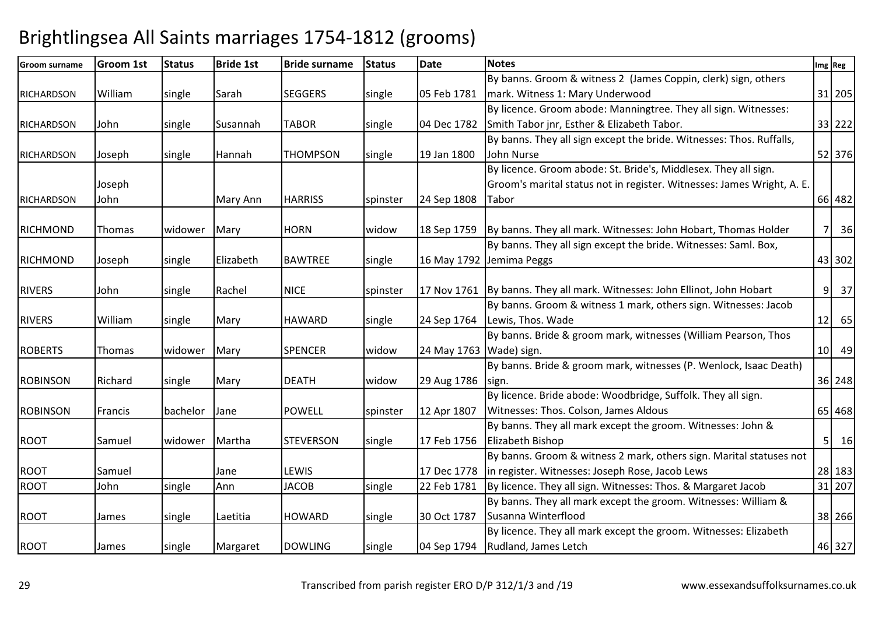| Groom surname     | <b>Groom 1st</b> | <b>Status</b> | <b>Bride 1st</b> | <b>Bride surname</b> | <b>Status</b> | <b>Date</b>               | <b>Notes</b>                                                                | Img Reg              |
|-------------------|------------------|---------------|------------------|----------------------|---------------|---------------------------|-----------------------------------------------------------------------------|----------------------|
|                   |                  |               |                  |                      |               |                           | By banns. Groom & witness 2 (James Coppin, clerk) sign, others              |                      |
| <b>RICHARDSON</b> | William          | single        | Sarah            | <b>SEGGERS</b>       | single        | 05 Feb 1781               | mark. Witness 1: Mary Underwood                                             | 31 205               |
|                   |                  |               |                  |                      |               |                           | By licence. Groom abode: Manningtree. They all sign. Witnesses:             |                      |
| <b>RICHARDSON</b> | John             | single        | Susannah         | <b>TABOR</b>         | single        | 04 Dec 1782               | Smith Tabor jnr, Esther & Elizabeth Tabor.                                  | 33 222               |
|                   |                  |               |                  |                      |               |                           | By banns. They all sign except the bride. Witnesses: Thos. Ruffalls,        |                      |
| <b>RICHARDSON</b> | Joseph           | single        | Hannah           | <b>THOMPSON</b>      | single        | 19 Jan 1800               | John Nurse                                                                  | 52 376               |
|                   |                  |               |                  |                      |               |                           | By licence. Groom abode: St. Bride's, Middlesex. They all sign.             |                      |
|                   | Joseph           |               |                  |                      |               |                           | Groom's marital status not in register. Witnesses: James Wright, A. E.      |                      |
| <b>RICHARDSON</b> | John             |               | Mary Ann         | <b>HARRISS</b>       | spinster      | 24 Sep 1808               | Tabor                                                                       | 66 482               |
|                   |                  |               |                  |                      |               |                           |                                                                             |                      |
| <b>RICHMOND</b>   | Thomas           | widower       | Mary             | <b>HORN</b>          | widow         | 18 Sep 1759               | By banns. They all mark. Witnesses: John Hobart, Thomas Holder              | 36<br>7 <sup>1</sup> |
|                   |                  |               |                  |                      |               |                           | By banns. They all sign except the bride. Witnesses: Saml. Box,             |                      |
| <b>RICHMOND</b>   | Joseph           | single        | Elizabeth        | <b>BAWTREE</b>       | single        |                           | 16 May 1792 Jemima Peggs                                                    | 43 302               |
|                   |                  |               |                  |                      |               |                           |                                                                             |                      |
| <b>RIVERS</b>     | John             | single        | Rachel           | <b>NICE</b>          | spinster      |                           | 17 Nov 1761   By banns. They all mark. Witnesses: John Ellinot, John Hobart | 9 37                 |
|                   |                  |               |                  |                      |               |                           | By banns. Groom & witness 1 mark, others sign. Witnesses: Jacob             |                      |
| <b>RIVERS</b>     | William          | single        | Mary             | <b>HAWARD</b>        | single        | 24 Sep 1764               | Lewis, Thos. Wade                                                           | $12$ 65              |
|                   |                  |               |                  |                      |               |                           | By banns. Bride & groom mark, witnesses (William Pearson, Thos              |                      |
| <b>ROBERTS</b>    | Thomas           | widower       | Mary             | <b>SPENCER</b>       | widow         | 24 May 1763   Wade) sign. |                                                                             | 10 49                |
|                   |                  |               |                  |                      |               |                           | By banns. Bride & groom mark, witnesses (P. Wenlock, Isaac Death)           |                      |
| <b>ROBINSON</b>   | Richard          | single        | Mary             | <b>DEATH</b>         | widow         | 29 Aug 1786               | sign.                                                                       | 36 248               |
|                   |                  |               |                  |                      |               |                           | By licence. Bride abode: Woodbridge, Suffolk. They all sign.                |                      |
| <b>ROBINSON</b>   | Francis          | bachelor      | Jane             | <b>POWELL</b>        | spinster      | 12 Apr 1807               | Witnesses: Thos. Colson, James Aldous                                       | 65 468               |
|                   |                  |               |                  |                      |               |                           | By banns. They all mark except the groom. Witnesses: John &                 |                      |
| <b>ROOT</b>       | Samuel           | widower       | Martha           | <b>STEVERSON</b>     | single        | 17 Feb 1756               | Elizabeth Bishop                                                            | $5 \quad 16$         |
|                   |                  |               |                  |                      |               |                           | By banns. Groom & witness 2 mark, others sign. Marital statuses not         |                      |
| <b>ROOT</b>       | Samuel           |               | Jane             | LEWIS                |               | 17 Dec 1778               | in register. Witnesses: Joseph Rose, Jacob Lews                             | 28 183               |
| <b>ROOT</b>       | John             | single        | Ann              | <b>JACOB</b>         | single        | 22 Feb 1781               | By licence. They all sign. Witnesses: Thos. & Margaret Jacob                | 31 207               |
|                   |                  |               |                  |                      |               |                           | By banns. They all mark except the groom. Witnesses: William &              |                      |
| <b>ROOT</b>       | James            | single        | Laetitia         | <b>HOWARD</b>        | single        | 30 Oct 1787               | Susanna Winterflood                                                         | 38 266               |
|                   |                  |               |                  |                      |               |                           | By licence. They all mark except the groom. Witnesses: Elizabeth            |                      |
| <b>ROOT</b>       | James            | single        | Margaret         | <b>DOWLING</b>       | single        | 04 Sep 1794               | Rudland, James Letch                                                        | 46 327               |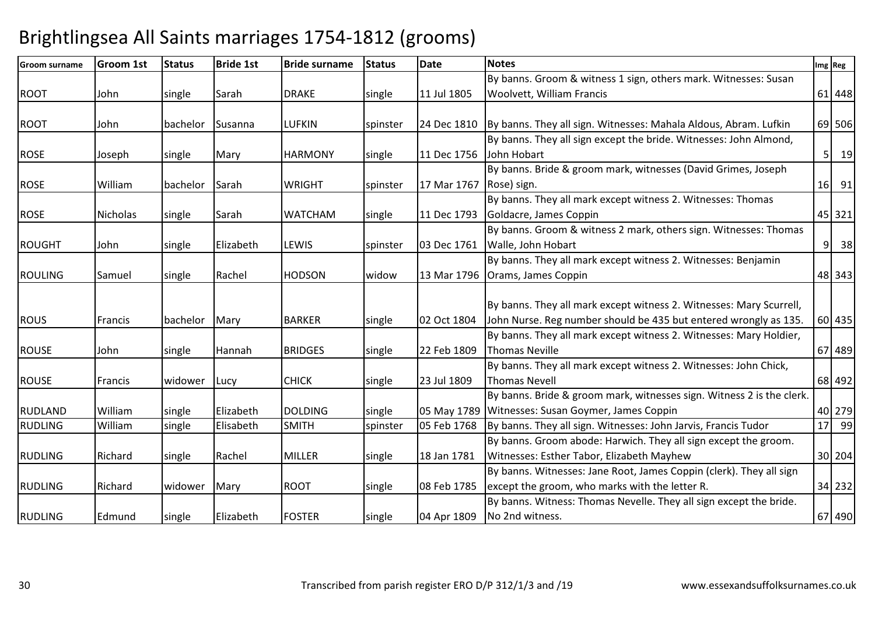| <b>Groom surname</b> | <b>Groom 1st</b> | <b>Status</b> | <b>Bride 1st</b> | <b>Bride surname</b> | <b>Status</b> | <b>Date</b> | <b>Notes</b>                                                          |                 | Img Reg |
|----------------------|------------------|---------------|------------------|----------------------|---------------|-------------|-----------------------------------------------------------------------|-----------------|---------|
|                      |                  |               |                  |                      |               |             | By banns. Groom & witness 1 sign, others mark. Witnesses: Susan       |                 |         |
| <b>ROOT</b>          | John             | single        | Sarah            | <b>DRAKE</b>         | single        | 11 Jul 1805 | Woolvett, William Francis                                             |                 | 61 448  |
|                      |                  |               |                  |                      |               |             |                                                                       |                 |         |
| <b>ROOT</b>          | John             | bachelor      | Susanna          | <b>LUFKIN</b>        | spinster      | 24 Dec 1810 | By banns. They all sign. Witnesses: Mahala Aldous, Abram. Lufkin      |                 | 69 506  |
|                      |                  |               |                  |                      |               |             | By banns. They all sign except the bride. Witnesses: John Almond,     |                 |         |
| <b>ROSE</b>          | Joseph           | single        | Mary             | <b>HARMONY</b>       | single        | 11 Dec 1756 | John Hobart                                                           | 5 <sup>1</sup>  | 19      |
|                      |                  |               |                  |                      |               |             | By banns. Bride & groom mark, witnesses (David Grimes, Joseph         |                 |         |
| <b>ROSE</b>          | William          | bachelor      | Sarah            | <b>WRIGHT</b>        | spinster      | 17 Mar 1767 | Rose) sign.                                                           |                 | 16 91   |
|                      |                  |               |                  |                      |               |             | By banns. They all mark except witness 2. Witnesses: Thomas           |                 |         |
| <b>ROSE</b>          | <b>Nicholas</b>  | single        | Sarah            | <b>WATCHAM</b>       | single        | 11 Dec 1793 | Goldacre, James Coppin                                                |                 | 45 321  |
|                      |                  |               |                  |                      |               |             | By banns. Groom & witness 2 mark, others sign. Witnesses: Thomas      |                 |         |
| <b>ROUGHT</b>        | John             | single        | Elizabeth        | LEWIS                | spinster      | 03 Dec 1761 | Walle, John Hobart                                                    | 9 <sup>1</sup>  | 38      |
|                      |                  |               |                  |                      |               |             | By banns. They all mark except witness 2. Witnesses: Benjamin         |                 |         |
| <b>ROULING</b>       | Samuel           | single        | Rachel           | <b>HODSON</b>        | widow         | 13 Mar 1796 | Orams, James Coppin                                                   |                 | 48 343  |
|                      |                  |               |                  |                      |               |             |                                                                       |                 |         |
|                      |                  |               |                  |                      |               |             | By banns. They all mark except witness 2. Witnesses: Mary Scurrell,   |                 |         |
| <b>ROUS</b>          | Francis          | bachelor      | Mary             | <b>BARKER</b>        | single        | 02 Oct 1804 | John Nurse. Reg number should be 435 but entered wrongly as 135.      |                 | 60 435  |
|                      |                  |               |                  |                      |               |             | By banns. They all mark except witness 2. Witnesses: Mary Holdier,    |                 |         |
| <b>ROUSE</b>         | John             | single        | Hannah           | <b>BRIDGES</b>       | single        | 22 Feb 1809 | Thomas Neville                                                        |                 | 67 489  |
|                      |                  |               |                  |                      |               |             | By banns. They all mark except witness 2. Witnesses: John Chick,      |                 |         |
| <b>ROUSE</b>         | Francis          | widower       | Lucy             | <b>CHICK</b>         | single        | 23 Jul 1809 | <b>Thomas Nevell</b>                                                  |                 | 68 492  |
|                      |                  |               |                  |                      |               |             | By banns. Bride & groom mark, witnesses sign. Witness 2 is the clerk. |                 |         |
| <b>RUDLAND</b>       | William          | single        | Elizabeth        | <b>DOLDING</b>       | single        | 05 May 1789 | Witnesses: Susan Goymer, James Coppin                                 |                 | 40 279  |
| <b>RUDLING</b>       | William          | single        | Elisabeth        | <b>SMITH</b>         | spinster      | 05 Feb 1768 | By banns. They all sign. Witnesses: John Jarvis, Francis Tudor        | 17 <sup>1</sup> | 99      |
|                      |                  |               |                  |                      |               |             | By banns. Groom abode: Harwich. They all sign except the groom.       |                 |         |
| <b>RUDLING</b>       | Richard          | single        | Rachel           | <b>MILLER</b>        | single        | 18 Jan 1781 | Witnesses: Esther Tabor, Elizabeth Mayhew                             |                 | 30 204  |
|                      |                  |               |                  |                      |               |             | By banns. Witnesses: Jane Root, James Coppin (clerk). They all sign   |                 |         |
| <b>RUDLING</b>       | Richard          | widower       | Mary             | <b>ROOT</b>          | single        | 08 Feb 1785 | except the groom, who marks with the letter R.                        |                 | 34 232  |
|                      |                  |               |                  |                      |               |             | By banns. Witness: Thomas Nevelle. They all sign except the bride.    |                 |         |
| <b>RUDLING</b>       | Edmund           | single        | Elizabeth        | <b>FOSTER</b>        | single        | 04 Apr 1809 | No 2nd witness.                                                       |                 | 67 490  |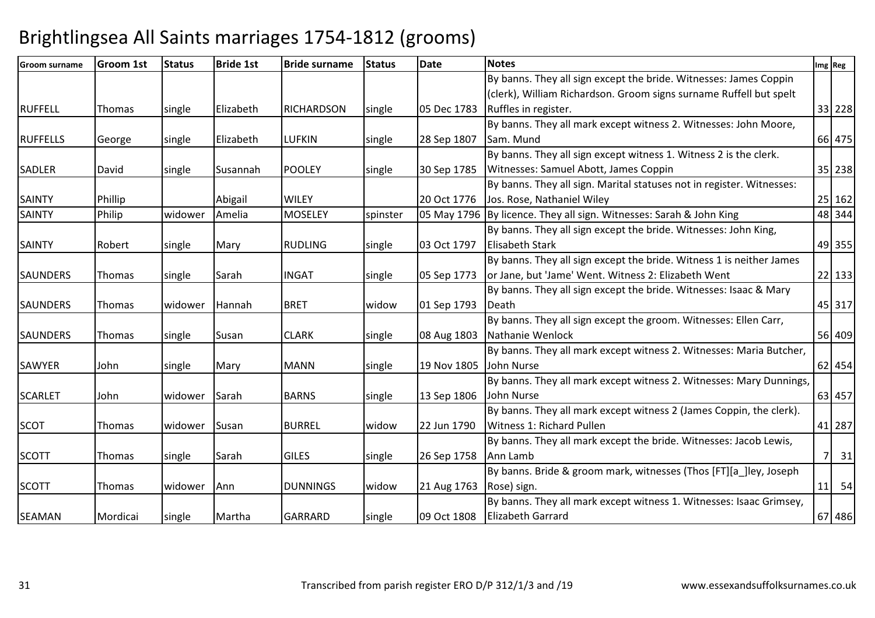| <b>Groom surname</b> | Groom 1st | <b>Status</b> | <b>Bride 1st</b> | <b>Bride surname</b> | <b>Status</b> | <b>Date</b> | <b>Notes</b>                                                          | Img Reg |  |
|----------------------|-----------|---------------|------------------|----------------------|---------------|-------------|-----------------------------------------------------------------------|---------|--|
|                      |           |               |                  |                      |               |             | By banns. They all sign except the bride. Witnesses: James Coppin     |         |  |
|                      |           |               |                  |                      |               |             | (clerk), William Richardson. Groom signs surname Ruffell but spelt    |         |  |
| <b>RUFFELL</b>       | Thomas    | single        | Elizabeth        | <b>RICHARDSON</b>    | single        | 05 Dec 1783 | Ruffles in register.                                                  | 33 228  |  |
|                      |           |               |                  |                      |               |             | By banns. They all mark except witness 2. Witnesses: John Moore,      |         |  |
| <b>RUFFELLS</b>      | George    | single        | Elizabeth        | <b>LUFKIN</b>        | single        | 28 Sep 1807 | Sam. Mund                                                             | 66 475  |  |
|                      |           |               |                  |                      |               |             | By banns. They all sign except witness 1. Witness 2 is the clerk.     |         |  |
| <b>SADLER</b>        | David     | single        | Susannah         | <b>POOLEY</b>        | single        | 30 Sep 1785 | Witnesses: Samuel Abott, James Coppin                                 | 35 238  |  |
|                      |           |               |                  |                      |               |             | By banns. They all sign. Marital statuses not in register. Witnesses: |         |  |
| <b>SAINTY</b>        | Phillip   |               | Abigail          | <b>WILEY</b>         |               | 20 Oct 1776 | Jos. Rose, Nathaniel Wiley                                            | 25 162  |  |
| <b>SAINTY</b>        | Philip    | widower       | Amelia           | <b>MOSELEY</b>       | spinster      |             | 05 May 1796 By licence. They all sign. Witnesses: Sarah & John King   | 48 344  |  |
|                      |           |               |                  |                      |               |             | By banns. They all sign except the bride. Witnesses: John King,       |         |  |
| <b>SAINTY</b>        | Robert    | single        | Mary             | <b>RUDLING</b>       | single        | 03 Oct 1797 | <b>Elisabeth Stark</b>                                                | 49 355  |  |
|                      |           |               |                  |                      |               |             | By banns. They all sign except the bride. Witness 1 is neither James  |         |  |
| <b>SAUNDERS</b>      | Thomas    | single        | Sarah            | <b>INGAT</b>         | single        | 05 Sep 1773 | or Jane, but 'Jame' Went. Witness 2: Elizabeth Went                   | 22 133  |  |
|                      |           |               |                  |                      |               |             | By banns. They all sign except the bride. Witnesses: Isaac & Mary     |         |  |
| <b>SAUNDERS</b>      | Thomas    | widower       | Hannah           | <b>BRET</b>          | widow         | 01 Sep 1793 | Death                                                                 | 45 317  |  |
|                      |           |               |                  |                      |               |             | By banns. They all sign except the groom. Witnesses: Ellen Carr,      |         |  |
| <b>SAUNDERS</b>      | Thomas    | single        | Susan            | <b>CLARK</b>         | single        | 08 Aug 1803 | Nathanie Wenlock                                                      | 56 409  |  |
|                      |           |               |                  |                      |               |             | By banns. They all mark except witness 2. Witnesses: Maria Butcher,   |         |  |
| <b>SAWYER</b>        | John      | single        | Mary             | <b>MANN</b>          | single        | 19 Nov 1805 | John Nurse                                                            | 62 454  |  |
|                      |           |               |                  |                      |               |             | By banns. They all mark except witness 2. Witnesses: Mary Dunnings,   |         |  |
| <b>SCARLET</b>       | John      | widower       | Sarah            | <b>BARNS</b>         | single        | 13 Sep 1806 | John Nurse                                                            | 63 457  |  |
|                      |           |               |                  |                      |               |             | By banns. They all mark except witness 2 (James Coppin, the clerk).   |         |  |
| <b>SCOT</b>          | Thomas    | widower       | Susan            | <b>BURREL</b>        | widow         | 22 Jun 1790 | Witness 1: Richard Pullen                                             | 41 287  |  |
|                      |           |               |                  |                      |               |             | By banns. They all mark except the bride. Witnesses: Jacob Lewis,     |         |  |
| <b>SCOTT</b>         | Thomas    | single        | Sarah            | <b>GILES</b>         | single        | 26 Sep 1758 | Ann Lamb                                                              | 7 31    |  |
|                      |           |               |                  |                      |               |             | By banns. Bride & groom mark, witnesses (Thos [FT][a_]ley, Joseph     |         |  |
| <b>SCOTT</b>         | Thomas    | widower       | Ann              | <b>DUNNINGS</b>      | widow         | 21 Aug 1763 | Rose) sign.                                                           | $11$ 54 |  |
|                      |           |               |                  |                      |               |             | By banns. They all mark except witness 1. Witnesses: Isaac Grimsey,   |         |  |
| <b>SEAMAN</b>        | Mordicai  | single        | Martha           | <b>GARRARD</b>       | single        | 09 Oct 1808 | <b>Elizabeth Garrard</b>                                              | 67 486  |  |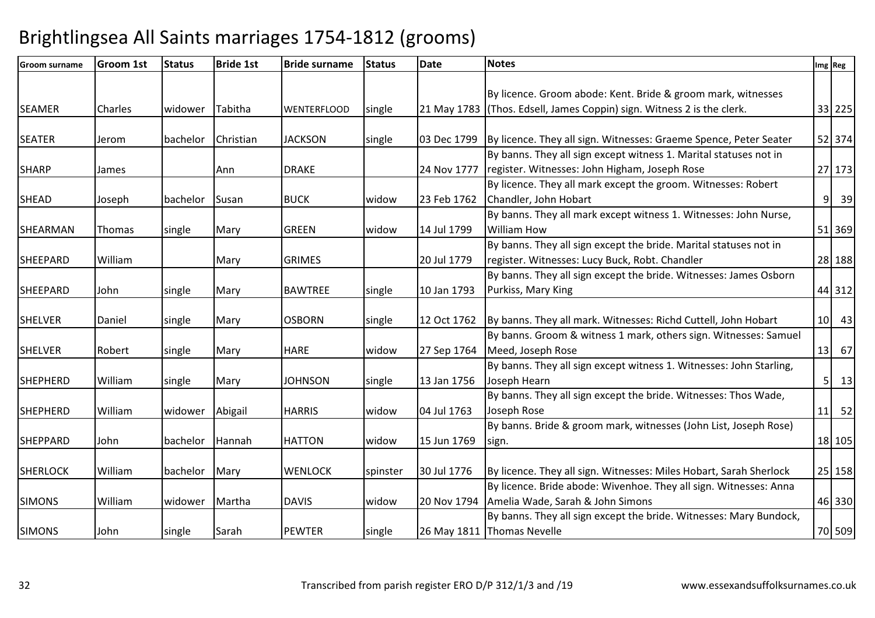| <b>Groom surname</b> | <b>Groom 1st</b> | <b>Status</b> | <b>Bride 1st</b> | <b>Bride surname</b> | <b>Status</b> | <b>Date</b> | <b>Notes</b>                                                           |                 | Img Reg |
|----------------------|------------------|---------------|------------------|----------------------|---------------|-------------|------------------------------------------------------------------------|-----------------|---------|
|                      |                  |               |                  |                      |               |             |                                                                        |                 |         |
|                      |                  |               |                  |                      |               |             | By licence. Groom abode: Kent. Bride & groom mark, witnesses           |                 |         |
| <b>SEAMER</b>        | Charles          | widower       | Tabitha          | <b>WENTERFLOOD</b>   | single        |             | 21 May 1783 (Thos. Edsell, James Coppin) sign. Witness 2 is the clerk. |                 | 33 225  |
|                      |                  |               |                  |                      |               |             |                                                                        |                 |         |
| <b>SEATER</b>        | Jerom            | bachelor      | Christian        | <b>JACKSON</b>       | single        | 03 Dec 1799 | By licence. They all sign. Witnesses: Graeme Spence, Peter Seater      |                 | 52 374  |
|                      |                  |               |                  |                      |               |             | By banns. They all sign except witness 1. Marital statuses not in      |                 |         |
| <b>SHARP</b>         | James            |               | Ann              | <b>DRAKE</b>         |               | 24 Nov 1777 | register. Witnesses: John Higham, Joseph Rose                          |                 | 27 173  |
|                      |                  |               |                  |                      |               |             | By licence. They all mark except the groom. Witnesses: Robert          |                 |         |
| <b>SHEAD</b>         | Joseph           | bachelor      | Susan            | <b>BUCK</b>          | widow         | 23 Feb 1762 | Chandler, John Hobart                                                  |                 | 39<br>9 |
|                      |                  |               |                  |                      |               |             | By banns. They all mark except witness 1. Witnesses: John Nurse,       |                 |         |
| SHEARMAN             | Thomas           | single        | Mary             | <b>GREEN</b>         | widow         | 14 Jul 1799 | <b>William How</b>                                                     |                 | 51 369  |
|                      |                  |               |                  |                      |               |             | By banns. They all sign except the bride. Marital statuses not in      |                 |         |
| <b>SHEEPARD</b>      | William          |               | Mary             | <b>GRIMES</b>        |               | 20 Jul 1779 | register. Witnesses: Lucy Buck, Robt. Chandler                         |                 | 28 188  |
|                      |                  |               |                  |                      |               |             | By banns. They all sign except the bride. Witnesses: James Osborn      |                 |         |
| <b>SHEEPARD</b>      | John             | single        | Mary             | <b>BAWTREE</b>       | single        | 10 Jan 1793 | Purkiss, Mary King                                                     |                 | 44 312  |
|                      |                  |               |                  |                      |               |             |                                                                        |                 |         |
| <b>SHELVER</b>       | Daniel           | single        | Mary             | <b>OSBORN</b>        | single        | 12 Oct 1762 | By banns. They all mark. Witnesses: Richd Cuttell, John Hobart         | 10 <sup>1</sup> | 43      |
|                      |                  |               |                  |                      |               |             | By banns. Groom & witness 1 mark, others sign. Witnesses: Samuel       |                 |         |
| <b>SHELVER</b>       | Robert           | single        | Mary             | <b>HARE</b>          | widow         | 27 Sep 1764 | Meed, Joseph Rose                                                      | 13              | 67      |
|                      |                  |               |                  |                      |               |             | By banns. They all sign except witness 1. Witnesses: John Starling,    |                 |         |
| <b>SHEPHERD</b>      | William          | single        | Mary             | <b>JOHNSON</b>       | single        | 13 Jan 1756 | Joseph Hearn                                                           | 5 <sup>1</sup>  | 13      |
|                      |                  |               |                  |                      |               |             | By banns. They all sign except the bride. Witnesses: Thos Wade,        |                 |         |
| <b>SHEPHERD</b>      | William          | widower       | Abigail          | <b>HARRIS</b>        | widow         | 04 Jul 1763 | Joseph Rose                                                            | 11              | 52      |
|                      |                  |               |                  |                      |               |             | By banns. Bride & groom mark, witnesses (John List, Joseph Rose)       |                 |         |
| <b>SHEPPARD</b>      | John             | bachelor      | Hannah           | <b>HATTON</b>        | widow         | 15 Jun 1769 | sign.                                                                  |                 | 18 105  |
|                      |                  |               |                  |                      |               |             |                                                                        |                 |         |
| <b>SHERLOCK</b>      | William          | bachelor      | Mary             | <b>WENLOCK</b>       | spinster      | 30 Jul 1776 | By licence. They all sign. Witnesses: Miles Hobart, Sarah Sherlock     |                 | 25 158  |
|                      |                  |               |                  |                      |               |             | By licence. Bride abode: Wivenhoe. They all sign. Witnesses: Anna      |                 |         |
| <b>SIMONS</b>        | William          | widower       | Martha           | <b>DAVIS</b>         | widow         | 20 Nov 1794 | Amelia Wade, Sarah & John Simons                                       |                 | 46 330  |
|                      |                  |               |                  |                      |               |             | By banns. They all sign except the bride. Witnesses: Mary Bundock,     |                 |         |
| <b>SIMONS</b>        | John             | single        | Sarah            | <b>PEWTER</b>        | single        |             | 26 May 1811 Thomas Nevelle                                             |                 | 70 509  |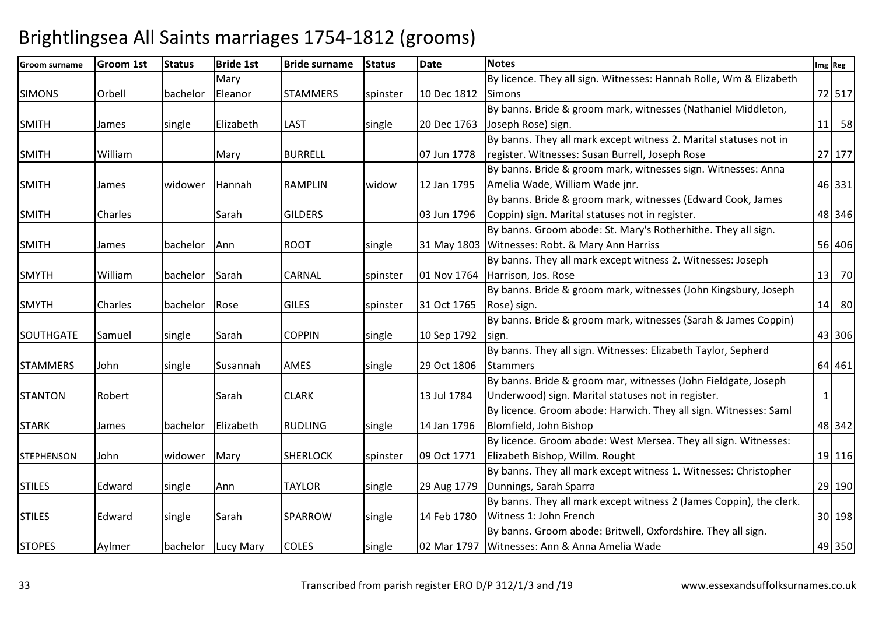| <b>Groom surname</b> | Groom 1st | <b>Status</b> | <b>Bride 1st</b>   | <b>Bride surname</b> | <b>Status</b> | <b>Date</b> | <b>Notes</b>                                                        | Img Reg  |
|----------------------|-----------|---------------|--------------------|----------------------|---------------|-------------|---------------------------------------------------------------------|----------|
|                      |           |               | Mary               |                      |               |             | By licence. They all sign. Witnesses: Hannah Rolle, Wm & Elizabeth  |          |
| <b>SIMONS</b>        | Orbell    | bachelor      | Eleanor            | <b>STAMMERS</b>      | spinster      | 10 Dec 1812 | <b>Simons</b>                                                       | 72 517   |
|                      |           |               |                    |                      |               |             | By banns. Bride & groom mark, witnesses (Nathaniel Middleton,       |          |
| <b>SMITH</b>         | James     | single        | Elizabeth          | LAST                 | single        | 20 Dec 1763 | Joseph Rose) sign.                                                  | $11$ 58  |
|                      |           |               |                    |                      |               |             | By banns. They all mark except witness 2. Marital statuses not in   |          |
| <b>SMITH</b>         | William   |               | Mary               | <b>BURRELL</b>       |               | 07 Jun 1778 | register. Witnesses: Susan Burrell, Joseph Rose                     | 27 177   |
|                      |           |               |                    |                      |               |             | By banns. Bride & groom mark, witnesses sign. Witnesses: Anna       |          |
| <b>SMITH</b>         | James     | widower       | Hannah             | <b>RAMPLIN</b>       | widow         | 12 Jan 1795 | Amelia Wade, William Wade jnr.                                      | 46 331   |
|                      |           |               |                    |                      |               |             | By banns. Bride & groom mark, witnesses (Edward Cook, James         |          |
| <b>SMITH</b>         | Charles   |               | Sarah              | <b>GILDERS</b>       |               | 03 Jun 1796 | Coppin) sign. Marital statuses not in register.                     | 48 346   |
|                      |           |               |                    |                      |               |             | By banns. Groom abode: St. Mary's Rotherhithe. They all sign.       |          |
| <b>SMITH</b>         | James     | bachelor      | Ann                | <b>ROOT</b>          | single        |             | 31 May 1803 Witnesses: Robt. & Mary Ann Harriss                     | 56 406   |
|                      |           |               |                    |                      |               |             | By banns. They all mark except witness 2. Witnesses: Joseph         |          |
| <b>SMYTH</b>         | William   | bachelor      | Sarah              | <b>CARNAL</b>        | spinster      | 01 Nov 1764 | Harrison, Jos. Rose                                                 | 13 70    |
|                      |           |               |                    |                      |               |             | By banns. Bride & groom mark, witnesses (John Kingsbury, Joseph     |          |
| <b>SMYTH</b>         | Charles   | bachelor      | Rose               | <b>GILES</b>         | spinster      | 31 Oct 1765 | Rose) sign.                                                         | $14$ 80  |
|                      |           |               |                    |                      |               |             | By banns. Bride & groom mark, witnesses (Sarah & James Coppin)      |          |
| <b>SOUTHGATE</b>     | Samuel    | single        | Sarah              | <b>COPPIN</b>        | single        | 10 Sep 1792 | sign.                                                               | 43 306   |
|                      |           |               |                    |                      |               |             | By banns. They all sign. Witnesses: Elizabeth Taylor, Sepherd       |          |
| <b>STAMMERS</b>      | John      | single        | Susannah           | <b>AMES</b>          | single        | 29 Oct 1806 | Stammers                                                            | 64 461   |
|                      |           |               |                    |                      |               |             | By banns. Bride & groom mar, witnesses (John Fieldgate, Joseph      |          |
| <b>STANTON</b>       | Robert    |               | Sarah              | <b>CLARK</b>         |               | 13 Jul 1784 | Underwood) sign. Marital statuses not in register.                  | $1\vert$ |
|                      |           |               |                    |                      |               |             | By licence. Groom abode: Harwich. They all sign. Witnesses: Saml    |          |
| <b>STARK</b>         | James     | bachelor      | Elizabeth          | <b>RUDLING</b>       | single        | 14 Jan 1796 | Blomfield, John Bishop                                              | 48 342   |
|                      |           |               |                    |                      |               |             | By licence. Groom abode: West Mersea. They all sign. Witnesses:     |          |
| <b>STEPHENSON</b>    | John      | widower       | Mary               | <b>SHERLOCK</b>      | spinster      | 09 Oct 1771 | Elizabeth Bishop, Willm. Rought                                     | 19 116   |
|                      |           |               |                    |                      |               |             | By banns. They all mark except witness 1. Witnesses: Christopher    |          |
| <b>STILES</b>        | Edward    | single        | Ann                | <b>TAYLOR</b>        | single        | 29 Aug 1779 | Dunnings, Sarah Sparra                                              | 29 190   |
|                      |           |               |                    |                      |               |             | By banns. They all mark except witness 2 (James Coppin), the clerk. |          |
| <b>STILES</b>        | Edward    | single        | Sarah              | SPARROW              | single        | 14 Feb 1780 | Witness 1: John French                                              | 30 198   |
|                      |           |               |                    |                      |               |             | By banns. Groom abode: Britwell, Oxfordshire. They all sign.        |          |
| <b>STOPES</b>        | Aylmer    |               | bachelor Lucy Mary | <b>COLES</b>         | single        |             | 02 Mar 1797   Witnesses: Ann & Anna Amelia Wade                     | 49 350   |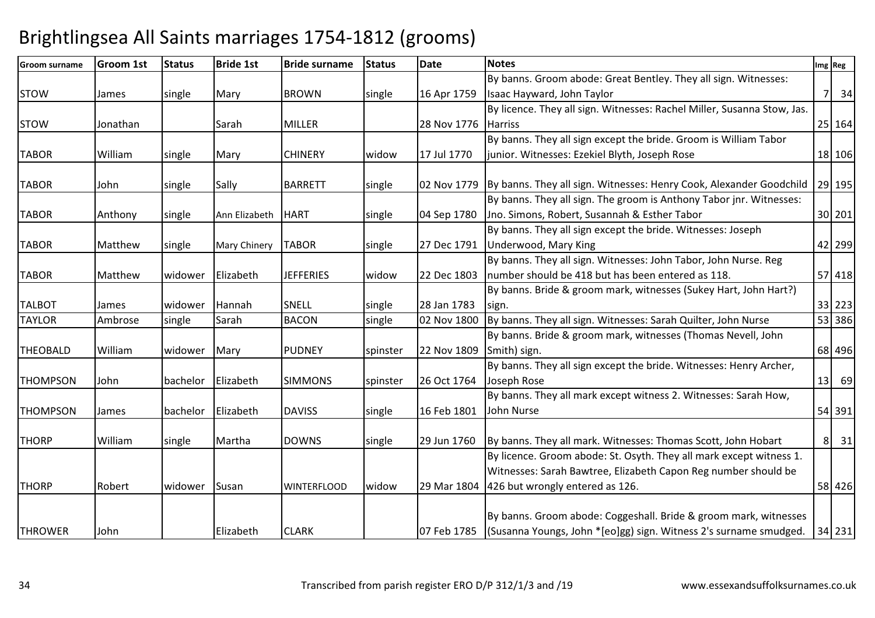| <b>Groom surname</b> | <b>Groom 1st</b> | <b>Status</b> | <b>Bride 1st</b> | <b>Bride surname</b> | <b>Status</b> | <b>Date</b> | <b>Notes</b>                                                                      |    | Img Reg              |
|----------------------|------------------|---------------|------------------|----------------------|---------------|-------------|-----------------------------------------------------------------------------------|----|----------------------|
|                      |                  |               |                  |                      |               |             | By banns. Groom abode: Great Bentley. They all sign. Witnesses:                   |    |                      |
| <b>STOW</b>          | James            | single        | Mary             | <b>BROWN</b>         | single        | 16 Apr 1759 | Isaac Hayward, John Taylor                                                        |    | 34<br><b>7</b>       |
|                      |                  |               |                  |                      |               |             | By licence. They all sign. Witnesses: Rachel Miller, Susanna Stow, Jas.           |    |                      |
| <b>STOW</b>          | Jonathan         |               | Sarah            | <b>MILLER</b>        |               | 28 Nov 1776 | <b>Harriss</b>                                                                    |    | 25 164               |
|                      |                  |               |                  |                      |               |             | By banns. They all sign except the bride. Groom is William Tabor                  |    |                      |
| <b>TABOR</b>         | William          | single        | Mary             | <b>CHINERY</b>       | widow         | 17 Jul 1770 | junior. Witnesses: Ezekiel Blyth, Joseph Rose                                     |    | 18 106               |
| <b>TABOR</b>         | John             | single        | Sally            | <b>BARRETT</b>       | single        |             | 02 Nov 1779   By banns. They all sign. Witnesses: Henry Cook, Alexander Goodchild |    | 29 195               |
|                      |                  |               |                  |                      |               |             | By banns. They all sign. The groom is Anthony Tabor jnr. Witnesses:               |    |                      |
| <b>TABOR</b>         | Anthony          | single        | Ann Elizabeth    | <b>HART</b>          | single        | 04 Sep 1780 | Jno. Simons, Robert, Susannah & Esther Tabor                                      |    | 30 201               |
|                      |                  |               |                  |                      |               |             | By banns. They all sign except the bride. Witnesses: Joseph                       |    |                      |
| <b>TABOR</b>         | Matthew          | single        | Mary Chinery     | <b>TABOR</b>         | single        | 27 Dec 1791 | Underwood, Mary King                                                              |    | 42 299               |
|                      |                  |               |                  |                      |               |             | By banns. They all sign. Witnesses: John Tabor, John Nurse. Reg                   |    |                      |
| <b>TABOR</b>         | Matthew          | widower       | Elizabeth        | <b>JEFFERIES</b>     | widow         | 22 Dec 1803 | Inumber should be 418 but has been entered as 118.                                |    | 57 418               |
|                      |                  |               |                  |                      |               |             | By banns. Bride & groom mark, witnesses (Sukey Hart, John Hart?)                  |    |                      |
| <b>TALBOT</b>        | James            | widower       | Hannah           | SNELL                | single        | 28 Jan 1783 | sign.                                                                             |    | 33 223               |
| <b>TAYLOR</b>        | Ambrose          | single        | Sarah            | <b>BACON</b>         | single        | 02 Nov 1800 | By banns. They all sign. Witnesses: Sarah Quilter, John Nurse                     |    | 53 386               |
|                      |                  |               |                  |                      |               |             | By banns. Bride & groom mark, witnesses (Thomas Nevell, John                      |    |                      |
| <b>THEOBALD</b>      | William          | widower       | Mary             | <b>PUDNEY</b>        | spinster      | 22 Nov 1809 | Smith) sign.                                                                      |    | 68 496               |
|                      |                  |               |                  |                      |               |             | By banns. They all sign except the bride. Witnesses: Henry Archer,                |    |                      |
| <b>THOMPSON</b>      | John             | bachelor      | Elizabeth        | <b>SIMMONS</b>       | spinster      | 26 Oct 1764 | Joseph Rose                                                                       | 13 | 69                   |
|                      |                  |               |                  |                      |               |             | By banns. They all mark except witness 2. Witnesses: Sarah How,                   |    |                      |
| <b>THOMPSON</b>      | <b>James</b>     | bachelor      | Elizabeth        | <b>DAVISS</b>        | single        | 16 Feb 1801 | John Nurse                                                                        |    | 54 391               |
| <b>THORP</b>         | William          | single        | Martha           | <b>DOWNS</b>         | single        | 29 Jun 1760 | By banns. They all mark. Witnesses: Thomas Scott, John Hobart                     |    | 8 <sup>1</sup><br>31 |
|                      |                  |               |                  |                      |               |             | By licence. Groom abode: St. Osyth. They all mark except witness 1.               |    |                      |
|                      |                  |               |                  |                      |               |             | Witnesses: Sarah Bawtree, Elizabeth Capon Reg number should be                    |    |                      |
| <b>THORP</b>         | Robert           | widower       | Susan            | <b>WINTERFLOOD</b>   | widow         | 29 Mar 1804 | 426 but wrongly entered as 126.                                                   |    | 58 426               |
|                      |                  |               |                  |                      |               |             |                                                                                   |    |                      |
|                      |                  |               |                  |                      |               |             | By banns. Groom abode: Coggeshall. Bride & groom mark, witnesses                  |    |                      |
| <b>THROWER</b>       | John             |               | Elizabeth        | <b>CLARK</b>         |               |             | 07 Feb 1785 (Susanna Youngs, John * [eo]gg) sign. Witness 2's surname smudged.    |    | 34 231               |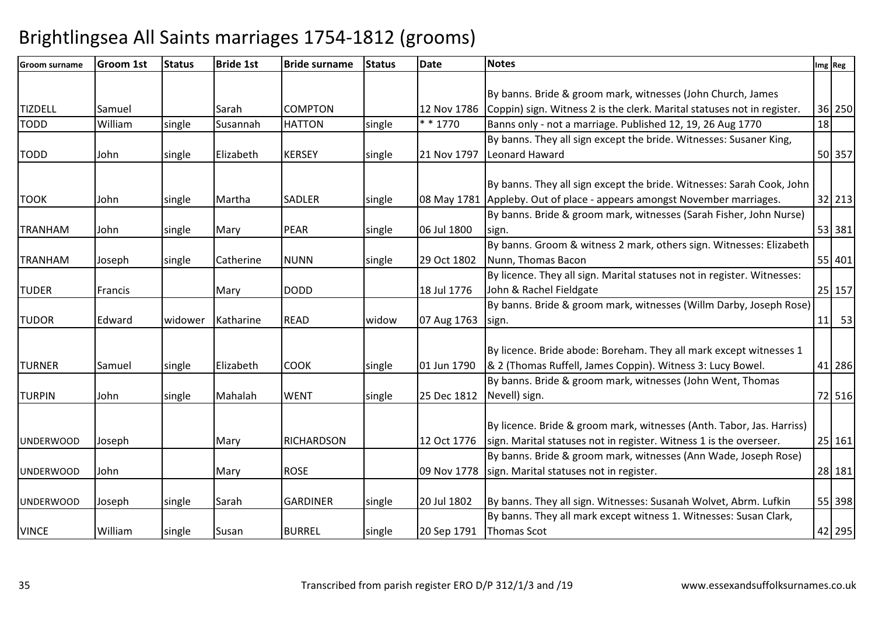| <b>Groom surname</b> | <b>Groom 1st</b> | <b>Status</b> | <b>Bride 1st</b> | <b>Bride surname</b> | <b>Status</b> | <b>Date</b> | <b>Notes</b>                                                            |    | Img Reg |
|----------------------|------------------|---------------|------------------|----------------------|---------------|-------------|-------------------------------------------------------------------------|----|---------|
|                      |                  |               |                  |                      |               |             |                                                                         |    |         |
|                      |                  |               |                  |                      |               |             | By banns. Bride & groom mark, witnesses (John Church, James             |    |         |
| <b>TIZDELL</b>       | Samuel           |               | Sarah            | <b>COMPTON</b>       |               | 12 Nov 1786 | Coppin) sign. Witness 2 is the clerk. Marital statuses not in register. |    | 36 250  |
| <b>TODD</b>          | William          | single        | Susannah         | <b>HATTON</b>        | single        | * * 1770    | Banns only - not a marriage. Published 12, 19, 26 Aug 1770              | 18 |         |
|                      |                  |               |                  |                      |               |             | By banns. They all sign except the bride. Witnesses: Susaner King,      |    |         |
| <b>TODD</b>          | John             | single        | Elizabeth        | <b>KERSEY</b>        | single        | 21 Nov 1797 | Leonard Haward                                                          |    | 50 357  |
|                      |                  |               |                  |                      |               |             |                                                                         |    |         |
|                      |                  |               |                  |                      |               |             | By banns. They all sign except the bride. Witnesses: Sarah Cook, John   |    |         |
| <b>TOOK</b>          | John             | single        | Martha           | <b>SADLER</b>        | single        | 08 May 1781 | Appleby. Out of place - appears amongst November marriages.             |    | 32 213  |
|                      |                  |               |                  |                      |               |             | By banns. Bride & groom mark, witnesses (Sarah Fisher, John Nurse)      |    |         |
| <b>TRANHAM</b>       | John             | single        | Mary             | PEAR                 | single        | 06 Jul 1800 | sign.                                                                   |    | 53 381  |
|                      |                  |               |                  |                      |               |             | By banns. Groom & witness 2 mark, others sign. Witnesses: Elizabeth     |    |         |
| <b>TRANHAM</b>       | Joseph           | single        | Catherine        | <b>NUNN</b>          | single        | 29 Oct 1802 | Nunn, Thomas Bacon                                                      |    | 55 401  |
|                      |                  |               |                  |                      |               |             | By licence. They all sign. Marital statuses not in register. Witnesses: |    |         |
| <b>TUDER</b>         | Francis          |               | Mary             | <b>DODD</b>          |               | 18 Jul 1776 | John & Rachel Fieldgate                                                 |    | 25 157  |
|                      |                  |               |                  |                      |               |             | By banns. Bride & groom mark, witnesses (Willm Darby, Joseph Rose)      |    |         |
| <b>TUDOR</b>         | Edward           | widower       | Katharine        | <b>READ</b>          | widow         | 07 Aug 1763 | sign.                                                                   |    | $11$ 53 |
|                      |                  |               |                  |                      |               |             |                                                                         |    |         |
|                      |                  |               |                  |                      |               |             | By licence. Bride abode: Boreham. They all mark except witnesses 1      |    |         |
| <b>TURNER</b>        | Samuel           | single        | Elizabeth        | <b>COOK</b>          | single        | 01 Jun 1790 | & 2 (Thomas Ruffell, James Coppin). Witness 3: Lucy Bowel.              |    | 41 286  |
|                      |                  |               |                  |                      |               |             | By banns. Bride & groom mark, witnesses (John Went, Thomas              |    |         |
| <b>TURPIN</b>        | John             | single        | Mahalah          | <b>WENT</b>          | single        | 25 Dec 1812 | Nevell) sign.                                                           |    | 72 516  |
|                      |                  |               |                  |                      |               |             |                                                                         |    |         |
|                      |                  |               |                  |                      |               |             | By licence. Bride & groom mark, witnesses (Anth. Tabor, Jas. Harriss)   |    |         |
| <b>UNDERWOOD</b>     | Joseph           |               | Mary             | <b>RICHARDSON</b>    |               | 12 Oct 1776 | sign. Marital statuses not in register. Witness 1 is the overseer.      |    | 25 161  |
|                      |                  |               |                  |                      |               |             | By banns. Bride & groom mark, witnesses (Ann Wade, Joseph Rose)         |    |         |
| <b>UNDERWOOD</b>     | John             |               | Mary             | <b>ROSE</b>          |               | 09 Nov 1778 | sign. Marital statuses not in register.                                 |    | 28 181  |
|                      |                  |               |                  |                      |               |             |                                                                         |    |         |
| <b>UNDERWOOD</b>     | Joseph           | single        | Sarah            | <b>GARDINER</b>      | single        | 20 Jul 1802 | By banns. They all sign. Witnesses: Susanah Wolvet, Abrm. Lufkin        |    | 55 398  |
|                      |                  |               |                  |                      |               |             | By banns. They all mark except witness 1. Witnesses: Susan Clark,       |    |         |
| <b>VINCE</b>         | William          | single        | Susan            | <b>BURREL</b>        | single        | 20 Sep 1791 | <b>Thomas Scot</b>                                                      |    | 42 295  |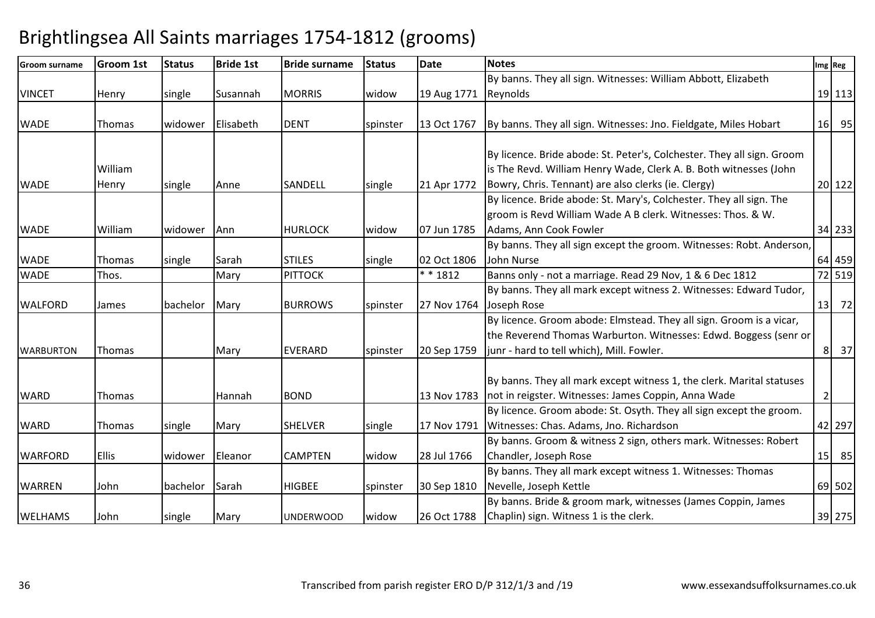| <b>Groom surname</b> | <b>Groom 1st</b> | <b>Status</b> | <b>Bride 1st</b> | <b>Bride surname</b> | <b>Status</b> | <b>Date</b> | <b>Notes</b>                                                                                                                                                                                       |                | Img Reg |
|----------------------|------------------|---------------|------------------|----------------------|---------------|-------------|----------------------------------------------------------------------------------------------------------------------------------------------------------------------------------------------------|----------------|---------|
|                      |                  |               |                  |                      |               |             | By banns. They all sign. Witnesses: William Abbott, Elizabeth                                                                                                                                      |                |         |
| <b>VINCET</b>        | Henry            | single        | Susannah         | <b>MORRIS</b>        | widow         | 19 Aug 1771 | Reynolds                                                                                                                                                                                           |                | 19 113  |
| <b>WADE</b>          | <b>Thomas</b>    | widower       | Elisabeth        | <b>DENT</b>          | spinster      | 13 Oct 1767 | By banns. They all sign. Witnesses: Jno. Fieldgate, Miles Hobart                                                                                                                                   |                | 16 95   |
| <b>WADE</b>          | William<br>Henry | single        | Anne             | SANDELL              | single        | 21 Apr 1772 | By licence. Bride abode: St. Peter's, Colchester. They all sign. Groom<br>is The Revd. William Henry Wade, Clerk A. B. Both witnesses (John<br>Bowry, Chris. Tennant) are also clerks (ie. Clergy) |                | 20 122  |
|                      |                  |               |                  |                      |               |             | By licence. Bride abode: St. Mary's, Colchester. They all sign. The<br>groom is Revd William Wade A B clerk. Witnesses: Thos. & W.                                                                 |                |         |
| <b>WADE</b>          | William          | widower       | Ann              | <b>HURLOCK</b>       | widow         | 07 Jun 1785 | Adams, Ann Cook Fowler                                                                                                                                                                             |                | 34 233  |
| <b>WADE</b>          | Thomas           | single        | Sarah            | <b>STILES</b>        | single        | 02 Oct 1806 | By banns. They all sign except the groom. Witnesses: Robt. Anderson,<br>John Nurse                                                                                                                 |                | 64 459  |
| <b>WADE</b>          | Thos.            |               | Mary             | <b>PITTOCK</b>       |               | $* * 1812$  | Banns only - not a marriage. Read 29 Nov, 1 & 6 Dec 1812                                                                                                                                           |                | 72 519  |
| <b>WALFORD</b>       | James            | bachelor      | Mary             | <b>BURROWS</b>       | spinster      | 27 Nov 1764 | By banns. They all mark except witness 2. Witnesses: Edward Tudor,<br>Joseph Rose                                                                                                                  |                | 13 72   |
| <b>WARBURTON</b>     | <b>Thomas</b>    |               | Mary             | <b>EVERARD</b>       | spinster      | 20 Sep 1759 | By licence. Groom abode: Elmstead. They all sign. Groom is a vicar,<br>the Reverend Thomas Warburton. Witnesses: Edwd. Boggess (senr or<br>junr - hard to tell which), Mill. Fowler.               |                | 8 37    |
| <b>WARD</b>          | Thomas           |               | Hannah           | <b>BOND</b>          |               | 13 Nov 1783 | By banns. They all mark except witness 1, the clerk. Marital statuses<br>not in reigster. Witnesses: James Coppin, Anna Wade                                                                       | $\overline{2}$ |         |
| <b>WARD</b>          | Thomas           | single        | Mary             | <b>SHELVER</b>       | single        | 17 Nov 1791 | By licence. Groom abode: St. Osyth. They all sign except the groom.<br>Witnesses: Chas. Adams, Jno. Richardson                                                                                     |                | 42 297  |
| <b>WARFORD</b>       | <b>Ellis</b>     | widower       | Eleanor          | <b>CAMPTEN</b>       | widow         | 28 Jul 1766 | By banns. Groom & witness 2 sign, others mark. Witnesses: Robert<br>Chandler, Joseph Rose                                                                                                          |                | 15 85   |
| <b>WARREN</b>        | John             | bachelor      | Sarah            | <b>HIGBEE</b>        | spinster      | 30 Sep 1810 | By banns. They all mark except witness 1. Witnesses: Thomas<br>Nevelle, Joseph Kettle                                                                                                              |                | 69 502  |
| <b>WELHAMS</b>       | John             | single        | Mary             | <b>UNDERWOOD</b>     | widow         | 26 Oct 1788 | By banns. Bride & groom mark, witnesses (James Coppin, James<br>Chaplin) sign. Witness 1 is the clerk.                                                                                             |                | 39 275  |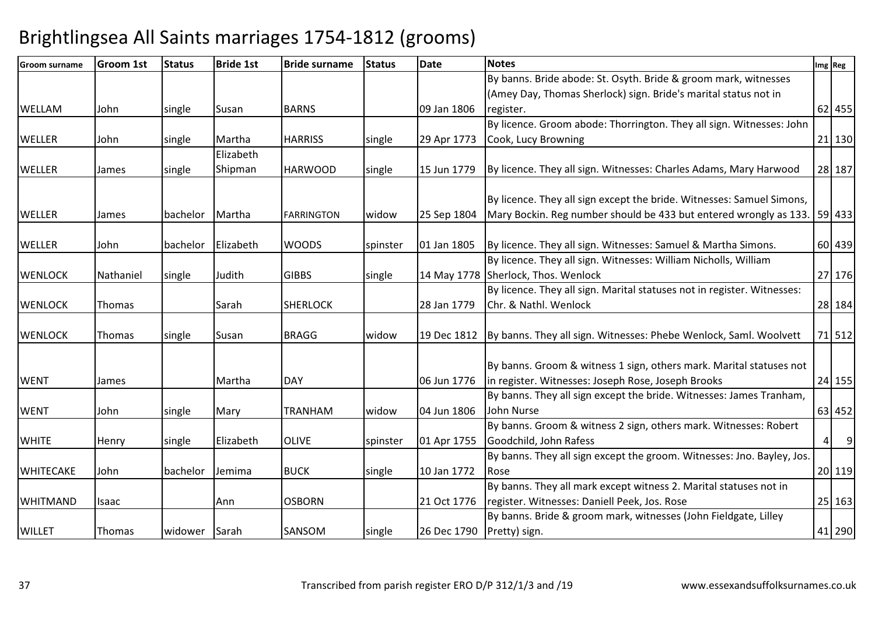| <b>Groom surname</b> | <b>Groom 1st</b> | <b>Status</b> | <b>Bride 1st</b> | <b>Bride surname</b> | <b>Status</b> | <b>Date</b> | <b>Notes</b>                                                            |   | Img Reg        |
|----------------------|------------------|---------------|------------------|----------------------|---------------|-------------|-------------------------------------------------------------------------|---|----------------|
|                      |                  |               |                  |                      |               |             | By banns. Bride abode: St. Osyth. Bride & groom mark, witnesses         |   |                |
|                      |                  |               |                  |                      |               |             | (Amey Day, Thomas Sherlock) sign. Bride's marital status not in         |   |                |
| <b>WELLAM</b>        | John             | single        | Susan            | <b>BARNS</b>         |               | 09 Jan 1806 | register.                                                               |   | 62 455         |
|                      |                  |               |                  |                      |               |             | By licence. Groom abode: Thorrington. They all sign. Witnesses: John    |   |                |
| <b>WELLER</b>        | John             | single        | Martha           | <b>HARRISS</b>       | single        | 29 Apr 1773 | Cook, Lucy Browning                                                     |   | 21 130         |
|                      |                  |               | Elizabeth        |                      |               |             |                                                                         |   |                |
| <b>WELLER</b>        | James            | single        | Shipman          | <b>HARWOOD</b>       | single        | 15 Jun 1779 | By licence. They all sign. Witnesses: Charles Adams, Mary Harwood       |   | 28 187         |
|                      |                  |               |                  |                      |               |             |                                                                         |   |                |
|                      |                  |               |                  |                      |               |             | By licence. They all sign except the bride. Witnesses: Samuel Simons,   |   |                |
| <b>WELLER</b>        | James            | bachelor      | Martha           | <b>FARRINGTON</b>    | widow         | 25 Sep 1804 | Mary Bockin. Reg number should be 433 but entered wrongly as 133.       |   | 59 433         |
|                      |                  |               |                  |                      |               |             |                                                                         |   |                |
| <b>WELLER</b>        | John             | bachelor      | Elizabeth        | <b>WOODS</b>         | spinster      | 01 Jan 1805 | By licence. They all sign. Witnesses: Samuel & Martha Simons.           |   | 60 439         |
|                      |                  |               |                  |                      |               |             | By licence. They all sign. Witnesses: William Nicholls, William         |   |                |
| <b>WENLOCK</b>       | Nathaniel        | single        | Judith           | <b>GIBBS</b>         | single        |             | 14 May 1778 Sherlock, Thos. Wenlock                                     |   | 27 176         |
|                      |                  |               |                  |                      |               |             | By licence. They all sign. Marital statuses not in register. Witnesses: |   |                |
| <b>WENLOCK</b>       | Thomas           |               | Sarah            | <b>SHERLOCK</b>      |               | 28 Jan 1779 | Chr. & Nathl. Wenlock                                                   |   | 28 184         |
|                      |                  |               |                  |                      |               |             |                                                                         |   |                |
| <b>WENLOCK</b>       | Thomas           | single        | Susan            | <b>BRAGG</b>         | widow         | 19 Dec 1812 | By banns. They all sign. Witnesses: Phebe Wenlock, Saml. Woolvett       |   | 71 512         |
|                      |                  |               |                  |                      |               |             |                                                                         |   |                |
|                      |                  |               |                  |                      |               |             | By banns. Groom & witness 1 sign, others mark. Marital statuses not     |   |                |
| <b>WENT</b>          | James            |               | Martha           | <b>DAY</b>           |               | 06 Jun 1776 | in register. Witnesses: Joseph Rose, Joseph Brooks                      |   | 24 155         |
|                      |                  |               |                  |                      |               |             | By banns. They all sign except the bride. Witnesses: James Tranham,     |   |                |
| <b>WENT</b>          | John             | single        | Mary             | <b>TRANHAM</b>       | widow         | 04 Jun 1806 | John Nurse                                                              |   | 63 452         |
|                      |                  |               |                  |                      |               |             | By banns. Groom & witness 2 sign, others mark. Witnesses: Robert        |   |                |
| <b>WHITE</b>         | Henry            | single        | Elizabeth        | <b>OLIVE</b>         | spinster      | 01 Apr 1755 | Goodchild, John Rafess                                                  | 4 | $\overline{9}$ |
|                      |                  |               |                  |                      |               |             | By banns. They all sign except the groom. Witnesses: Jno. Bayley, Jos.  |   |                |
| <b>WHITECAKE</b>     | John             | bachelor      | Jemima           | <b>BUCK</b>          | single        | 10 Jan 1772 | l Rose                                                                  |   | 20 119         |
|                      |                  |               |                  |                      |               |             | By banns. They all mark except witness 2. Marital statuses not in       |   |                |
| <b>WHITMAND</b>      | Isaac            |               | Ann              | <b>OSBORN</b>        |               | 21 Oct 1776 | register. Witnesses: Daniell Peek, Jos. Rose                            |   | 25 163         |
|                      |                  |               |                  |                      |               |             | By banns. Bride & groom mark, witnesses (John Fieldgate, Lilley         |   |                |
| <b>WILLET</b>        | Thomas           | widower Sarah |                  | SANSOM               | single        | 26 Dec 1790 | Pretty) sign.                                                           |   | 41 290         |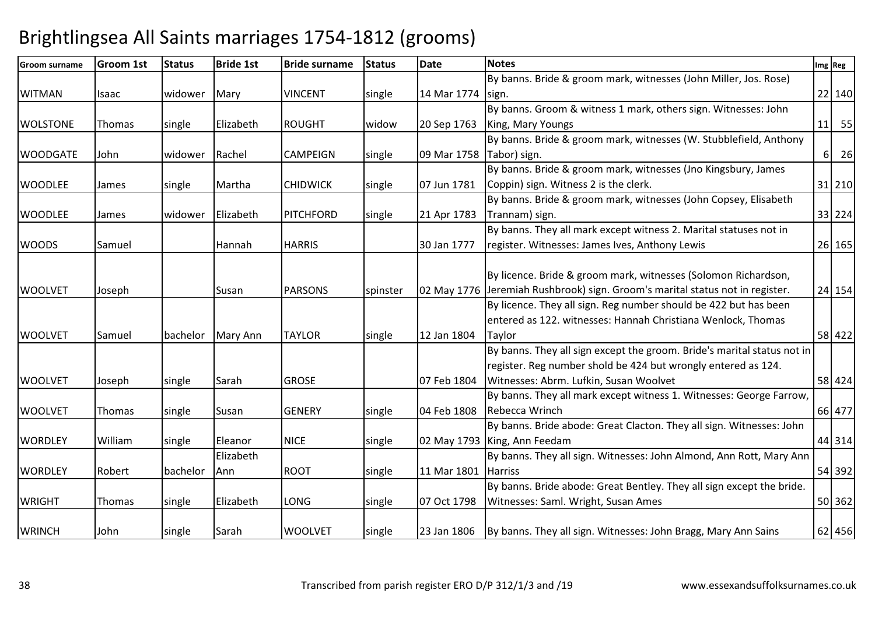| <b>Groom surname</b> | <b>Groom 1st</b> | <b>Status</b> | <b>Bride 1st</b> | <b>Bride surname</b> | <b>Status</b> | <b>Date</b>              | <b>Notes</b>                                                                  |          | Img Reg |
|----------------------|------------------|---------------|------------------|----------------------|---------------|--------------------------|-------------------------------------------------------------------------------|----------|---------|
|                      |                  |               |                  |                      |               |                          | By banns. Bride & groom mark, witnesses (John Miller, Jos. Rose)              |          |         |
| <b>WITMAN</b>        | Isaac            | widower       | Mary             | <b>VINCENT</b>       | single        | 14 Mar 1774 sign.        |                                                                               |          | 22 140  |
|                      |                  |               |                  |                      |               |                          | By banns. Groom & witness 1 mark, others sign. Witnesses: John                |          |         |
| <b>WOLSTONE</b>      | Thomas           | single        | Elizabeth        | <b>ROUGHT</b>        | widow         | 20 Sep 1763              | King, Mary Youngs                                                             |          | $11$ 55 |
|                      |                  |               |                  |                      |               |                          | By banns. Bride & groom mark, witnesses (W. Stubblefield, Anthony             |          |         |
| <b>WOODGATE</b>      | John             | widower       | Rachel           | <b>CAMPEIGN</b>      | single        | 09 Mar 1758 Tabor) sign. |                                                                               | $6 \mid$ | 26      |
|                      |                  |               |                  |                      |               |                          | By banns. Bride & groom mark, witnesses (Jno Kingsbury, James                 |          |         |
| <b>WOODLEE</b>       | James            | single        | Martha           | <b>CHIDWICK</b>      | single        | 07 Jun 1781              | Coppin) sign. Witness 2 is the clerk.                                         |          | 31 210  |
|                      |                  |               |                  |                      |               |                          | By banns. Bride & groom mark, witnesses (John Copsey, Elisabeth               |          |         |
| <b>WOODLEE</b>       | James            | widower       | Elizabeth        | <b>PITCHFORD</b>     | single        | 21 Apr 1783              | Trannam) sign.                                                                |          | 33 224  |
|                      |                  |               |                  |                      |               |                          | By banns. They all mark except witness 2. Marital statuses not in             |          |         |
| <b>WOODS</b>         | Samuel           |               | Hannah           | <b>HARRIS</b>        |               | 30 Jan 1777              | register. Witnesses: James Ives, Anthony Lewis                                |          | 26 165  |
|                      |                  |               |                  |                      |               |                          |                                                                               |          |         |
|                      |                  |               |                  |                      |               |                          | By licence. Bride & groom mark, witnesses (Solomon Richardson,                |          |         |
| <b>WOOLVET</b>       | Joseph           |               | Susan            | <b>PARSONS</b>       | spinster      |                          | 02 May 1776 Jeremiah Rushbrook) sign. Groom's marital status not in register. |          | 24 154  |
|                      |                  |               |                  |                      |               |                          | By licence. They all sign. Reg number should be 422 but has been              |          |         |
|                      |                  |               |                  |                      |               |                          | entered as 122. witnesses: Hannah Christiana Wenlock, Thomas                  |          |         |
| <b>WOOLVET</b>       | Samuel           | bachelor      | Mary Ann         | <b>TAYLOR</b>        | single        | 12 Jan 1804              | Taylor                                                                        |          | 58 422  |
|                      |                  |               |                  |                      |               |                          | By banns. They all sign except the groom. Bride's marital status not in       |          |         |
|                      |                  |               |                  |                      |               |                          | register. Reg number shold be 424 but wrongly entered as 124.                 |          |         |
| <b>WOOLVET</b>       | Joseph           | single        | Sarah            | <b>GROSE</b>         |               | 07 Feb 1804              | Witnesses: Abrm. Lufkin, Susan Woolvet                                        |          | 58 424  |
|                      |                  |               |                  |                      |               |                          | By banns. They all mark except witness 1. Witnesses: George Farrow,           |          |         |
| <b>WOOLVET</b>       | Thomas           | single        | Susan            | <b>GENERY</b>        | single        | 04 Feb 1808              | Rebecca Wrinch                                                                |          | 66 477  |
|                      |                  |               |                  |                      |               |                          | By banns. Bride abode: Great Clacton. They all sign. Witnesses: John          |          |         |
| <b>WORDLEY</b>       | William          | single        | Eleanor          | <b>NICE</b>          | single        |                          | 02 May 1793 King, Ann Feedam                                                  |          | 44 314  |
|                      |                  |               | Elizabeth        |                      |               |                          | By banns. They all sign. Witnesses: John Almond, Ann Rott, Mary Ann           |          |         |
| <b>WORDLEY</b>       | Robert           | bachelor      | Ann              | <b>ROOT</b>          | single        | 11 Mar 1801              | <b>Harriss</b>                                                                |          | 54 392  |
|                      |                  |               |                  |                      |               |                          | By banns. Bride abode: Great Bentley. They all sign except the bride.         |          |         |
| <b>WRIGHT</b>        | <b>Thomas</b>    | single        | Elizabeth        | <b>LONG</b>          | single        | 07 Oct 1798              | Witnesses: Saml. Wright, Susan Ames                                           |          | 50 362  |
|                      |                  |               |                  |                      |               |                          |                                                                               |          |         |
| <b>WRINCH</b>        | John             | single        | Sarah            | <b>WOOLVET</b>       | single        |                          | 23 Jan 1806   By banns. They all sign. Witnesses: John Bragg, Mary Ann Sains  |          | 62 456  |